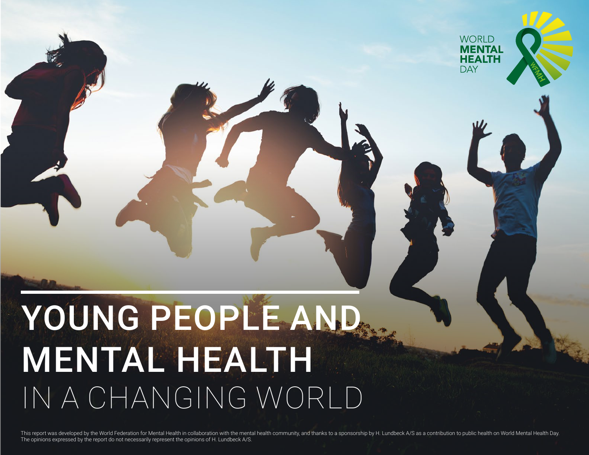

This report was developed by the World Federation for Mental Health in collaboration with the mental health community, and thanks to a sponsorship by H. Lundbeck A/S as a contribution to public health on World Mental Healt The opinions expressed by the report do not necessarily represent the opinions of H. Lundbeck A/S.

**WORLD** 

**DAY** 

**MENTAL**<br>HEALTH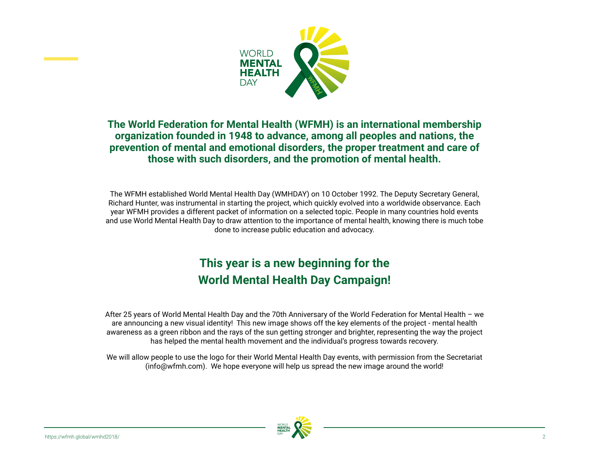

#### **The World Federation for Mental Health (WFMH) is an international membership organization founded in 1948 to advance, among all peoples and nations, the prevention of mental and emotional disorders, the proper treatment and care of those with such disorders, and the promotion of mental health.**

The WFMH established World Mental Health Day (WMHDAY) on 10 October 1992. The Deputy Secretary General, Richard Hunter, was instrumental in starting the project, which quickly evolved into a worldwide observance. Each year WFMH provides a different packet of information on a selected topic. People in many countries hold events and use World Mental Health Day to draw attention to the importance of mental health, knowing there is much tobe done to increase public education and advocacy.

### **This year is a new beginning for the World Mental Health Day Campaign!**

After 25 years of World Mental Health Day and the 70th Anniversary of the World Federation for Mental Health – we are announcing a new visual identity! This new image shows off the key elements of the project - mental health awareness as a green ribbon and the rays of the sun getting stronger and brighter, representing the way the project has helped the mental health movement and the individual's progress towards recovery.

We will allow people to use the logo for their World Mental Health Day events, with permission from the Secretariat ([info@wfmh.com\)](mailto:info%40wfmh.com?subject=). We hope everyone will help us spread the new image around the world!

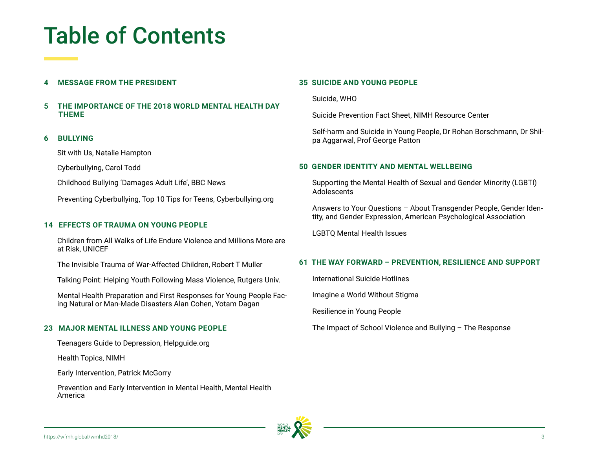## Table of Contents

#### **4 MESSAGE FROM THE PRESIDENT**

#### **5 THE IMPORTANCE OF THE 2018 WORLD MENTAL HEALTH DAY ...... THEME**

#### **6 BULLYING**

Sit with Us, Natalie Hampton

Cyberbullying, Carol Todd

Childhood Bullying 'Damages Adult Life', BBC News

Preventing Cyberbullying, Top 10 Tips for Teens, Cyberbullying.org

#### **14 EFFECTS OF TRAUMA ON YOUNG PEOPLE**

Children from All Walks of Life Endure Violence and Millions More are at Risk, UNICEF

The Invisible Trauma of War-Affected Children, Robert T Muller

Talking Point: Helping Youth Following Mass Violence, Rutgers Univ.

Mental Health Preparation and First Responses for Young People Facing Natural or Man-Made Disasters Alan Cohen, Yotam Dagan

#### **23 MAJOR MENTAL ILLNESS AND YOUNG PEOPLE**

Teenagers Guide to Depression, Helpguide.org

Health Topics, NIMH

Early Intervention, Patrick McGorry

Prevention and Early Intervention in Mental Health, Mental Health America

#### **35 SUICIDE AND YOUNG PEOPLE**

Suicide, WHO

Suicide Prevention Fact Sheet, NIMH Resource Center

Self-harm and Suicide in Young People, Dr Rohan Borschmann, Dr Shilpa Aggarwal, Prof George Patton

#### **50 GENDER IDENTITY AND MENTAL WELLBEING**

Supporting the Mental Health of Sexual and Gender Minority (LGBTI) **Adolescents** 

Answers to Your Questions – About Transgender People, Gender Identity, and Gender Expression, American Psychological Association

LGBTQ Mental Health Issues

#### **61 THE WAY FORWARD – PREVENTION, RESILIENCE AND SUPPORT**

International Suicide Hotlines

Imagine a World Without Stigma

Resilience in Young People

The Impact of School Violence and Bullying – The Response

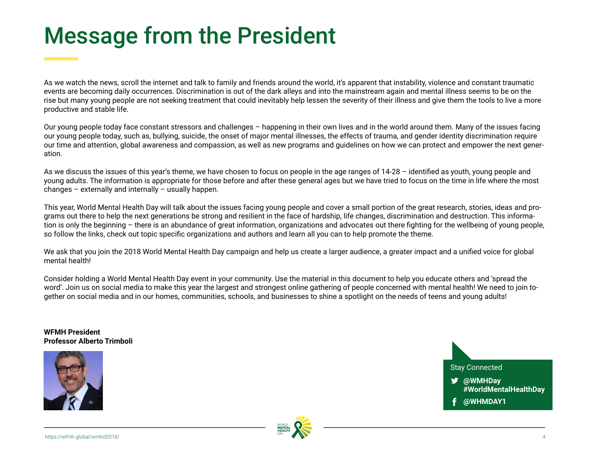## Message from the President

As we watch the news, scroll the internet and talk to family and friends around the world, it's apparent that instability, violence and constant traumatic events are becoming daily occurrences. Discrimination is out of the dark alleys and into the mainstream again and mental illness seems to be on the rise but many young people are not seeking treatment that could inevitably help lessen the severity of their illness and give them the tools to live a more productive and stable life.

Our young people today face constant stressors and challenges – happening in their own lives and in the world around them. Many of the issues facing our young people today, such as, bullying, suicide, the onset of major mental illnesses, the effects of trauma, and gender identity discrimination require our time and attention, global awareness and compassion, as well as new programs and guidelines on how we can protect and empower the next generation.

As we discuss the issues of this year's theme, we have chosen to focus on people in the age ranges of 14-28 – identified as youth, young people and young adults. The information is appropriate for those before and after these general ages but we have tried to focus on the time in life where the most changes – externally and internally – usually happen.

This year, World Mental Health Day will talk about the issues facing young people and cover a small portion of the great research, stories, ideas and programs out there to help the next generations be strong and resilient in the face of hardship, life changes, discrimination and destruction. This information is only the beginning – there is an abundance of great information, organizations and advocates out there fighting for the wellbeing of young people, so follow the links, check out topic specific organizations and authors and learn all you can to help promote the theme.

We ask that you join the 2018 World Mental Health Day campaign and help us create a larger audience, a greater impact and a unified voice for global mental health!

Consider holding a World Mental Health Day event in your community. Use the material in this document to help you educate others and 'spread the word'. Join us on social media to make this year the largest and strongest online gathering of people concerned with mental health! We need to join together on social media and in our homes, communities, schools, and businesses to shine a spotlight on the needs of teens and young adults!

**WFMH President Professor Alberto Trimboli** 



**Stay Connected Connected Connected @WMHDay #WorldMentalHealthDay [#WorldMentalHealthDay](http://#WorldMentalHealthDay)** Stay Connected  **[@WHMDAY1](http://www.facebook.com/WMHDAY1/?fb_dtsg_ag=Adw2QtXTYBeHe9YPayRdJoW723MYSoIJD_8yjzclm99lqw%3AAdydW05v7sWsvTb-YuSjtGmS7O8e-JBVFjL2bwG5zDISAg)**

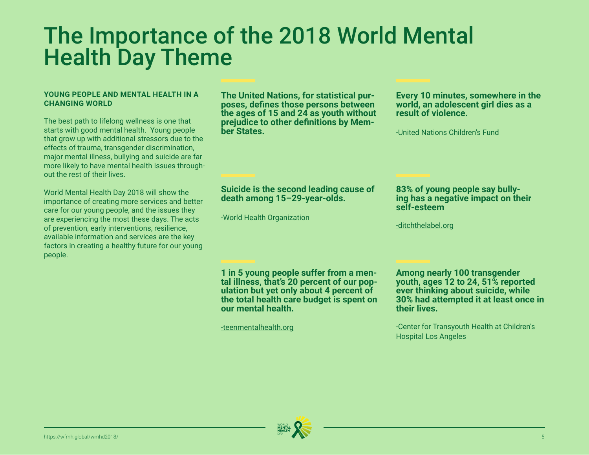### The Importance of the 2018 World Mental Health Day Theme

#### **YOUNG PEOPLE AND MENTAL HEALTH IN A CHANGING WORLD**

The best path to lifelong wellness is one that starts with good mental health. Young people that grow up with additional stressors due to the effects of trauma, transgender discrimination, major mental illness, bullying and suicide are far more likely to have mental health issues throughout the rest of their lives.

World Mental Health Day 2018 will show the importance of creating more services and better care for our young people, and the issues they are experiencing the most these days. The acts of prevention, early interventions, resilience, available information and services are the key factors in creating a healthy future for our young people.

**The United Nations, for statistical purposes, defines those persons between the ages of 15 and 24 as youth without prejudice to other definitions by Member States.**

#### **Suicide is the second leading cause of death among 15–29-year-olds.**

-World Health Organization

**1 in 5 young people suffer from a mental illness, that's 20 percent of our population but yet only about 4 percent of the total health care budget is spent on our mental health.**

-[teenmentalhealth.org](http://teenmentalhealth.org)

**Every 10 minutes, somewhere in the world, an adolescent girl dies as a result of violence.** 

-United Nations Children's Fund

**83% of young people say bullying has a negative impact on their self-esteem**

[-ditchthelabel.org](http://ditchthelabel.org)

**Among nearly 100 transgender youth, ages 12 to 24, 51% reported ever thinking about suicide, while 30% had attempted it at least once in their lives.**

-Center for Transyouth Health at Children's Hospital Los Angeles

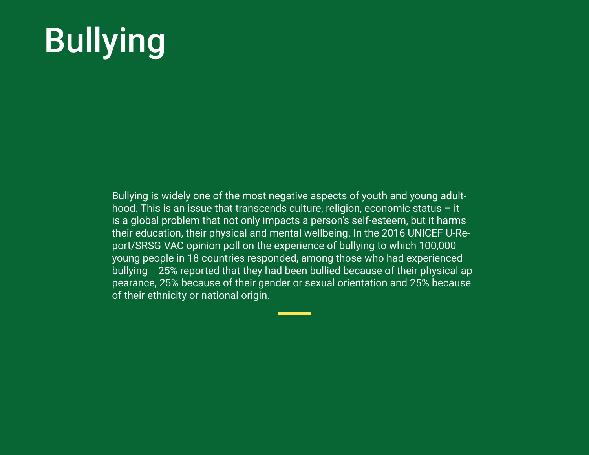# Bullying

Bullying is widely one of the most negative aspects of youth and young adulthood. This is an issue that transcends culture, religion, economic status – it is a global problem that not only impacts a person's self-esteem, but it harms their education, their physical and mental wellbeing. In the 2016 UNICEF U-Report/SRSG-VAC opinion poll on the experience of bullying to which 100,000 young people in 18 countries responded, among those who had experienced bullying - 25% reported that they had been bullied because of their physical appearance, 25% because of their gender or sexual orientation and 25% because of their ethnicity or national origin.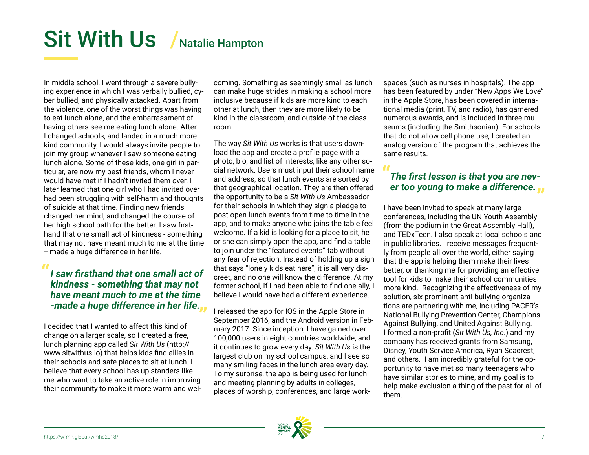### Sit With Us / Natalie Hampton

In middle school, I went through a severe bullying experience in which I was verbally bullied, cyber bullied, and physically attacked. Apart from the violence, one of the worst things was having to eat lunch alone, and the embarrassment of having others see me eating lunch alone. After I changed schools, and landed in a much more kind community, I would always invite people to join my group whenever I saw someone eating lunch alone. Some of these kids, one girl in particular, are now my best friends, whom I never would have met if I hadn't invited them over. I later learned that one girl who I had invited over had been struggling with self-harm and thoughts of suicide at that time. Finding new friends changed her mind, and changed the course of her high school path for the better. I saw firsthand that one small act of kindness - something that may not have meant much to me at the time -- made a huge difference in her life.

#### *I saw firsthand that one small act of kindness - something that may not have meant much to me at the time*  -**made a huge difference in her life.<sub>,,</sub>**<br>lecided that I wanted to affect this kind of "

I decided that I wanted to affect this kind of change on a larger scale, so I created a free, lunch planning app called *Sit With Us* ([http://](http://www.sitwithus.io) [www.sitwithus.io](http://www.sitwithus.io)) that helps kids find allies in their schools and safe places to sit at lunch. I believe that every school has up standers like me who want to take an active role in improving their community to make it more warm and wel-

coming. Something as seemingly small as lunch can make huge strides in making a school more inclusive because if kids are more kind to each other at lunch, then they are more likely to be kind in the classroom, and outside of the classroom.

The way *Sit With Us* works is that users download the app and create a profile page with a photo, bio, and list of interests, like any other social network. Users must input their school name and address, so that lunch events are sorted by that geographical location. They are then offered the opportunity to be a *Sit With Us* Ambassador for their schools in which they sign a pledge to post open lunch events from time to time in the app, and to make anyone who joins the table feel welcome. If a kid is looking for a place to sit, he or she can simply open the app, and find a table to join under the "featured events" tab without any fear of rejection. Instead of holding up a sign that says "lonely kids eat here", it is all very discreet, and no one will know the difference. At my former school, if I had been able to find one ally, I believe I would have had a different experience.

I released the app for IOS in the Apple Store in September 2016, and the Android version in February 2017. Since inception, I have gained over 100,000 users in eight countries worldwide, and it continues to grow every day. *Sit With Us* is the largest club on my school campus, and I see so many smiling faces in the lunch area every day. To my surprise, the app is being used for lunch and meeting planning by adults in colleges, places of worship, conferences, and large work-

spaces (such as nurses in hospitals). The app has been featured by under "New Apps We Love" in the Apple Store, has been covered in international media (print, TV, and radio), has garnered numerous awards, and is included in three museums (including the Smithsonian). For schools that do not allow cell phone use, I created an analog version of the program that achieves the same results.

### *The first lesson is that you are nev***er too young to make a difference. , ,**<br>lave been invited to speak at manv large "<br>"

I have been invited to speak at many large conferences, including the UN Youth Assembly (from the podium in the Great Assembly Hall), and TEDxTeen. I also speak at local schools and in public libraries. I receive messages frequently from people all over the world, either saying that the app is helping them make their lives better, or thanking me for providing an effective tool for kids to make their school communities more kind. Recognizing the effectiveness of my solution, six prominent anti-bullying organizations are partnering with me, including PACER's National Bullying Prevention Center, Champions Against Bullying, and United Against Bullying. I formed a non-profit (*Sit With Us, Inc*.) and my company has received grants from Samsung, Disney, Youth Service America, Ryan Seacrest, and others. I am incredibly grateful for the opportunity to have met so many teenagers who have similar stories to mine, and my goal is to help make exclusion a thing of the past for all of them.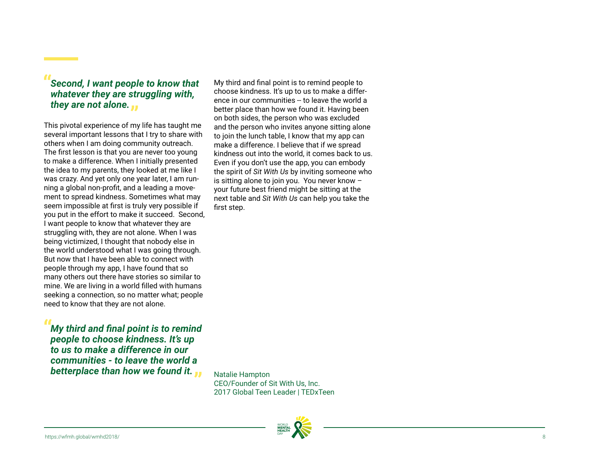*Second, I want people to know that whatever they are struggling with, they are not alone.*

are y are riot arone.<br>This pivotal experience of my life has taught me several important lessons that I try to share with others when I am doing community outreach. The first lesson is that you are never too young to make a difference. When I initially presented the idea to my parents, they looked at me like I was crazy. And yet only one year later, I am run ning a global non-profit, and a leading a move ment to spread kindness. Sometimes what may seem impossible at first is truly very possible if you put in the effort to make it succeed. Second, I want people to know that whatever they are struggling with, they are not alone. When I was being victimized, I thought that nobody else in the world understood what I was going through. But now that I have been able to connect with people through my app, I have found that so many others out there have stories so similar to mine. We are living in a world filled with humans seeking a connection, so no matter what; people need to know that they are not alone. " The of The to the writing served the Bullet of the Bullet of the Bullet of the Bullet of the Bullet of the Bullet of the Bullet of the Bullet of the Bullet of the Bullet of the Bullet of the Bullet of the Bullet of the B

*My third and final point is to remind people to choose kindness. It's up to us to make a difference in our communities - to leave the world a betterplace than how we found it.* "

My third and final point is to remind people to choose kindness. It's up to us to make a differ ence in our communities -- to leave the world a better place than how we found it. Having been on both sides, the person who was excluded and the person who invites anyone sitting alone to join the lunch table, I know that my app can make a difference. I believe that if we spread kindness out into the world, it comes back to us. Even if you don't use the app, you can embody the spirit of *Sit With Us* by inviting someone who is sitting alone to join you. You never know – your future best friend might be sitting at the next table and *Sit With Us* can help you take the first step.

Natalie Hampton CEO/Founder of Sit With Us, Inc. 2017 Global Teen Leader | TEDxTeen

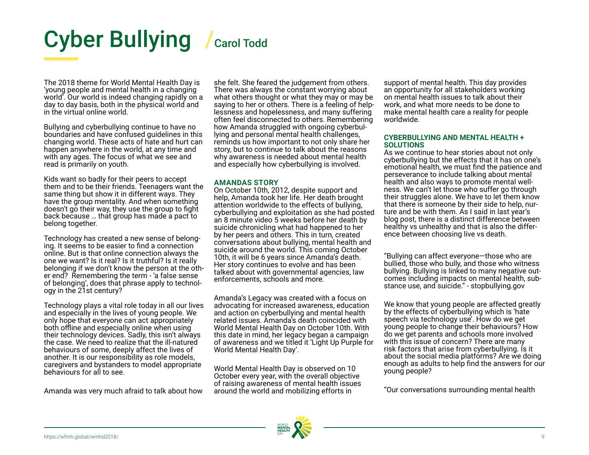## Cyber Bullying / Carol Todd

The 2018 theme for World Mental Health Day is 'young people and mental health in a changing world'. Our world is indeed changing rapidly on a day to day basis, both in the physical world and in the virtual online world.

Bullying and cyberbullying continue to have no boundaries and have confused guidelines in this changing world. These acts of hate and hurt can happen anywhere in the world, at any time and with any ages. The focus of what we see and read is primarily on youth.

Kids want so badly for their peers to accept them and to be their friends. Teenagers want the same thing but show it in different ways. They have the group mentality. And when something doesn't go their way, they use the group to fight back because … that group has made a pact to belong together.

Technology has created a new sense of belonging. It seems to be easier to find a connection online. But is that online connection always the one we want? Is it real? Is it truthful? Is it really belonging if we don't know the person at the other end? Remembering the term - 'a false sense of belonging', does that phrase apply to technology in the 21st century?

Technology plays a vital role today in all our lives and especially in the lives of young people. We only hope that everyone can act appropriately both offline and especially online when using their technology devices. Sadly, this isn't always the case. We need to realize that the ill-natured behaviours of some, deeply affect the lives of another. It is our responsibility as role models, caregivers and bystanders to model appropriate behaviours for all to see.

Amanda was very much afraid to talk about how

she felt. She feared the judgement from others. There was always the constant worrying about what others thought or what they may or may be saying to her or others. There is a feeling of helplessness and hopelessness, and many suffering often feel disconnected to others. Remembering how Amanda struggled with ongoing cyberbullying and personal mental health challenges, reminds us how important to not only share her story, but to continue to talk about the reasons why awareness is needed about mental health and especially how cyberbullying is involved.

#### **AMANDAS STORY**

On October 10th, 2012, despite support and help, Amanda took her life. Her death brought attention worldwide to the effects of bullying, cyberbullying and exploitation as she had posted an 8 minute video 5 weeks before her death by suicide chronicling what had happened to her by her peers and others. This in turn, created conversations about bullying, mental health and suicide around the world. This coming October 10th, it will be 6 years since Amanda's death. Her story continues to evolve and has been talked about with governmental agencies, law enforcements, schools and more.

Amanda's Legacy was created with a focus on advocating for increased awareness, education and action on cyberbullying and mental health related issues. Amanda's death coincided with World Mental Health Day on October 10th. With this date in mind, her legacy began a campaign of awareness and we titled it 'Light Up Purple for World Mental Health Day'.

World Mental Health Day is observed on 10 October every year, with the overall objective of raising awareness of mental health issues around the world and mobilizing efforts in

support of mental health. This day provides an opportunity for all stakeholders working on mental health issues to talk about their work, and what more needs to be done to make mental health care a reality for people worldwide.

#### **CYBERBULLYING AND MENTAL HEALTH + SOLUTIONS**

As we continue to hear stories about not only cyberbullying but the effects that it has on one's emotional health, we must find the patience and perseverance to include talking about mental health and also ways to promote mental wellness. We can't let those who suffer go through their struggles alone. We have to let them know that there is someone by their side to help, nurture and be with them. As I said in last year's blog post, there is a distinct difference between healthy vs unhealthy and that is also the difference between choosing live vs death.

"Bullying can affect everyone—those who are bullied, those who bully, and those who witness<br>bullying. Bullying is linked to many negative outcomes including impacts on mental health, sub-<br>stance use, and suicide." - stopbullying.gov

We know that young people are affected greatly by the effects of cyberbullying which is 'hate speech via technology use'. How do we get young people to change their behaviours? How do we get parents and schools more involved with this issue of concern? There are many risk factors that arise from cyberbullying. Is it about the social media platforms? Are we doing enough as adults to help find the answers for our young people?

"Our conversations surrounding mental health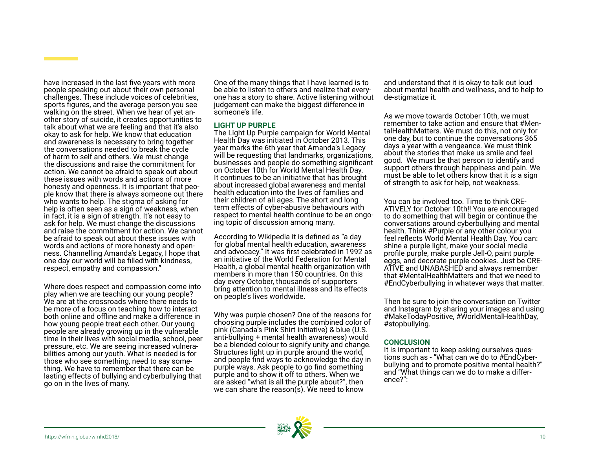have increased in the last five years with more people speaking out about their own personal challenges. These include voices of celebrities, sports figures, and the average person you see walking on the street. When we hear of yet another story of suicide, it creates opportunities to talk about what we are feeling and that it's also okay to ask for help. We know that education and awareness is necessary to bring together the conversations needed to break the cycle of harm to self and others. We must change the discussions and raise the commitment for action. We cannot be afraid to speak out about these issues with words and actions of more honesty and openness. It is important that people know that there is always someone out there who wants to help. The stigma of asking for help is often seen as a sign of weakness, when in fact, it is a sign of strength. It's not easy to ask for help. We must change the discussions and raise the commitment for action. We cannot be afraid to speak out about these issues with words and actions of more honesty and openness. Channelling Amanda's Legacy, I hope that one day our world will be filled with kindness, respect, empathy and compassion."

Where does respect and compassion come into play when we are teaching our young people? We are at the crossroads where there needs to be more of a focus on teaching how to interact both online and offline and make a difference in how young people treat each other. Our young people are already growing up in the vulnerable time in their lives with social media, school, peer bilities among our youth. What is needed is for<br>those who see something, need to say something. We have to remember that there can be. lasting effects of bullying and cyberbullying that go on in the lives of many.

One of the many things that I have learned is to be able to listen to others and realize that everyone has a story to share. Active listening without judgement can make the biggest difference in someone's life.

#### **LIGHT UP PURPLE**

The [Light Up Purple campaign](http://www.lightuppurple.com/) for World Mental Health Day was initiated in October 2013. This year marks the 6th year that Amanda's Legacy will be requesting that landmarks, organizations, businesses and people do something significant on October 10th for [World Mental Health Day.](http://www.who.int/mental_health/world-mental-health-day/2014/en/) It continues to be a[n initiative that has brough](http://www.who.int/mental_health/world-mental-health-day/2014/en/)t about increased global awareness and mental health education into the lives of families and their children of all ages. The short and long term effects of cyber-abusive behaviours with respect to mental health continue to be an ongoing topic of discussion among many.

According to [Wikipedia](http://en.wikipedia.org/wiki/World_Mental_Health_Day) it is defined as "a day for global mental health education, awareness and advocacy." It was first celebrated in 1992 as an initiative of the [World Federation for Mental](http://wfmh.com/)  [Health,](http://wfmh.com/) a global mental health organization with members in more than 150 countries. On this day every October, thousands of supporters bring attention to mental illness and its effects on people's lives worldwide.

Why was purple chosen? One of the reasons for choosing purple includes the combined color of pink (Canada's Pink Shirt initiative) & blue (U.S. anti-bullying + mental health awareness) would be a blended colour to signify unity and change. Structures light up in purple around the world, and people find ways to acknowledge the day in purple ways. Ask people to go find something purple and to show it off to others. When we are asked "what is all the purple about?", then we can share the reason(s). We need to know

and understand that it is okay to talk out loud about mental health and wellness, and to help to de-stigmatize it.

As we move towards October 10th, we must remember to take action and ensure that #MentalHealthMatters. We must do this, not only for one day, but to continue the conversations 365 days a year with a vengeance. We must think about the stories that make us smile and feel good. We must be that person to identify and support others through happiness and pain. We must be able to let others know that it is a sign of strength to ask for help, not weakness.

You can be involved too. Time to think CRE-ATIVELY for October 10th!! You are encouraged to do something that will begin or continue the conversations around cyberbullying and mental health. Think #Purple or any other colour you feel reflects World Mental Health Day. You can: shine a purple light, make your social media profile purple, make purple Jell-O, paint purple eggs, and decorate purple cookies. Just be CRE-ATIVE and UNABASHED and always remember that #MentalHealthMatters and that we need to #EndCyberbullying in whatever ways that matter.

Then be sure to join the conversation on Twitter and Instagram by sharing your images and using #MakeTodayPositive, #WorldMentalHealthDay, #stopbullying.

**CONCLUSION** tions such as - "What can we do to #EndCyber-<br>bullying and to promote positive mental health?" and "What things can we do to make a differ- ence?":

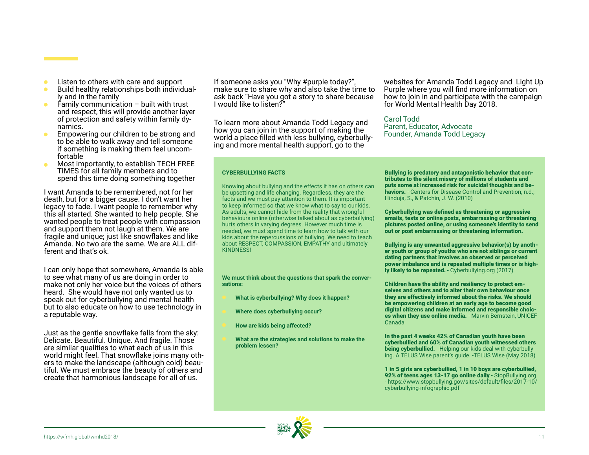- Listen to others with care and support
- Build healthy relationships both individual- $\bullet$ ly and in the family
- Family communication built with trust and respect, this will provide another layer of protection and safety within family dynamics.
- Empowering our children to be strong and  $\bullet$ to be able to walk away and tell someone if something is making them feel uncomfortable
- Most importantly, to establish TECH FREE  $\bullet$ TIMES for all family members and to spend this time doing something together

I want Amanda to be remembered, not for her death, but for a bigger cause. I don't want her legacy to fade. I want people to remember why this all started. She wanted to help people. She wanted people to treat people with compassion and support them not laugh at them. We are fragile and unique; just like snowflakes and like Amanda. No two are the same. We are ALL different and that's ok.

I can only hope that somewhere, Amanda is able to see what many of us are doing in order to make not only her voice but the voices of others heard. She would have not only wanted us to speak out for cyberbullying and mental health but to also educate on how to use technology in a reputable way.

Just as the gentle snowflake falls from the sky: Delicate. Beautiful. Unique. And fragile. Those are similar qualities to what each of us in this world might feel. That snowflake joins many others to make the landscape (although cold) beautiful. We must embrace the beauty of others and create that harmonious landscape for all of us.

If someone asks you "Why #purple today?", make sure to share why and also take the time to ask back "Have you got a story to share because I would like to listen?"

To learn more about Amanda Todd Legacy and how you can join in the support of making the world a place filled with less bullying, cyberbullying and more mental health support, go to the

websites for [Amanda Todd Legacy](http://www.amandatoddlegacy.org/) and [Light Up](http://www.lightuppurple.com/)  [Purple](http://www.lightuppurple.com/) where you will find more information on how to join in and participate with the campaign for World Mental Health Day 2018.

Carol Todd Parent, Educator, Advocate Founder, Amanda Todd Legacy

#### **CYBERBULLYING FACTS**

Knowing about bullying and the effects it has on others can be upsetting and life changing. Regardless, they are the facts and we must pay attention to them. It is important to keep informed so that we know what to say to our kids. As adults, we cannot hide from the reality that wrongful behaviours online (otherwise talked about as cyberbullying) hurts others in varying degrees. However much time is needed, we must spend time to learn how to talk with our kids about the repercussions of bullying. We need to teach about RESPECT, COMPASSION, EMPATHY and ultimately KINDNESS!

**We must think about the questions that spark the conversations:**

- **What is cyberbullying? Why does it happen?**
- **Where does cyberbullying occur?**
- **How are kids being affected?**
- **What are the strategies and solutions to make the problem lessen?**

Bullying is predatory and antagonistic behavior that contributes to the silent misery of millions of students and puts some at increased risk for suicidal thoughts and behaviors. - Centers for Disease Control and Prevention, n.d.; Hinduja, S., & Patchin, J. W. (2010)

Cyberbullying was defined as threatening or aggressive emails, texts or online posts, embarrassing or threatening pictures posted online, or using someone's identity to send out or post embarrassing or threatening information.

Bullying is any unwanted aggressive behavior(s) by another youth or group of youths who are not siblings or current dating partners that involves an observed or perceived power imbalance and is repeated multiple times or is highly likely to be repeated. - Cyberbullying.org (2017)

Children have the ability and resiliency to protect emselves and others and to alter their own behaviour once they are effectively informed about the risks. We should be empowering children at an early age to become good digital citizens and make informed and responsible choices when they use online media. - Marvin Bernstein, UNICEF Canada

In the past 4 weeks 42% of Canadian youth have been cyberbullied and 60% of Canadian youth witnessed others being cyberbullied. - Helping our kids deal with cyberbullying. A TELUS Wise parent's guide. -TELUS Wise (May 2018)

1 in 5 girls are cyberbullied, 1 in 10 boys are cyberbullied, 92% of teens ages 13-17 go online daily - StopBullying.org - https://www.stopbullying.gov/sites/default/files/2017-10/ cyberbullying-infographic.pdf

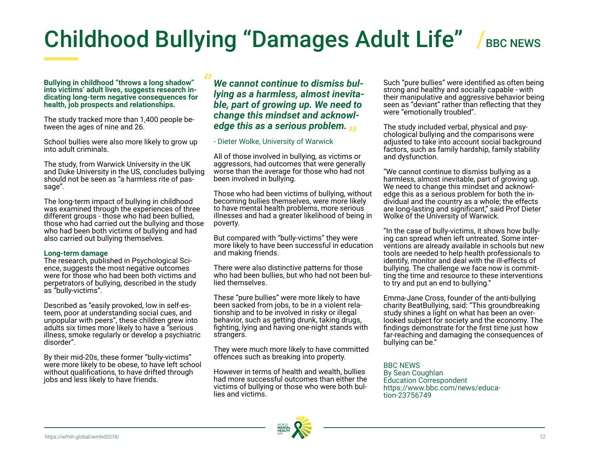### Childhood Bullying "Damages Adult Life" /BBC NEWS

**Bullying in childhood "throws a long shadow" into victims' adult lives, suggests research indicating long-term negative consequences for health, job prospects and relationships.**

The study tracked more than 1,400 people between the ages of nine and 26.

School bullies were also more likely to grow up into adult criminals.

The study, from Warwick University in the UK and Duke University in the US, concludes bullying should not be seen as "a harmless rite of passage".

The long-term impact of bullying in childhood was examined through the experiences of three different groups - those who had been bullied, those who had carried out the bullying and those who had been both victims of bullying and had also carried out bullying themselves.

#### **Long-term damage**

The research, published in Psychological Science, suggests the most negative outcomes were for those who had been both victims and perpetrators of bullying, described in the study as "bully-victims".

Described as "easily provoked, low in self-esteem, poor at understanding social cues, and unpopular with peers", these children grew into adults six times more likely to have a "serious illness, smoke regularly or develop a psychiatric disorder".

By their mid-20s, these former "bully-victims" were more likely to be obese, to have left school without qualifications, to have drifted through jobs and less likely to have friends.

*We cannot continue to dismiss bullying as a harmless, almost inevitable, part of growing up. We need to change this mindset and acknowl***edge this as a serious problem. ,,**<br>- Dieter Wolke, University of Warwick

- Dieter Wolke, University of Warwick

"

All of those involved in bullying, as victims or aggressors, had outcomes that were generally worse than the average for those who had not been involved in bullying.

Those who had been victims of bullying, without becoming bullies themselves, were more likely to have mental health problems, more serious illnesses and had a greater likelihood of being in poverty.

But compared with "bully-victims" they were more likely to have been successful in education and making friends.

There were also distinctive patterns for those who had been bullies, but who had not been bullied themselves.

These "pure bullies" were more likely to have been sacked from jobs, to be in a violent relationship and to be involved in risky or illegal behavior, such as getting drunk, taking drugs, fighting, lying and having one-night stands with strangers.

They were much more likely to have committed offences such as breaking into property.

However in terms of health and wealth, bullies had more successful outcomes than either the victims of bullying or those who were both bullies and victims.

Such "pure bullies" were identified as often being strong and healthy and socially capable - with their manipulative and aggressive behavior being seen as "deviant" rather than reflecting that they were "emotionally troubled".

The study included verbal, physical and psychological bullying and the comparisons were adjusted to take into account social background factors, such as family hardship, family stability and dysfunction.

"We cannot continue to dismiss bullying as a harmless, almost inevitable, part of growing up. We need to change this mindset and acknowledge this as a serious problem for both the individual and the country as a whole; the effects are long-lasting and significant," said Prof Dieter Wolke of the University of Warwick.

"In the case of bully-victims, it shows how bully- ing can spread when left untreated. Some inter- ventions are already available in schools but new tools are needed to help health professionals to identify, monitor and deal with the ill-effects of ting the time and resource to these interventions to try and put an end to bullying."

Emma-Jane Cross, founder of the anti-bullying charity BeatBullying, said: "This groundbreaking<br>study shines a light on what has been an overlooked subject for society and the economy. The findings demonstrate for the first time just how far-reaching and damaging the consequences of bullying can be."

#### BBC NEWS

By Sean Coughlan Education Correspondent [https://www.bbc.com/news/educa](https://www.bbc.com/news/education-23756749)[tion-23756749](https://www.bbc.com/news/education-23756749)

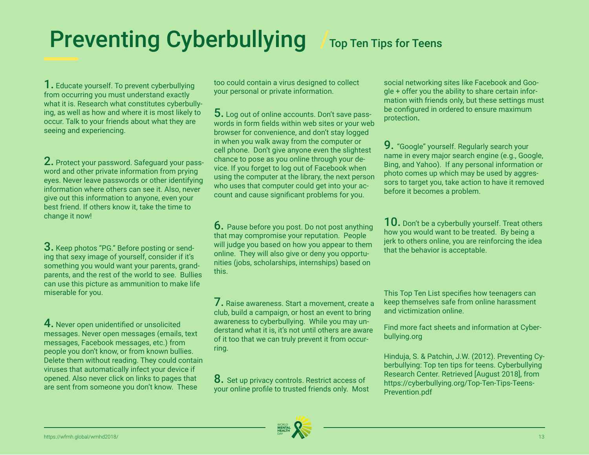## Preventing Cyberbullying /Top Ten Tips for Teens

1. Educate yourself. To prevent cyberbullying from occurring you must understand exactly what it is. Research what constitutes cyberbullying, as well as how and where it is most likely to occur. Talk to your friends about what they are

2. Protect your password. Safeguard your password and other private information from prying eyes. Never leave passwords or other identifying information where others can see it. Also, never give out this information to anyone, even your best friend. If others know it, take the time to

3. Keep photos "PG." Before posting or sending that sexy image of yourself, consider if it's something you would want your parents, grandparents, and the rest of the world to see. Bullies can use this picture as ammunition to make life

4. Never open unidentified or unsolicited messages. Never open messages (emails, text messages, Facebook messages, etc.) from people you don't know, or from known bullies. Delete them without reading. They could contain viruses that automatically infect your device if opened. Also never click on links to pages that are sent from someone you don't know. These

seeing and experiencing.

change it now!

miserable for you.

too could contain a virus designed to collect your personal or private information.

5. Log out of online accounts. Don't save passwords in form fields within web sites or your web browser for convenience, and don't stay logged in when you walk away from the computer or cell phone. Don't give anyone even the slightest chance to pose as you online through your device. If you forget to log out of Facebook when using the computer at the library, the next person who uses that computer could get into your account and cause significant problems for you.

**6.** Pause before you post. Do not post anything that may compromise your reputation. People will judge you based on how you appear to them online. They will also give or deny you opportunities (jobs, scholarships, internships) based on this.

7. Raise awareness. Start a movement, create a club, build a campaign, or host an event to bring awareness to cyberbullying. While you may understand what it is, it's not until others are aware of it too that we can truly prevent it from occurring.

8. Set up privacy controls. Restrict access of your online profile to trusted friends only. Most

social networking sites like Facebook and Google + offer you the ability to share certain information with friends only, but these settings must be configured in ordered to ensure maximum protection**.**

**9.** "Google" yourself. Regularly search your name in every major search engine (e.g., Google, Bing, and Yahoo). If any personal information or photo comes up which may be used by aggressors to target you, take action to have it removed before it becomes a problem.

 $10.$  Don't be a cyberbully yourself. Treat others how you would want to be treated. By being a jerk to others online, you are reinforcing the idea that the behavior is acceptable.

This Top Ten List specifies how teenagers can keep themselves safe from online harassment and victimization online.

Find more fact sheets and information at Cyberbullying.org

Hinduja, S. & Patchin, J.W. (2012). Preventing Cyberbullying: Top ten tips for teens. Cyberbullying Research Center. Retrieved [August 2018], from https://cyberbullying.org/Top-Ten-Tips-Teens-Prevention.pdf

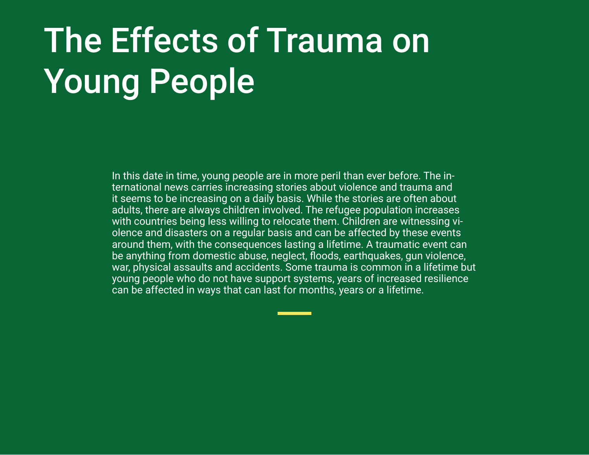## The Effects of Trauma on Young People

In this date in time, young people are in more peril than ever before. The international news carries increasing stories about violence and trauma and it seems to be increasing on a daily basis. While the stories are often about adults, there are always children involved. The refugee population increases with countries being less willing to relocate them. Children are witnessing violence and disasters on a regular basis and can be affected by these events around them, with the consequences lasting a lifetime. A traumatic event can be anything from domestic abuse, neglect, floods, earthquakes, gun violence, war, physical assaults and accidents. Some trauma is common in a lifetime but young people who do not have support systems, years of increased resilience can be affected in ways that can last for months, years or a lifetime.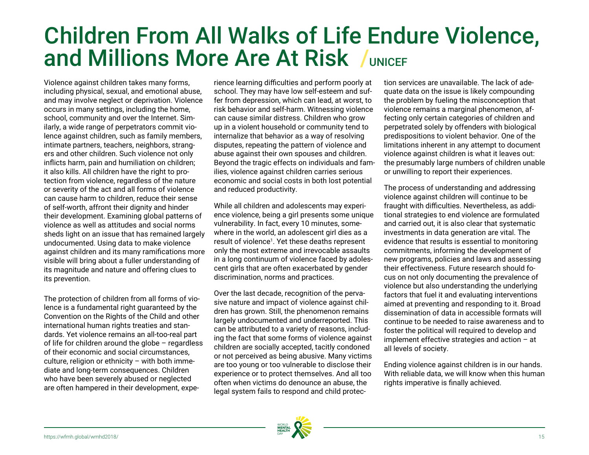### Children From All Walks of Life Endure Violence, and Millions More Are At Risk /UNICEF

Violence against children takes many forms, including physical, sexual, and emotional abuse, and may involve neglect or deprivation. Violence occurs in many settings, including the home, school, community and over the Internet. Similarly, a wide range of perpetrators commit violence against children, such as family members, intimate partners, teachers, neighbors, strangers and other children. Such violence not only inflicts harm, pain and humiliation on children; it also kills. All children have the right to protection from violence, regardless of the nature or severity of the act and all forms of violence can cause harm to children, reduce their sense of self-worth, affront their dignity and hinder their development. Examining global patterns of violence as well as attitudes and social norms sheds light on an issue that has remained largely undocumented. Using data to make violence against children and its many ramifications more visible will bring about a fuller understanding of its magnitude and nature and offering clues to its prevention.

The protection of children from all forms of violence is a fundamental right guaranteed by the Convention on the Rights of the Child and other international human rights treaties and standards. Yet violence remains an all-too-real part of life for children around the globe – regardless of their economic and social circumstances, culture, religion or ethnicity – with both immediate and long-term consequences. Children who have been severely abused or neglected are often hampered in their development, expe-

rience learning difficulties and perform poorly at school. They may have low self-esteem and suffer from depression, which can lead, at worst, to risk behavior and self-harm. Witnessing violence can cause similar distress. Children who grow up in a violent household or community tend to internalize that behavior as a way of resolving disputes, repeating the pattern of violence and abuse against their own spouses and children. Beyond the tragic effects on individuals and families, violence against children carries serious economic and social costs in both lost potential and reduced productivity.

While all children and adolescents may experience violence, being a girl presents some unique vulnerability. In fact, every 10 minutes, somewhere in the world, an adolescent girl dies as a result of violence<sup>1</sup>. Yet these deaths represent only the most extreme and irrevocable assaults in a long continuum of violence faced by adolescent girls that are often exacerbated by gender discrimination, norms and practices.

Over the last decade, recognition of the pervasive nature and impact of violence against children has grown. Still, the phenomenon remains largely undocumented and underreported. This can be attributed to a variety of reasons, including the fact that some forms of violence against children are socially accepted, tacitly condoned or not perceived as being abusive. Many victims are too young or too vulnerable to disclose their experience or to protect themselves. And all too often when victims do denounce an abuse, the legal system fails to respond and child protec-

tion services are unavailable. The lack of adequate data on the issue is likely compounding the problem by fueling the misconception that violence remains a marginal phenomenon, affecting only certain categories of children and perpetrated solely by offenders with biological predispositions to violent behavior. One of the limitations inherent in any attempt to document violence against children is what it leaves out: the presumably large numbers of children unable or unwilling to report their experiences.

The process of understanding and addressing violence against children will continue to be fraught with difficulties. Nevertheless, as additional strategies to end violence are formulated and carried out, it is also clear that systematic investments in data generation are vital. The evidence that results is essential to monitoring commitments, informing the development of new programs, policies and laws and assessing their effectiveness. Future research should focus on not only documenting the prevalence of violence but also understanding the underlying factors that fuel it and evaluating interventions aimed at preventing and responding to it. Broad dissemination of data in accessible formats will continue to be needed to raise awareness and to foster the political will required to develop and implement effective strategies and action – at all levels of society.

Ending violence against children is in our hands. With reliable data, we will know when this human rights imperative is finally achieved.

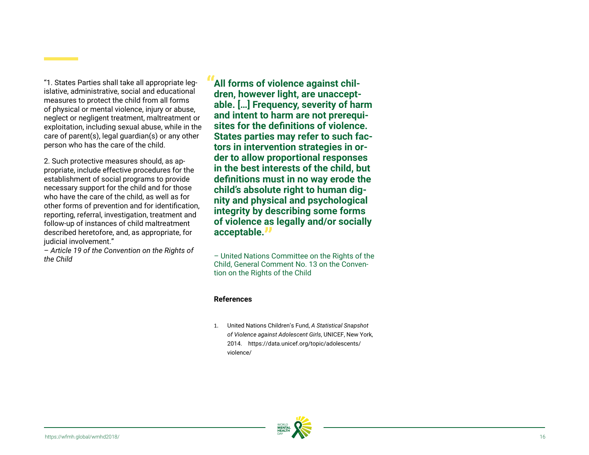"1. States Parties shall take all appropriate legislative, administrative, social and educational measures to protect the child from all forms of physical or mental violence, injury or abuse, neglect or negligent treatment, maltreatment or exploitation, including sexual abuse, while in the care of parent(s), legal guardian(s) or any other person who has the care of the child.

2. Such protective measures should, as appropriate, include effective procedures for the establishment of social programs to provide necessary support for the child and for those who have the care of the child, as well as for other forms of prevention and for identification, reporting, referral, investigation, treatment and follow-up of instances of child maltreatment described heretofore, and, as appropriate, for judicial involvement."

– *Article 19 of the Convention on the Rights of the Child*

**All forms of violence against chil-**<br>dren. however light, are unaccept**dren, however light, are unacceptable. […] Frequency, severity of harm and intent to harm are not prerequisites for the definitions of violence. States parties may refer to such factors in intervention strategies in order to allow proportional responses in the best interests of the child, but definitions must in no way erode the child's absolute right to human dignity and physical and psychological integrity by describing some forms of violence as legally and/or socially acceptable.** "

#### **References**

1. United Nations Children's Fund, *A Statistical Snapshot of Violence against Adolescent Girls*, UNICEF, New York, 2014. https://data.unicef.org/topic/adolescents/ violence/



<sup>–</sup> United Nations Committee on the Rights of the Child, General Comment No. 13 on the Convention on the Rights of the Child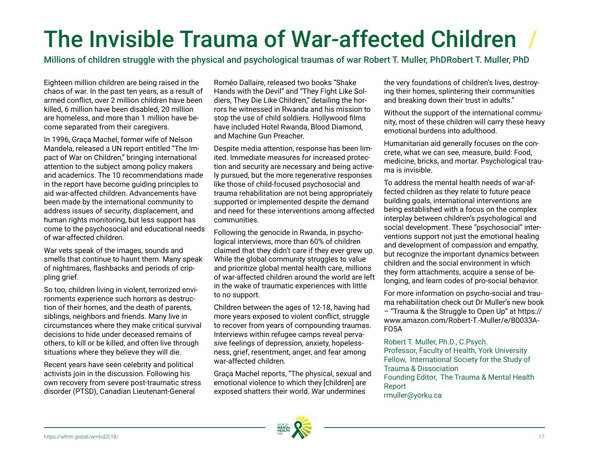## The Invisible Trauma of War-affected Children /<br>Millions of children struggle with the physical and psychological traumas of war Robert T. Muller, PhDRobert T. Muller, PhD

Eighteen million children are being raised in the chaos of war. In the past ten years, as a result of armed conflict, over 2 million children have been killed, 6 million have been disabled, 20 million are homeless, and more than 1 million have become separated from their caregivers.

In 1996, Graça Machel, former wife of Nelson Mandela, released a UN report entitled "The Impact of War on Children," bringing international attention to the subject among policy makers and academics. The 10 recommendations made in the report have become guiding principles to aid war-affected children. Advancements have been made by the international community to address issues of security, displacement, and human rights monitoring, but less support has come to the psychosocial and educational needs of war-affected children.

War vets speak of the images, sounds and smells that continue to haunt them. Many speak of [nightmares,](https://www.psychologytoday.com/us/conditions/nightmares) flashbacks and periods of crippling [grief](https://www.psychologytoday.com/us/basics/grief).

So too, children living in violent, terrorized environments experience such horrors as destruction of their homes, and the death of [parents,](https://www.psychologytoday.com/us/basics/parenting) siblings, neighbors and friends. Many live in circumstances where they make critical survival decisions to hide under deceased remains of others, to kill or be killed, and often live through situations where they believe they will die.

Recent years have seen celebrity and political activists join in the discussion. Following his own recovery from severe post-traumatic [stress](https://www.psychologytoday.com/us/basics/stress)  disorder [\(PTSD](https://www.psychologytoday.com/us/basics/post-traumatic-stress-disorder)), Canadian Lieutenant-General

Roméo Dallaire, released two books "Shake Hands with the Devil" and "They Fight Like Soldiers, They Die Like Children," detailing the horrors he witnessed in Rwanda and his mission to stop the use of child soldiers. Hollywood films have included Hotel Rwanda, Blood Diamond, and Machine Gun Preacher.

Despite media attention, response has been limited. Immediate measures for increased protection and security are necessary and being actively pursued, but the more regenerative responses like those of child-focused psychosocial and trauma rehabilitation are not being appropriately supported or implemented despite the demand and need for these interventions among affected communities.

Following the genocide in Rwanda, in psychological interviews, more than 60% of children claimed that they didn't care if they ever grew up. While the global community struggles to value and prioritize global mental [health](https://www.psychologytoday.com/us/basics/health) care, millions of war-affected children around the world are left in the wake of traumatic experiences with little to no support.

Children between the ages of 12-18, having had more years exposed to violent conflict, struggle to recover from years of compounding traumas. Interviews within refugee camps reveal pervasive feelings of [depression](https://www.psychologytoday.com/us/basics/depression), anxiety, hopelessness, grief, resentment, [anger,](https://www.psychologytoday.com/us/basics/anger) and [fear](https://www.psychologytoday.com/us/basics/fear) among war-affected children.

Graça Machel reports, "The physical, sexual and emotional violence to which they [children] are exposed shatters their world. War undermines

the very foundations of children's lives, destroying their homes, splintering their communities and breaking down their trust in adults."

Without the support of the international community, most of these children will carry these heavy emotional burdens into adulthood.

Humanitarian aid generally focuses on the concrete, what we can see, measure, build: Food, medicine, bricks, and mortar. Psychological trauma is invisible.

To address the mental health needs of war-affected children as they relate to future peace building [goals](https://www.psychologytoday.com/us/basics/motivation), international interventions are being established with a focus on the complex interplay between children's psychological and social development. These "psychosocial" interventions support not just the emotional healing and development of compassion and [empathy](https://www.psychologytoday.com/us/basics/empathy), but recognize the important dynamics between children and the social environment in which they form attachments, acquire a sense of belonging, and learn codes of pro-social behavior.

For more information on psycho-social and trauma rehabilitation check out Dr Muller's new book – "Trauma & the Struggle to Open Up" at [https://](https://www.amazon.com/Robert-T.-Muller/e/B0033AFO5A) [www.amazon.com/Robert-T.-Muller/e/B0033A-](https://www.amazon.com/Robert-T.-Muller/e/B0033AFO5A)[FO5A](https://www.amazon.com/Robert-T.-Muller/e/B0033AFO5A)

Robert T. Muller, Ph.D., C.Psych. Professor, Faculty of Health, York University Fellow, International Society for the Study of Trauma & Dissociation Founding Editor, The Trauma & Mental Health Report rmuller@yorku.ca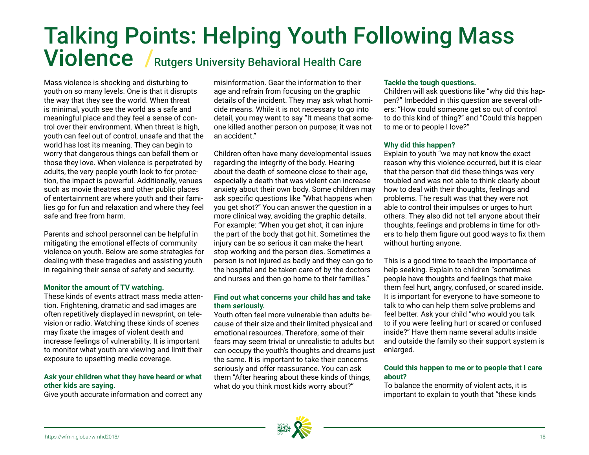### Talking Points: Helping Youth Following Mass Violence / Rutgers University Behavioral Health Care

Mass violence is shocking and disturbing to youth on so many levels. One is that it disrupts the way that they see the world. When threat is minimal, youth see the world as a safe and meaningful place and they feel a sense of control over their environment. When threat is high, youth can feel out of control, unsafe and that the world has lost its meaning. They can begin to worry that dangerous things can befall them or those they love. When violence is perpetrated by adults, the very people youth look to for protection, the impact is powerful. Additionally, venues such as movie theatres and other public places of entertainment are where youth and their families go for fun and relaxation and where they feel safe and free from harm.

Parents and school personnel can be helpful in mitigating the emotional effects of community violence on youth. Below are some strategies for dealing with these tragedies and assisting youth in regaining their sense of safety and security.

#### **Monitor the amount of TV watching.**

These kinds of events attract mass media attention. Frightening, dramatic and sad images are often repetitively displayed in newsprint, on television or radio. Watching these kinds of scenes may fixate the images of violent death and increase feelings of vulnerability. It is important to monitor what youth are viewing and limit their exposure to upsetting media coverage.

#### **Ask your children what they have heard or what other kids are saying.**

Give youth accurate information and correct any

misinformation. Gear the information to their age and refrain from focusing on the graphic details of the incident. They may ask what homicide means. While it is not necessary to go into detail, you may want to say "It means that someone killed another person on purpose; it was not an accident."

Children often have many developmental issues regarding the integrity of the body. Hearing about the death of someone close to their age, especially a death that was violent can increase anxiety about their own body. Some children may ask specific questions like "What happens when you get shot?" You can answer the question in a more clinical way, avoiding the graphic details. For example: "When you get shot, it can injure the part of the body that got hit. Sometimes the injury can be so serious it can make the heart stop working and the person dies. Sometimes a person is not injured as badly and they can go to the hospital and be taken care of by the doctors and nurses and then go home to their families."

#### **Find out what concerns your child has and take them seriously.**

Youth often feel more vulnerable than adults because of their size and their limited physical and emotional resources. Therefore, some of their fears may seem trivial or unrealistic to adults but can occupy the youth's thoughts and dreams just the same. It is important to take their concerns seriously and offer reassurance. You can ask them "After hearing about these kinds of things, what do you think most kids worry about?"

#### **Tackle the tough questions.**

Children will ask questions like "why did this happen?" Imbedded in this question are several others: "How could someone get so out of control to do this kind of thing?" and "Could this happen to me or to people I love?"

#### **Why did this happen?**

Explain to youth "we may not know the exact reason why this violence occurred, but it is clear that the person that did these things was very troubled and was not able to think clearly about how to deal with their thoughts, feelings and problems. The result was that they were not able to control their impulses or urges to hurt others. They also did not tell anyone about their thoughts, feelings and problems in time for others to help them figure out good ways to fix them without hurting anyone.

This is a good time to teach the importance of help seeking. Explain to children "sometimes people have thoughts and feelings that make them feel hurt, angry, confused, or scared inside. It is important for everyone to have someone to talk to who can help them solve problems and feel better. Ask your child "who would you talk to if you were feeling hurt or scared or confused inside?" Have them name several adults inside and outside the family so their support system is enlarged.

#### **Could this happen to me or to people that I care about?**

To balance the enormity of violent acts, it is important to explain to youth that "these kinds

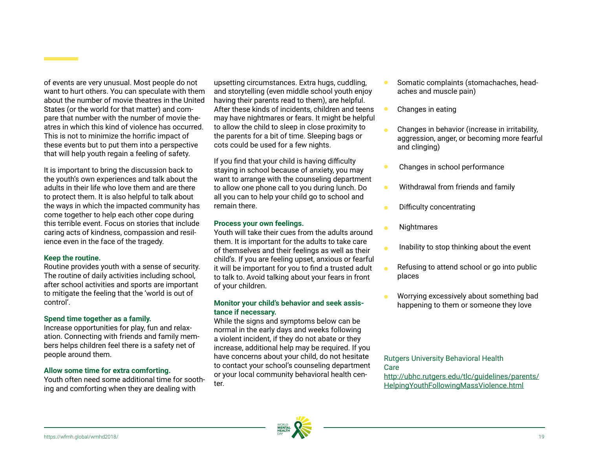of events are very unusual. Most people do not want to hurt others. You can speculate with them about the number of movie theatres in the United States (or the world for that matter) and compare that number with the number of movie theatres in which this kind of violence has occurred. This is not to minimize the horrific impact of these events but to put them into a perspective that will help youth regain a feeling of safety.

It is important to bring the discussion back to the youth's own experiences and talk about the adults in their life who love them and are there to protect them. It is also helpful to talk about the ways in which the impacted community has come together to help each other cope during this terrible event. Focus on stories that include caring acts of kindness, compassion and resilience even in the face of the tragedy.

#### **Keep the routine.**

Routine provides youth with a sense of security. The routine of daily activities including school, after school activities and sports are important to mitigate the feeling that the 'world is out of control'.

#### **Spend time together as a family.**

Increase opportunities for play, fun and relaxation. Connecting with friends and family members helps children feel there is a safety net of people around them.

#### **Allow some time for extra comforting.**

Youth often need some additional time for soothing and comforting when they are dealing with

upsetting circumstances. Extra hugs, cuddling, and storytelling (even middle school youth enjoy having their parents read to them), are helpful. After these kinds of incidents, children and teens may have nightmares or fears. It might be helpful to allow the child to sleep in close proximity to the parents for a bit of time. Sleeping bags or cots could be used for a few nights.

If you find that your child is having difficulty staying in school because of anxiety, you may want to arrange with the counseling department to allow one phone call to you during lunch. Do all you can to help your child go to school and remain there.

#### **Process your own feelings.**

Youth will take their cues from the adults around them. It is important for the adults to take care of themselves and their feelings as well as their child's. If you are feeling upset, anxious or fearful it will be important for you to find a trusted adult to talk to. Avoid talking about your fears in front of your children.

#### **Monitor your child's behavior and seek assistance if necessary.**

While the signs and symptoms below can be normal in the early days and weeks following a violent incident, if they do not abate or they increase, additional help may be required. If you have concerns about your child, do not hesitate to contact your school's counseling department or your local community behavioral health center.

- Somatic complaints (stomachaches, headaches and muscle pain)
- Changes in eating
- Changes in behavior (increase in irritability, aggression, anger, or becoming more fearful and clinging)
- Changes in school performance
- Withdrawal from friends and family
- Difficulty concentrating
- **Nightmares**
- Inability to stop thinking about the event
- Refusing to attend school or go into public places
- Worrying excessively about something bad happening to them or someone they love

Rutgers University Behavioral Health Care [http://ubhc.rutgers.edu/tlc/guidelines/parents/](http://ubhc.rutgers.edu/tlc/guidelines/parents/HelpingYouthFollowingMassViolence.html) [HelpingYouthFollowingMassViolence.html](http://ubhc.rutgers.edu/tlc/guidelines/parents/HelpingYouthFollowingMassViolence.html)

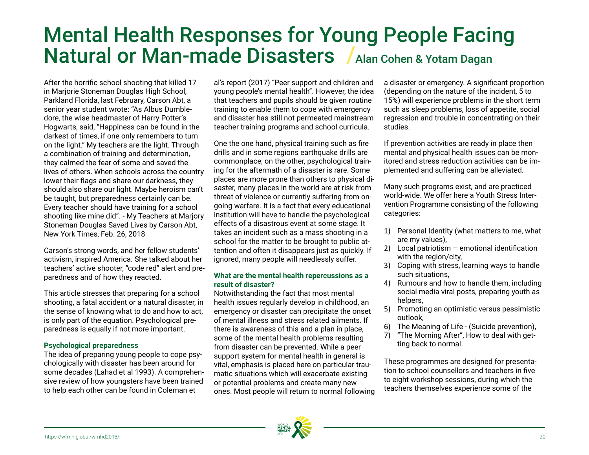### Mental Health Responses for Young People Facing Natural or Man-made Disasters / Alan Cohen & Yotam Dagan

After the horrific school shooting that killed 17 in Marjorie Stoneman Douglas High School, Parkland Florida, last February, Carson Abt, a senior year student wrote: "As Albus Dumbledore, the wise headmaster of Harry Potter's Hogwarts, said, "Happiness can be found in the darkest of times, if one only remembers to turn on the light." My teachers are the light. Through a combination of training and determination, they calmed the fear of some and saved the lives of others. When schools across the country lower their flags and share our darkness, they should also share our light. Maybe heroism can't be taught, but preparedness certainly can be. Every teacher should have training for a school shooting like mine did". - My Teachers at Marjory Stoneman Douglas Saved Lives by Carson Abt, New York Times, Feb. 26, 2018

Carson's strong words, and her fellow students' activism, inspired America. She talked about her teachers' active shooter, "code red" alert and preparedness and of how they reacted.

This article stresses that preparing for a school shooting, a fatal accident or a natural disaster, in the sense of knowing what to do and how to act, is only part of the equation. Psychological preparedness is equally if not more important.

#### **Psychological preparedness**

The idea of preparing young people to cope psychologically with disaster has been around for some decades (Lahad et al 1993). A comprehensive review of how youngsters have been trained to help each other can be found in Coleman et

al's report (2017) "Peer support and children and young people's mental health". However, the idea that teachers and pupils should be given routine training to enable them to cope with emergency and disaster has still not permeated mainstream teacher training programs and school curricula.

One the one hand, physical training such as fire drills and in some regions earthquake drills are commonplace, on the other, psychological training for the aftermath of a disaster is rare. Some places are more prone than others to physical disaster, many places in the world are at risk from threat of violence or currently suffering from ongoing warfare. It is a fact that every educational institution will have to handle the psychological effects of a disastrous event at some stage. It takes an incident such as a mass shooting in a school for the matter to be brought to public attention and often it disappears just as quickly. If ignored, many people will needlessly suffer.

#### **What are the mental health repercussions as a result of disaster?**

Notwithstanding the fact that most mental health issues regularly develop in childhood, an emergency or disaster can precipitate the onset of mental illness and stress related ailments. If there is awareness of this and a plan in place, some of the mental health problems resulting from disaster can be prevented. While a peer support system for mental health in general is vital, emphasis is placed here on particular traumatic situations which will exacerbate existing or potential problems and create many new ones. Most people will return to normal following

a disaster or emergency. A significant proportion (depending on the nature of the incident, 5 to 15%) will experience problems in the short term such as sleep problems, loss of appetite, social regression and trouble in concentrating on their studies.

If prevention activities are ready in place then mental and physical health issues can be monitored and stress reduction activities can be implemented and suffering can be alleviated.

Many such programs exist, and are practiced world-wide. We offer here a Youth Stress Intervention Programme consisting of the following categories:

- 1) Personal Identity (what matters to me, what are my values),
- 2) Local patriotism emotional identification with the region/city.
- 3) Coping with stress, learning ways to handle such situations,
- 4) Rumours and how to handle them, including social media viral posts, preparing youth as helpers,
- 5) Promoting an optimistic versus pessimistic outlook,
- 6) The Meaning of Life (Suicide prevention),
- 7) "The Morning After", How to deal with getting back to normal.

These programmes are designed for presentation to school counsellors and teachers in five to eight workshop sessions, during which the teachers themselves experience some of the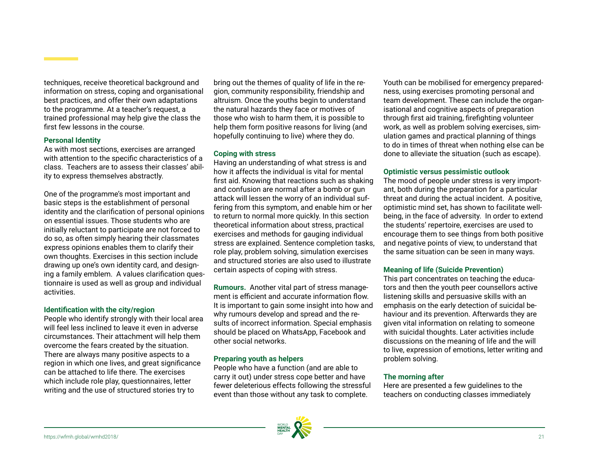techniques, receive theoretical background and information on stress, coping and organisational best practices, and offer their own adaptations to the programme. At a teacher's request, a trained professional may help give the class the first few lessons in the course.

#### **Personal Identity**

As with most sections, exercises are arranged with attention to the specific characteristics of a class. Teachers are to assess their classes' ability to express themselves abstractly.

One of the programme's most important and basic steps is the establishment of personal identity and the clarification of personal opinions on essential issues. Those students who are initially reluctant to participate are not forced to do so, as often simply hearing their classmates express opinions enables them to clarify their own thoughts. Exercises in this section include drawing up one's own identity card, and designing a family emblem. A values clarification questionnaire is used as well as group and individual activities.

#### **Identification with the city/region**

People who identify strongly with their local area will feel less inclined to leave it even in adverse circumstances. Their attachment will help them overcome the fears created by the situation. There are always many positive aspects to a region in which one lives, and great significance can be attached to life there. The exercises which include role play, questionnaires, letter writing and the use of structured stories try to

bring out the themes of quality of life in the region, community responsibility, friendship and altruism. Once the youths begin to understand the natural hazards they face or motives of those who wish to harm them, it is possible to help them form positive reasons for living (and hopefully continuing to live) where they do.

#### **Coping with stress**

Having an understanding of what stress is and how it affects the individual is vital for mental first aid. Knowing that reactions such as shaking and confusion are normal after a bomb or gun attack will lessen the worry of an individual suffering from this symptom, and enable him or her to return to normal more quickly. In this section theoretical information about stress, practical exercises and methods for gauging individual stress are explained. Sentence completion tasks, role play, problem solving, simulation exercises and structured stories are also used to illustrate certain aspects of coping with stress.

**Rumours.** Another vital part of stress management is efficient and accurate information flow. It is important to gain some insight into how and why rumours develop and spread and the results of incorrect information. Special emphasis should be placed on WhatsApp, Facebook and other social networks.

#### **Preparing youth as helpers**

People who have a function (and are able to carry it out) under stress cope better and have fewer deleterious effects following the stressful event than those without any task to complete.

Youth can be mobilised for emergency preparedness, using exercises promoting personal and team development. These can include the organisational and cognitive aspects of preparation through first aid training, firefighting volunteer work, as well as problem solving exercises, simulation games and practical planning of things to do in times of threat when nothing else can be done to alleviate the situation (such as escape).

#### **Optimistic versus pessimistic outlook**

The mood of people under stress is very important, both during the preparation for a particular threat and during the actual incident. A positive, optimistic mind set, has shown to facilitate wellbeing, in the face of adversity. In order to extend the students' repertoire, exercises are used to encourage them to see things from both positive and negative points of view, to understand that the same situation can be seen in many ways.

#### **Meaning of life (Suicide Prevention)**

This part concentrates on teaching the educators and then the youth peer counsellors active listening skills and persuasive skills with an emphasis on the early detection of suicidal behaviour and its prevention. Afterwards they are given vital information on relating to someone with suicidal thoughts. Later activities include discussions on the meaning of life and the will to live, expression of emotions, letter writing and problem solving.

#### **The morning after**

Here are presented a few guidelines to the teachers on conducting classes immediately

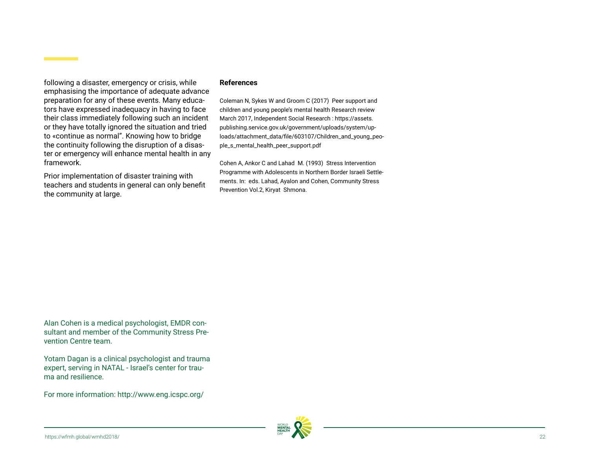following a disaster, emergency or crisis, while emphasising the importance of adequate advance preparation for any of these events. Many educators have expressed inadequacy in having to face their class immediately following such an incident or they have totally ignored the situation and tried to «continue as normal". Knowing how to bridge the continuity following the disruption of a disaster or emergency will enhance mental health in any framework.

Prior implementation of disaster training with teachers and students in general can only benefit the community at large.

#### **References**

Coleman N, Sykes W and Groom C (2017) Peer support and children and young people's mental health Research review March 2017, Independent Social Research : [https://assets.](https://assets.publishing.service.gov.uk/government/uploads/system/uploads/attachment_data/file/603107/Children_and_young_people_s_mental_health_peer_support.pdf) [publishing.service.gov.uk/government/uploads/system/up](https://assets.publishing.service.gov.uk/government/uploads/system/uploads/attachment_data/file/603107/Children_and_young_people_s_mental_health_peer_support.pdf)[loads/attachment\\_data/file/603107/Children\\_and\\_young\\_peo](https://assets.publishing.service.gov.uk/government/uploads/system/uploads/attachment_data/file/603107/Children_and_young_people_s_mental_health_peer_support.pdf)[ple\\_s\\_mental\\_health\\_peer\\_support.pdf](https://assets.publishing.service.gov.uk/government/uploads/system/uploads/attachment_data/file/603107/Children_and_young_people_s_mental_health_peer_support.pdf)

Cohen A, Ankor C and Lahad M. (1993) Stress Intervention Programme with Adolescents in Northern Border Israeli Settlements. In: eds. Lahad, Ayalon and Cohen, Community Stress Prevention Vol.2, Kiryat Shmona.

Alan Cohen is a medical psychologist, EMDR consultant and member of the Community Stress Prevention Centre team.

Yotam Dagan is a clinical psychologist and trauma expert, serving in NATAL - Israel's center for trauma and resilience.

For more information:<http://www.eng.icspc.org/>

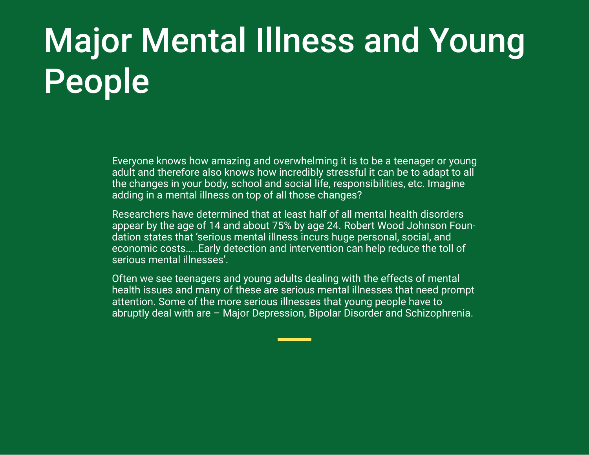# Major Mental Illness and Young People

**MAJOR MENTAL ILLNESS AND YOUNG PEOPLE** adding in a mental illness on top of all those changes? Everyone knows how amazing and overwhelming it is to be a teenager or young adult and therefore also knows how incredibly stressful it can be to adapt to all the changes in your body, school and social life, responsibilities, etc. Imagine

Researchers have determined that at least half of all mental health disorders therefore appear by the age of 14 and about 75% by age 24. Robert Wood Johnson Founalso knows how incredibly stressful it can be to the top of the top of the top of the top of the top of the to dation states that 'serious mental illness incurs huge personal, social, and economic costs.....Early detection and intervention can help reduce the toll of a mental illnesses'.

**EXECTS have determined that at least half of that at least half of the see that at least half of the effects of mental** all mental health disorders appear by the age of 14 and 14 and 14 and 14 and 14 and 14 and 14 and 14 and 14 an above 25% by alter and above 24. Robert Wood Johnson is also bealth issues and many of these are serious mental illnesses that need prompt attention. Some of the more serious illnesses that young people have to curs huge personal, and the personal, and the personal, and social, and set and set and schizophrenia. Early detection and intervention can help reduce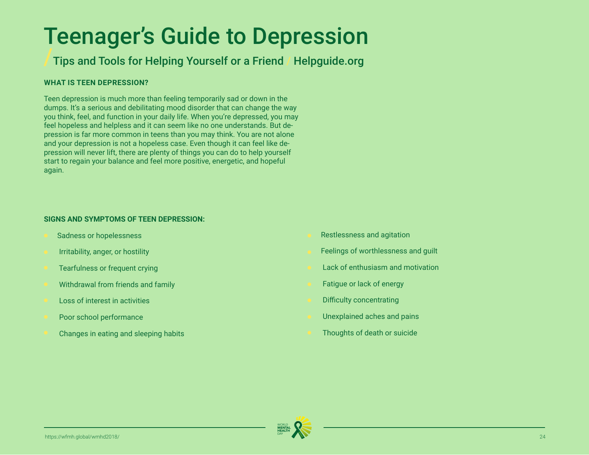# Teenager's Guide to Depression<br>Tips and Tools for Helping Yourself or a Friend / Helpguide.org

#### **WHAT IS TEEN DEPRESSION?**

Teen depression is much more than feeling temporarily sad or down in the dumps. It's a serious and debilitating mood disorder that can change the way you think, feel, and function in your daily life. When you're depressed, you may feel hopeless and helpless and it can seem like no one understands. But depression is far more common in teens than you may think. You are not alone and your depression is not a hopeless case. Even though it can feel like depression will never lift, there are plenty of things you can do to help yourself start to regain your balance and feel more positive, energetic, and hopeful again.

#### **SIGNS AND SYMPTOMS OF TEEN DEPRESSION:**

- Sadness or hopelessness
- Irritability, anger, or hostility
- Tearfulness or frequent crying
- Withdrawal from friends and family
- Loss of interest in activities
- Poor school performance
- Changes in eating and sleeping habits
- Restlessness and agitation
- Feelings of worthlessness and guilt
- Lack of enthusiasm and motivation
- Fatigue or lack of energy
- Difficulty concentrating
- Unexplained aches and pains
- Thoughts of death or suicide

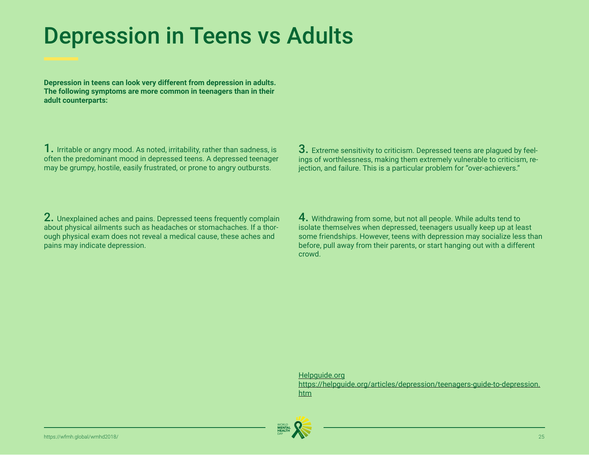### Depression in Teens vs Adults

**Depression in teens can look very different from depression in adults. The following symptoms are more common in teenagers than in their adult counterparts:**

1. Irritable or angry mood. As noted, irritability, rather than sadness, is often the predominant mood in depressed teens. A depressed teenager may be grumpy, hostile, easily frustrated, or prone to angry outbursts.

2. Unexplained aches and pains. Depressed teens frequently complain about physical ailments such as headaches or stomachaches. If a thorough physical exam does not reveal a medical cause, these aches and pains may indicate depression.

3. Extreme sensitivity to criticism. Depressed teens are plagued by feelings of worthlessness, making them extremely vulnerable to criticism, rejection, and failure. This is a particular problem for "over-achievers."

4. Withdrawing from some, but not all people. While adults tend to isolate themselves when depressed, teenagers usually keep up at least some friendships. However, teens with depression may socialize less than before, pull away from their parents, or start hanging out with a different crowd.

[Helpguide.org](Helpguide.org https://helpguide.org/articles/depression/teenagers-guide-to-depression.htm)

[https://helpguide.org/articles/depression/teenagers-guide-to-depression.](Helpguide.org https://helpguide.org/articles/depression/teenagers-guide-to-depression.htm) [htm](Helpguide.org https://helpguide.org/articles/depression/teenagers-guide-to-depression.htm)

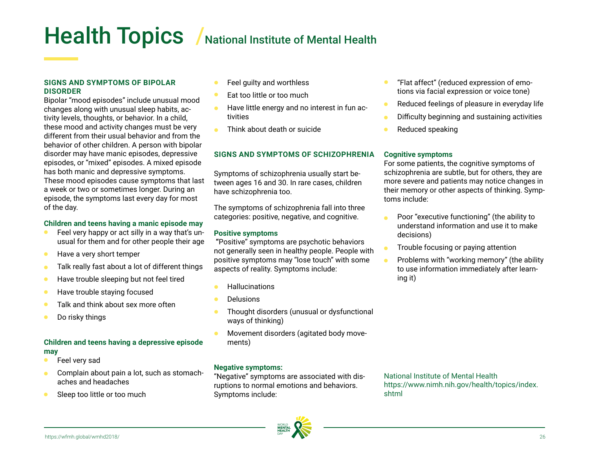### Health Topics / National Institute of Mental Health

#### **SIGNS AND SYMPTOMS OF BIPOLAR DISORDER**

Bipolar "mood episodes" include unusual mood changes along with unusual sleep habits, activity levels, thoughts, or behavior. In a child, these mood and activity changes must be very different from their usual behavior and from the behavior of other children. A person with bipolar disorder may have manic episodes, depressive episodes, or "mixed" episodes. A mixed episode has both manic and depressive symptoms. These mood episodes cause symptoms that last a week or two or sometimes longer. During an episode, the symptoms last every day for most of the day.

#### **Children and teens having a manic episode may**

- Feel very happy or act silly in a way that's unusual for them and for other people their age
- Have a very short temper  $\bullet$
- Talk really fast about a lot of different things  $\bullet$
- Have trouble sleeping but not feel tired  $\bullet$
- Have trouble staying focused  $\bullet$
- Talk and think about sex more often  $\epsilon$
- Do risky things  $\bullet$

#### **Children and teens having a depressive episode may**

- Feel very sad  $\bullet$
- Complain about pain a lot, such as stomach- $\bullet$ aches and headaches
- $\bullet$ Sleep too little or too much
- Feel guilty and worthless
- $\bullet$ Eat too little or too much
- Have little energy and no interest in fun ac- $\bullet$ tivities
- Think about death or suicide  $\bullet$

#### **SIGNS AND SYMPTOMS OF SCHIZOPHRENIA**

Symptoms of schizophrenia usually start between ages 16 and 30. In rare cases, children have schizophrenia too.

The symptoms of schizophrenia fall into three categories: positive, negative, and cognitive.

#### **Positive symptoms**

**"**Positive" symptoms are psychotic behaviors not generally seen in healthy people. People with positive symptoms may "lose touch" with some aspects of reality. Symptoms include:

- Hallucinations  $\bullet$
- Delusions
- Thought disorders (unusual or dysfunctional ways of thinking)
- Movement disorders (agitated body movements)

#### **Negative symptoms:**

"Negative" symptoms are associated with disruptions to normal emotions and behaviors. Symptoms include:

National Institute of Mental Health https://www.nimh.nih.gov/health/topics/index. shtml



- "Flat affect" (reduced expression of emotions via facial expression or voice tone)
- Reduced feelings of pleasure in everyday life
- Difficulty beginning and sustaining activities
- Reduced speaking

#### **Cognitive symptoms**

For some patients, the cognitive symptoms of schizophrenia are subtle, but for others, they are more severe and patients may notice changes in their memory or other aspects of thinking. Symptoms include:

- $\bullet$ Poor "executive functioning" (the ability to understand information and use it to make decisions)
- Trouble focusing or paying attention
- Problems with "working memory" (the ability to use information immediately after learning it)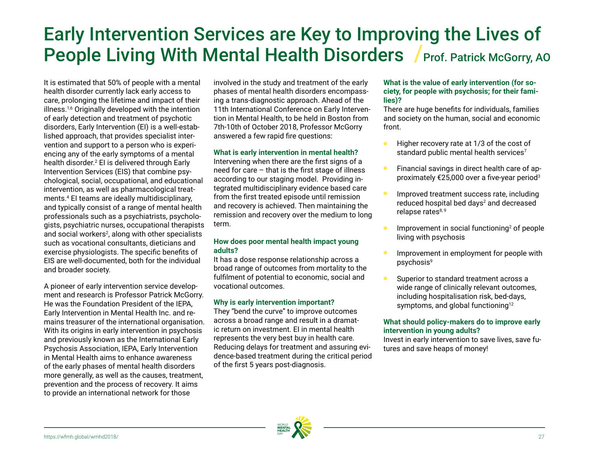### Early Intervention Services are Key to Improving the Lives of People Living With Mental Health Disorders / Prof. Patrick McGorry, AO

It is estimated that 50% of people with a mental health disorder currently lack early access to care, prolonging the lifetime and impact of their illness.1,6 Originally developed with the intention of early detection and treatment of psychotic disorders, Early Intervention (EI) is a well-established approach, that provides specialist intervention and support to a person who is experiencing any of the early symptoms of a mental health disorder.<sup>2</sup> EI is delivered through Early Intervention Services (EIS) that combine psychological, social, occupational, and educational intervention, as well as pharmacological treatments.4 EI teams are ideally multidisciplinary, and typically consist of a range of mental health professionals such as a psychiatrists, psychologists, psychiatric nurses, occupational therapists and social workers<sup>2</sup>, along with other specialists such as vocational consultants, dieticians and exercise physiologists. The specific benefits of EIS are well-documented, both for the individual and broader society.

A pioneer of early intervention service development and research is Professor Patrick McGorry. He was the Foundation President of the IEPA, Early Intervention in Mental Health Inc. and remains treasurer of the international organisation. With its origins in early intervention in psychosis and previously known as the International Early Psychosis Association, IEPA, Early Intervention in Mental Health aims to enhance awareness of the early phases of mental health disorders more generally, as well as the causes, treatment, prevention and the process of recovery. It aims to provide an international network for those

involved in the study and treatment of the early phases of mental health disorders encompassing a trans-diagnostic approach. Ahead of the 11th International Conference on Early Intervention in Mental Health, to be held in Boston from 7th-10th of October 2018, Professor McGorry answered a few rapid fire questions:

#### **What is early intervention in mental health?**

Intervening when there are the first signs of a need for care – that is the first stage of illness according to our staging model. Providing integrated multidisciplinary evidence based care from the first treated episode until remission and recovery is achieved. Then maintaining the remission and recovery over the medium to long term.

#### **How does poor mental health impact young adults?**

It has a dose response relationship across a broad range of outcomes from mortality to the fulfilment of potential to economic, social and vocational outcomes.

#### **Why is early intervention important?**

They "bend the curve" to improve outcomes across a broad range and result in a dramatic return on investment. EI in mental health represents the very best buy in health care. Reducing delays for treatment and assuring evidence-based treatment during the critical period of the first 5 years post-diagnosis.

#### **What is the value of early intervention (for society, for people with psychosis; for their families)?**

There are huge benefits for individuals, families and society on the human, social and economic front.

- Higher recovery rate at 1/3 of the cost of  $\bullet$ standard public mental health services<sup>7</sup>
- Financial savings in direct health care of approximately €25,000 over a five-year period<sup>3</sup>
- Improved treatment success rate, including reduced hospital bed days<sup>2</sup> and decreased relapse rates<sup>8, 9</sup>
- Improvement in social functioning<sup>2</sup> of people living with psychosis
- Improvement in employment for people with psychosis<sup>9</sup>
- Superior to standard treatment across a wide range of clinically relevant outcomes, including hospitalisation risk, bed-days, symptoms, and global functioning<sup>12</sup>

#### **What should policy-makers do to improve early intervention in young adults?**

Invest in early intervention to save lives, save futures and save heaps of money!

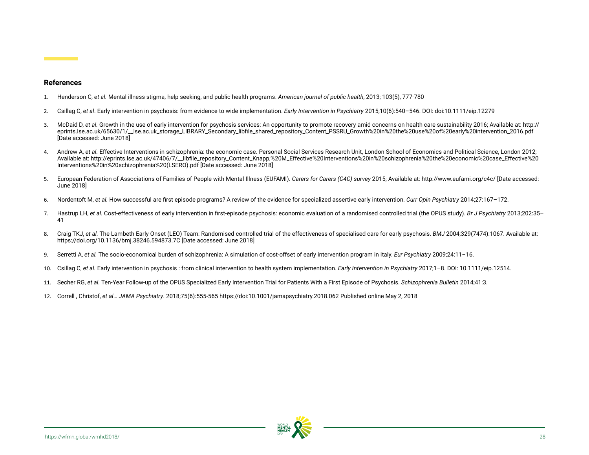#### **References**

- 1. Henderson C, *et al.* Mental illness stigma, help seeking, and public health programs. *American journal of public health*, 2013; 103(5), 777-780
- 2. Csillag C, *et al*. Early intervention in psychosis: from evidence to wide implementation. *Early Intervention in Psychiatry* 2015;10(6):540–546. DOI: doi:10.1111/eip.12279
- 3. McDaid D, *et al.* Growth in the use of early intervention for psychosis services: An opportunity to promote recovery amid concerns on health care sustainability 2016; Available at: [http://](http://eprints.lse.ac.uk/65630/1/__lse.ac.uk_storage_LIBRARY_Secondary_libfile_shared_repository_Content_PSSRU_Growth%20in%20the%20use%20of%20early%20intervention_2016.pdf) [eprints.lse.ac.uk/65630/1/\\_\\_lse.ac.uk\\_storage\\_LIBRARY\\_Secondary\\_libfile\\_shared\\_repository\\_Content\\_PSSRU\\_Growth%20in%20the%20use%20of%20early%20intervention\\_2016.pdf](http://eprints.lse.ac.uk/65630/1/__lse.ac.uk_storage_LIBRARY_Secondary_libfile_shared_repository_Content_PSSRU_Growth%20in%20the%20use%20of%20early%20intervention_2016.pdf) [Date accessed: June 2018]
- 4. Andrew A, et al. Effective Interventions in schizophrenia: the economic case. Personal Social Services Research Unit, London School of Economics and Political Science, London 2012; Available at[: http://eprints.lse.ac.uk/47406/7/\\_\\_libfile\\_repository\\_Content\\_Knapp,%20M\\_Effective%20Interventions%20in%20schizophrenia%20the%20economic%20case\\_Effective%20]( http://eprints.lse.ac.uk/47406/7/__libfile_repository_Content_Knapp,%20M_Effective%20Interventions%20in%20schizophrenia%20the%20economic%20case_Effective%20Interventions%20in%20schizophrenia%20(LSERO).pdf ) [Interventions%20in%20schizophrenia%20\(LSERO\).pdf]( http://eprints.lse.ac.uk/47406/7/__libfile_repository_Content_Knapp,%20M_Effective%20Interventions%20in%20schizophrenia%20the%20economic%20case_Effective%20Interventions%20in%20schizophrenia%20(LSERO).pdf ) [Date accessed: June 2018]
- 5. European Federation of Associations of Families of People with Mental Illness (EUFAMI). *Carers for Carers (C4C) survey* 2015; Available at: http://www.eufami.org/c4c/ [Date accessed: June 2018]
- 6. Nordentoft M, *et al.* How successful are first episode programs? A review of the evidence for specialized assertive early intervention. *Curr Opin Psychiatry* 2014;27:167–172.
- 7. Hastrup LH, *et al.* Cost-effectiveness of early intervention in first-episode psychosis: economic evaluation of a randomised controlled trial (the OPUS study). *Br J Psychiatry* 2013;202:35– 41
- 8. Craig TKJ, et al. The Lambeth Early Onset (LEO) Team: Randomised controlled trial of the effectiveness of specialised care for early psychosis. *BMJ* 2004;329(7474):1067. Available at: <https://doi.org/10.1136/bmj.38246.594873.7C> [Date accessed: June 2018]
- 9. Serretti A, *et al.* The socio-economical burden of schizophrenia: A simulation of cost-offset of early intervention program in Italy. *Eur Psychiatry* 2009;24:11–16.
- 10. Csillag C, *et al.* Early intervention in psychosis : from clinical intervention to health system implementation. *Early Intervention in Psychiatry* 2017;1–8. DOI: 10.1111/eip.12514.
- 11. Secher RG, *et al.* Ten-Year Follow-up of the OPUS Specialized Early Intervention Trial for Patients With a First Episode of Psychosis. *Schizophrenia Bulletin* 2014;41:3.
- 12. Correll , Christof, *et al*… *JAMA Psychiatry*. 2018;75(6):555-565 https://doi:10.1001/jamapsychiatry.2018.062 Published online May 2, 2018

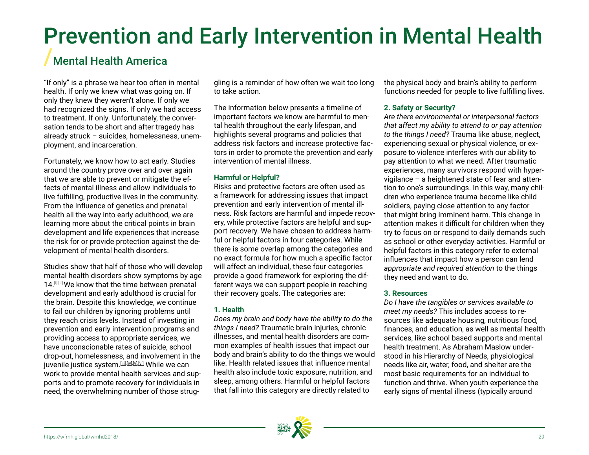### Prevention and Early Intervention in Mental Health

### /Mental Health America

"If only" is a phrase we hear too often in mental health. If only we knew what was going on. If only they knew they weren't alone. If only we had recognized the signs. If only we had access to treatment. If only. Unfortunately, the conversation tends to be short and after tragedy has already struck – suicides, homelessness, unemployment, and incarceration.

Fortunately, we know how to act early. Studies around the country prove over and over again that we are able to prevent or mitigate the effects of mental illness and allow individuals to live fulfilling, productive lives in the community. From the influence of genetics and prenatal health all the way into early adulthood, we are learning more about the critical points in brain development and life experiences that increase the risk for or provide protection against the development of mental health disorders.

Studies show that half of those who will develop mental health disorders show symptoms by age 14. [iiii] We know that the time between prenatal development and early adulthood is crucial for the brain. Despite this knowledge, we continue to fail our children by ignoring problems until they reach crisis levels. Instead of investing in prevention and early intervention programs and providing access to appropriate services, we have unconscionable rates of suicide, school drop-out, homelessness, and involvement in the juvenile justice system.[\[iii\]](http://www.mentalhealthamerica.net/issues/prevention-and-early-intervention-mental-health#_edn3)[,\[iv\],](http://www.mentalhealthamerica.net/issues/prevention-and-early-intervention-mental-health#_edn4)[\[v\],](http://www.mentalhealthamerica.net/issues/prevention-and-early-intervention-mental-health#_edn5)[while we can work to provide mental health services and supports and to promote recovery for individuals in need, the overwhelming number of those strug-

gling is a reminder of how often we wait too long to take action.

The information below presents a timeline of important factors we know are harmful to mental health throughout the early lifespan, and highlights several programs and policies that address risk factors and increase protective factors in order to promote the prevention and early intervention of mental illness.

#### **Harmful or Helpful?**

Risks and protective factors are often used as a framework for addressing issues that impact prevention and early intervention of mental illness. Risk factors are harmful and impede recovery, while protective factors are helpful and support recovery. We have chosen to address harmful or helpful factors in four categories. While there is some overlap among the categories and no exact formula for how much a specific factor will affect an individual, these four categories provide a good framework for exploring the different ways we can support people in reaching their recovery goals. The categories are:

#### **1. Health**

*Does my brain and body have the ability to do the things I need?* Traumatic brain injuries, chronic illnesses, and mental health disorders are common examples of health issues that impact our body and brain's ability to do the things we would like. Health related issues that influence mental health also include toxic exposure, nutrition, and sleep, among others. Harmful or helpful factors that fall into this category are directly related to

the physical body and brain's ability to perform functions needed for people to live fulfilling lives.

#### **2. Safety or Security?**

*Are there environmental or interpersonal factors that affect my ability to attend to or pay attention to the things I need?* Trauma like abuse, neglect, experiencing sexual or physical violence, or exposure to violence interferes with our ability to pay attention to what we need. After traumatic experiences, many survivors respond with hypervigilance – a heightened state of fear and attention to one's surroundings. In this way, many children who experience trauma become like child soldiers, paying close attention to any factor that might bring imminent harm. This change in attention makes it difficult for children when they try to focus on or respond to daily demands such as school or other everyday activities. Harmful or helpful factors in this category refer to external influences that impact how a person can lend *appropriate and required attention* to the things they need and want to do.

#### **3. Resources**

*Do I have the tangibles or services available to meet my needs?* This includes access to resources like adequate housing, nutritious food, finances, and education, as well as mental health services, like school based supports and mental health treatment. As Abraham Maslow understood in his Hierarchy of Needs, physiological needs like air, water, food, and shelter are the most basic requirements for an individual to function and thrive. When youth experience the early signs of mental illness (typically around

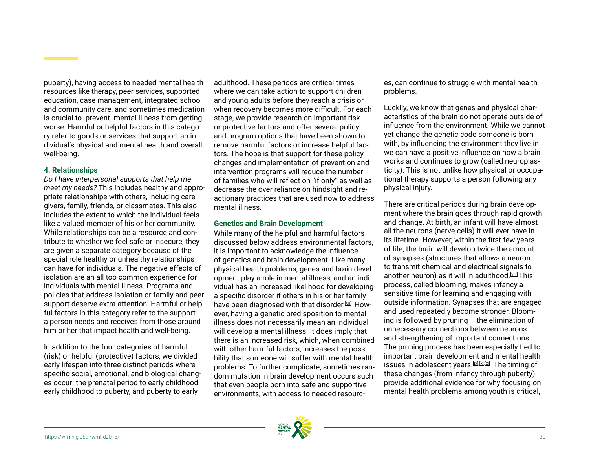puberty), having access to needed mental health resources like therapy, peer services, supported education, case management, integrated school and community care, and sometimes medication is crucial to prevent mental illness from getting worse. Harmful or helpful factors in this category refer to goods or services that support an individual's physical and mental health and overall well-being.

#### **4. Relationships**

*Do I have interpersonal supports that help me meet my needs?* This includes healthy and appropriate relationships with others, including caregivers, family, friends, or classmates. This also includes the extent to which the individual feels like a valued member of his or her community. While relationships can be a resource and contribute to whether we feel safe or insecure, they are given a separate category because of the special role healthy or unhealthy relationships can have for individuals. The negative effects of isolation are an all too common experience for individuals with mental illness. Programs and policies that address isolation or family and peer support deserve extra attention. Harmful or helpful factors in this category refer to the support a person needs and receives from those around him or her that impact health and well-being.

In addition to the four categories of harmful (risk) or helpful (protective) factors, we divided early lifespan into three distinct periods where specific social, emotional, and biological changes occur: the prenatal period to early childhood, early childhood to puberty, and puberty to early

adulthood. These periods are critical times where we can take action to support children and young adults before they reach a crisis or when recovery becomes more difficult. For each stage, we provide research on important risk or protective factors and offer several policy and program options that have been shown to remove harmful factors or increase helpful factors. The hope is that support for these policy changes and implementation of prevention and intervention programs will reduce the number of families who will reflect on "if only" as well as decrease the over reliance on hindsight and reactionary practices that are used now to address mental illness.

#### **Genetics and Brain Development**

While many of the helpful and harmful factors discussed below address environmental factors, it is important to acknowledge the influence of genetics and brain development. Like many physical health problems, genes and brain development play a role in mental illness, and an individual has an increased likelihood for developing a specific disorder if others in his or her family have been diagnosed with that disorder.<sup>[\[vii\]](http://www.mentalhealthamerica.net/issues/prevention-and-early-intervention-mental-health#_edn7)</sup> However, having a genetic predisposition to mental illness does not necessarily mean an individual will develop a mental illness. It does imply that there is an increased risk, which, when combined with other harmful factors, increases the possibility that someone will suffer with mental health problems. To further complicate, sometimes random mutation in brain development occurs such that even people born into safe and supportive environments, with access to needed resources, can continue to struggle with mental health problems.

Luckily, we know that genes and physical characteristics of the brain do not operate outside of influence from the environment. While we cannot yet change the genetic code someone is born with, by influencing the environment they live in we can have a positive influence on how a brain works and continues to grow (called neuroplasticity). This is not unlike how physical or occupational therapy supports a person following any physical injury.

There are critical periods during brain development where the brain goes through rapid growth and change. At birth, an infant will have almost all the neurons (nerve cells) it will ever have in its lifetime. However, within the first few years of life, the brain will develop twice the amount of synapses (structures that allows a neuron to transmit chemical and electrical signals to another neuron) as it will in adulthood[.\[viii\]](http://www.mentalhealthamerica.net/issues/prevention-and-early-intervention-mental-health#_edn8) This process, called blooming, makes infancy a sensitive time for learning and engaging with outside information. Synapses that are engaged and used repeatedly become stronger. Blooming is followed by pruning  $-$  the elimination of unnecessary connections between neurons and strengthening of important connections. The pruning process has been especially tied to important brain development and mental health issues in adolescent years. [\[ix\]](http://www.mentalhealthamerica.net/issues/prevention-and-early-intervention-mental-health#_edn9),[\[xi\]](http://www.mentalhealthamerica.net/issues/prevention-and-early-intervention-mental-health#_edn11) The timing of these changes (from infancy through puberty) provide additional evidence for why focusing on mental health problems among youth is critical,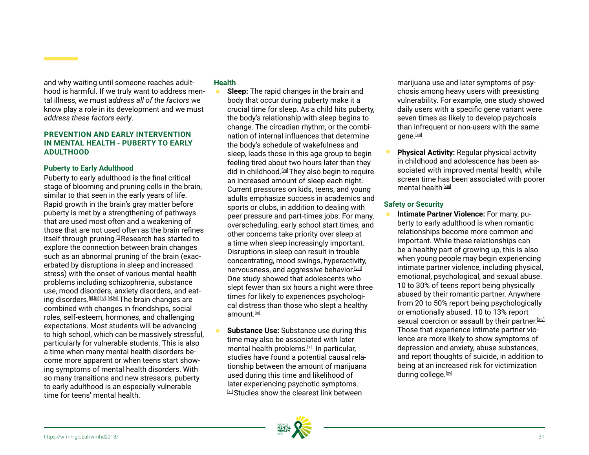and why waiting until someone reaches adulthood is harmful. If we truly want to address mental illness, we must *address all of the factors* we know play a role in its development and we must *address these factors early*.

#### **PREVENTION AND EARLY INTERVENTION IN MENTAL HEALTH - PUBERTY TO EARLY ADULTHOOD**

#### **Puberty to Early Adulthood**

Puberty to early adulthood is the final critical stage of blooming and pruning cells in the brain, similar to that seen in the early years of life. Rapid growth in the brain's gray matter before puberty is met by a strengthening of pathways that are used most often and a weakening of those that are not used often as the brain refines itself through pruning.<sup>[\[i\]](http://www.mentalhealthamerica.net/issues/prevention-and-early-intervention-mental-health-puberty-early-adulthood#_edn1)</sup> Research has started to explore the connection between brain changes such as an abnormal pruning of the brain (exacerbated by disruptions in sleep and increased stress) with the onset of various mental health problems including schizophrenia, substance use, mood disorders, anxiety disorders, and eating disorders. [iii, [iiii, [iii,]] The brain changes are combined with changes in friendships, social roles, self-esteem, hormones, and challenging expectations. Most students will be advancing to high school, which can be massively stressful, particularly for vulnerable students. This is also a time when many mental health disorders become more apparent or when teens start showing symptoms of mental health disorders. With so many transitions and new stressors, puberty to early adulthood is an especially vulnerable time for teens' mental health.

#### **Health**

- **Sleep:** The rapid changes in the brain and body that occur during puberty make it a crucial time for sleep. As a child hits puberty, the body's relationship with sleep begins to change. The circadian rhythm, or the combination of internal influences that determine the body's schedule of wakefulness and sleep, leads those in this age group to begin feeling tired about two hours later than they did in childhood.<sup>[\[vii\]](http://www.mentalhealthamerica.net/issues/prevention-and-early-intervention-mental-health-puberty-early-adulthood#_edn7)</sup> They also begin to require an increased amount of sleep each night. Current pressures on kids, teens, and young adults emphasize success in academics and sports or clubs, in addition to dealing with peer pressure and part-times jobs. For many, overscheduling, early school start times, and other concerns take priority over sleep at a time when sleep increasingly important. Disruptions in sleep can result in trouble concentrating, mood swings, hyperactivity, nervousness, and aggressive behavior.<sup>[viii]</sup> One study showed that adolescents who slept fewer than six hours a night were three times for likely to experiences psychological distress than those who slept a healthy amount.<sup>[\[ix\]](http://www.mentalhealthamerica.net/issues/prevention-and-early-intervention-mental-health-puberty-early-adulthood#_edn9)</sup>
- **Substance Use:** Substance use during this time may also be associated with later mental health problems. $[**M**]$  In particular, studies have found a potential causal relationship between the amount of marijuana used during this time and likelihood of later experiencing psychotic symptoms. <sup>[\[xi\]](http://www.mentalhealthamerica.net/issues/prevention-and-early-intervention-mental-health-puberty-early-adulthood#_edn11)</sup> Studies show the clearest link between

marijuana use and later symptoms of psychosis among heavy users with preexisting vulnerability. For example, one study showed daily users with a specific gene variant were seven times as likely to develop psychosis than infrequent or non-users with the same aene.<sup>[\[xii\]](http://www.mentalhealthamerica.net/issues/prevention-and-early-intervention-mental-health-puberty-early-adulthood#_edn12)</sup>

**Physical Activity:** Regular physical activity in childhood and adolescence has been associated with improved mental health, while screen time has been associated with poorer mental health.<sup>[xiii]</sup>

#### **Safety or Security**

**Intimate Partner Violence:** For many, puberty to early adulthood is when romantic relationships become more common and important. While these relationships can be a healthy part of growing up, this is also when young people may begin experiencing intimate partner violence, including physical, emotional, psychological, and sexual abuse. 10 to 30% of teens report being physically abused by their romantic partner. Anywhere from 20 to 50% report being psychologically or emotionally abused. 10 to 13% report sexual coercion or assault by their partner. [xiv] Those that experience intimate partner violence are more likely to show symptoms of depression and anxiety, abuse substances, and report thoughts of suicide, in addition to being at an increased risk for victimization during college.<sup>[\[xv\]](http://www.mentalhealthamerica.net/issues/prevention-and-early-intervention-mental-health-puberty-early-adulthood#_edn15)</sup>

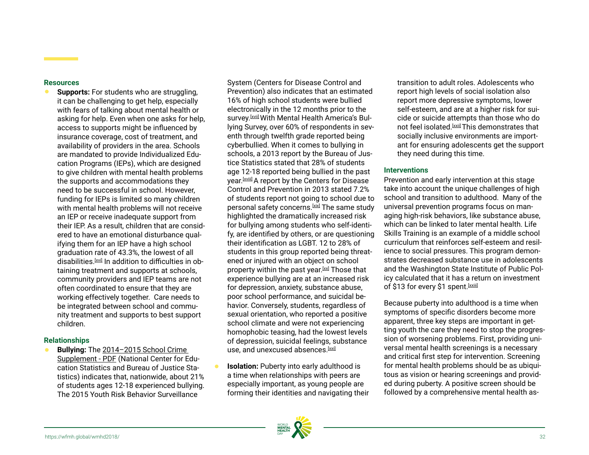#### **Resources**

**Supports:** For students who are struggling, it can be challenging to get help, especially with fears of talking about mental health or asking for help. Even when one asks for help, access to supports might be influenced by insurance coverage, cost of treatment, and availability of providers in the area. Schools are mandated to provide Individualized Education Programs (IEPs), which are designed to give children with mental health problems the supports and accommodations they need to be successful in school. However, funding for IEPs is limited so many children with mental health problems will not receive an IEP or receive inadequate support from their IEP. As a result, children that are considered to have an emotional disturbance qualifying them for an IEP have a high school graduation rate of 43.3%, the lowest of all disabilities[.\[xvi\]](http://www.mentalhealthamerica.net/issues/prevention-and-early-intervention-mental-health-puberty-early-adulthood#_edn16) In addition to difficulties in obtaining treatment and supports at schools, community providers and IEP teams are not often coordinated to ensure that they are working effectively together. Care needs to be integrated between school and community treatment and supports to best support children.

#### **Relationships**

**Bullying:** The [2014–2015 School Crime](https://nces.ed.gov/pubs2017/2017015.pdf)  [Supplement - PDF](https://nces.ed.gov/pubs2017/2017015.pdf) (National Center for Education Statistics and Bureau of Justice Statistics) indicates that, nationwide, about 21% of students ages 12-18 experienced bullying. The 2015 Youth Risk Behavior Surveillance

System (Centers for Disease Control and Prevention) also indicates that an estimated 16% of high school students were bullied electronically in the 12 months prior to the survey.<sup>[\[xvii\]](http://www.mentalhealthamerica.net/issues/prevention-and-early-intervention-mental-health-puberty-early-adulthood#_edn17)</sup> With Mental Health America's Bullying Survey, over 60% of respondents in seventh through twelfth grade reported being cyberbullied. When it comes to bullying in schools, a 2013 report by the Bureau of Justice Statistics stated that 28% of students age 12-18 reported being bullied in the past year[.\[xviii\]](http://www.mentalhealthamerica.net/issues/prevention-and-early-intervention-mental-health-puberty-early-adulthood#_edn18)A report by the Centers for Disease Control and Prevention in 2013 stated 7.2% of students report not going to school due to personal safety concerns.<sup>[xix]</sup> The same study highlighted the dramatically increased risk for bullying among students who self-identify, are identified by others, or are questioning their identification as LGBT. 12 to 28% of students in this group reported being threatened or injured with an object on school property within the past year.<sup>[xx]</sup> Those that experience bullying are at an increased risk for depression, anxiety, substance abuse, poor school performance, and suicidal behavior. Conversely, students, regardless of sexual orientation, who reported a positive school climate and were not experiencing homophobic teasing, had the lowest levels of depression, suicidal feelings, substance use, and unexcused absences.<sup>[xxi]</sup>

**Isolation:** Puberty into early adulthood is a time when relationships with peers are especially important, as young people are forming their identities and navigating their

transition to adult roles. Adolescents who report high levels of social isolation also report more depressive symptoms, lower self-esteem, and are at a higher risk for suicide or suicide attempts than those who do not feel isolated.<sup>[xxii]</sup>This demonstrates that socially inclusive environments are important for ensuring adolescents get the support they need during this time.

#### **Interventions**

Prevention and early intervention at this stage take into account the unique challenges of high school and transition to adulthood. Many of the universal prevention programs focus on managing high-risk behaviors, like substance abuse, which can be linked to later mental health. Life Skills Training is an example of a middle school curriculum that reinforces self-esteem and resilience to social pressures. This program demonstrates decreased substance use in adolescents and the Washington State Institute of Public Policy calculated that it has a return on investment of \$13 for every \$1 spent. [\[xxiii\]](http://www.mentalhealthamerica.net/issues/prevention-and-early-intervention-mental-health-puberty-early-adulthood#_edn23)

Because puberty into adulthood is a time when symptoms of specific disorders become more apparent, three key steps are important in getting youth the care they need to stop the progression of worsening problems. First, providing universal mental health screenings is a necessary and critical first step for intervention. Screening for mental health problems should be as ubiquitous as vision or hearing screenings and provided during puberty. A positive screen should be followed by a comprehensive mental health as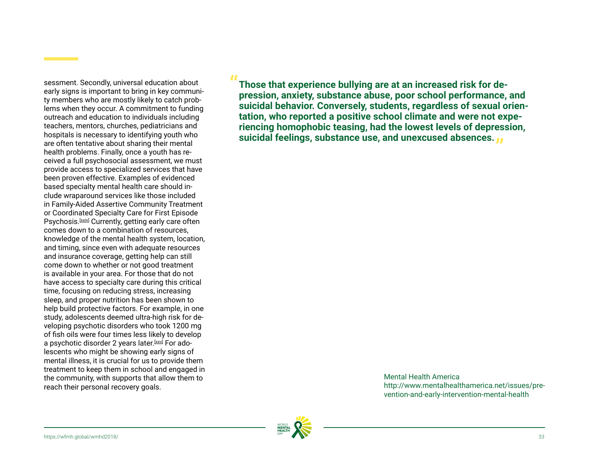sessment. Secondly, universal education about early signs is important to bring in key community members who are mostly likely to catch problems when they occur. A commitment to funding outreach and education to individuals including teachers, mentors, churches, pediatricians and hospitals is necessary to identifying youth who are often tentative about sharing their mental health problems. Finally, once a youth has received a full psychosocial assessment, we must provide access to specialized services that have been proven effective. Examples of evidenced based specialty mental health care should include wraparound services like those included in Family-Aided Assertive Community Treatment or Coordinated Specialty Care for First Episode Psychosis.<sup>[\[xxiv\]](http://www.mentalhealthamerica.net/issues/prevention-and-early-intervention-mental-health-puberty-early-adulthood#_edn24)</sup> Currently, getting early care often comes down to a combination of resources, knowledge of the mental health system, location, and timing, since even with adequate resources and insurance coverage, getting help can still come down to whether or not good treatment is available in your area. For those that do not have access to specialty care during this critical time, focusing on reducing stress, increasing sleep, and proper nutrition has been shown to help build protective factors. For example, in one study, adolescents deemed ultra-high risk for developing psychotic disorders who took 1200 mg of fish oils were four times less likely to develop a psychotic disorder 2 years later.<sup>[\[xxv\]](http://www.mentalhealthamerica.net/issues/prevention-and-early-intervention-mental-health-puberty-early-adulthood#_edn25)</sup> For adolescents who might be showing early signs of mental illness, it is crucial for us to provide them treatment to keep them in school and engaged in the community, with supports that allow them to reach their personal recovery goals.

**Those that experience bullying are at an increased risk for depression, anxiety, substance abuse, poor school performance, and suicidal behavior. Conversely, students, regardless of sexual orientation, who reported a positive school climate and were not experiencing homophobic teasing, had the lowest levels of depression,**  suicidal feelings, substance use, and unexcused absences. <sub>"</sub> "

> Mental Health America [http://www.mentalhealthamerica.net/issues/pre](http://www.mentalhealthamerica.net/issues/prevention-and-early-intervention-mental-health)[vention-and-early-intervention-mental-health](http://www.mentalhealthamerica.net/issues/prevention-and-early-intervention-mental-health)

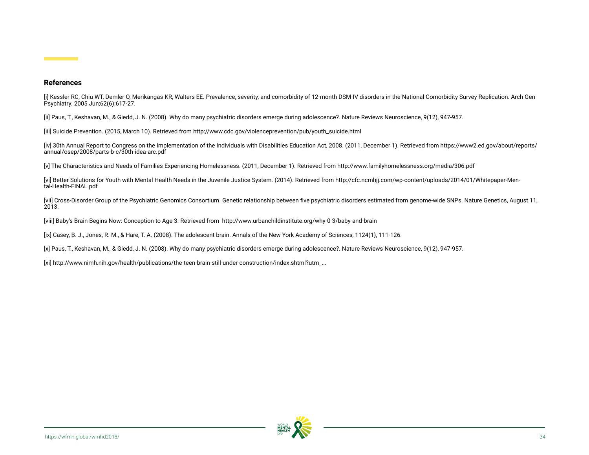#### **References**

[i] Kessler RC, Chiu WT, Demler O, Merikangas KR, Walters EE. Prevalence, severity, and comorbidity of 12-month DSM-IV disorders in the National Comorbidity Survey Replication. Arch Gen Psychiatry. 2005 Jun;62(6):617-27.

[ii] Paus, T., Keshavan, M., & Giedd, J. N. (2008). Why do many psychiatric disorders emerge during adolescence?. Nature Reviews Neuroscience, 9(12), 947-957.

[iii] Suicide Prevention. (2015, March 10). Retrieved from http://www.cdc.gov/violenceprevention/pub/youth\_suicide.html

[iv] 30th Annual Report to Congress on the Implementation of the Individuals with Disabilities Education Act, 2008. (2011, December 1). Retrieved from https://www2.ed.gov/about/reports/ annual/osep/2008/parts-b-c/30th-idea-arc.pdf

[v] The Characteristics and Needs of Families Experiencing Homelessness. (2011, December 1). Retrieved from http://www.familyhomelessness.org/media/306.pdf

[vi] Better Solutions for Youth with Mental Health Needs in the Juvenile Justice System. (2014). Retrieved from http://cfc.ncmhjj.com/wp-content/uploads/2014/01/Whitepaper-Mental-Health-FINAL.pdf

[vii] Cross-Disorder Group of the Psychiatric Genomics Consortium. Genetic relationship between five psychiatric disorders estimated from genome-wide SNPs. Nature Genetics, August 11, 2013.

[viii] Baby's Brain Begins Now: Conception to Age 3. Retrieved from http://www.urbanchildinstitute.org/why-0-3/baby-and-brain

[ix] Casey, B. J., Jones, R. M., & Hare, T. A. (2008). The adolescent brain. Annals of the New York Academy of Sciences, 1124(1), 111-126.

[x] Paus, T., Keshavan, M., & Giedd, J. N. (2008). Why do many psychiatric disorders emerge during adolescence?. Nature Reviews Neuroscience, 9(12), 947-957.

[xi] http://www.nimh.nih.gov/health/publications/the-teen-brain-still-under-construction/index.shtml?utm\_...

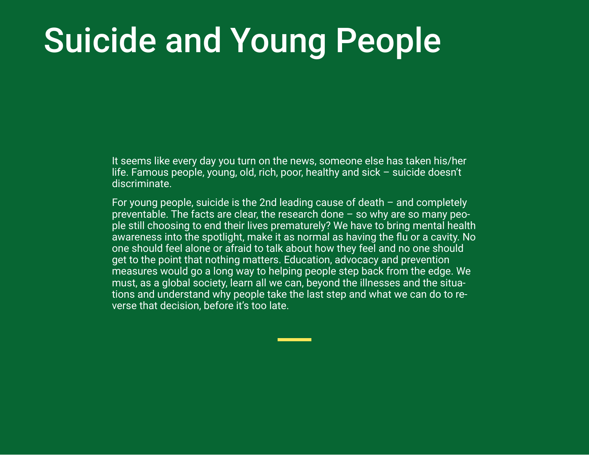## Suicide and Young People

It seems like every day you turn on the news, someone else has taken his/her with a staten with the state life. Famous people, young, old, rich, poor, healthy and sick – suicide doesn't discriminate.

to the point that nothing matters. Education, ad-For young people, suicide is the 2nd leading cause of death – and completely preventable. The facts are clear, the research done – so why are so many peo- $\hspace{0.2cm}$ ple still choosing to end their lives prematurely? We have to bring mental health  $\theta_{\text{u}}$  and another index and understand understand understand underawareness into the spotlight, make it as normal as having the flu or a cavity. No one should feel alone or afraid to talk about how they feel and no one should with the stood of the stood one get to the point that nothing matters. Education, advocacy and prevention measures would go a long way to helping people step back from the edge. We must, as a global society, learn all we can, beyond the illnesses and the situations and understand why people take the last step and what we can do to reverse that decision, before it's too late.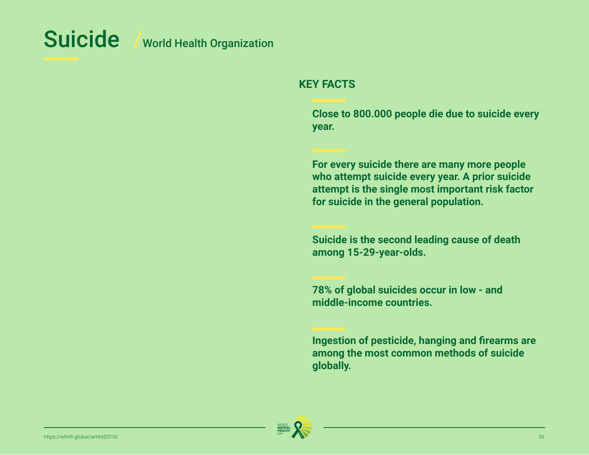### Suicide / World Health Organization

#### **KEY FACTS**

**Close to 800.000 people die due to suicide every year.**

**For every suicide there are many more people who attempt suicide every year. A prior suicide attempt is the single most important risk factor for suicide in the general population.**

**Suicide is the second leading cause of death among 15-29-year-olds.**

**78% of global suicides occur in low - and middle-income countries.**

#### **Ingestion of pesticide, hanging and firearms are among the most common methods of suicide globally.**

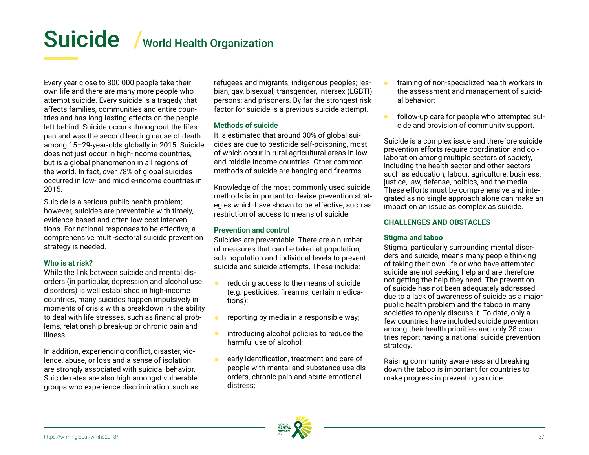### Suicide / World Health Organization

Every year close to 800 000 people take their own life and there are many more people who attempt suicide. Every suicide is a tragedy that affects families, communities and entire countries and has long-lasting effects on the people left behind. Suicide occurs throughout the lifespan and was the second leading cause of death among 15–29-year-olds globally in 2015. Suicide does not just occur in high-income countries, but is a global phenomenon in all regions of the world. In fact, over 78% of global suicides occurred in low- and middle-income countries in 2015.

Suicide is a serious public health problem; however, suicides are preventable with timely, evidence-based and often low-cost interventions. For national responses to be effective, a comprehensive multi-sectoral suicide prevention strategy is needed.

#### **Who is at risk?**

While the link between suicide and mental disorders (in particular, depression and alcohol use disorders) is well established in high-income countries, many suicides happen impulsively in moments of crisis with a breakdown in the ability to deal with life stresses, such as financial problems, relationship break-up or chronic pain and illness.

In addition, experiencing conflict, disaster, violence, abuse, or loss and a sense of isolation are strongly associated with suicidal behavior. Suicide rates are also high amongst vulnerable groups who experience discrimination, such as

refugees and migrants; indigenous peoples; lesbian, gay, bisexual, transgender, intersex (LGBTI) persons; and prisoners. By far the strongest risk factor for suicide is a previous suicide attempt.

#### **Methods of suicide**

It is estimated that around 30% of global suicides are due to pesticide self-poisoning, most of which occur in rural agricultural areas in lowand middle-income countries. Other common methods of suicide are hanging and firearms.

Knowledge of the most commonly used suicide methods is important to devise prevention strategies which have shown to be effective, such as restriction of access to means of suicide.

#### **Prevention and control**

Suicides are preventable. There are a number of measures that can be taken at population, sub-population and individual levels to prevent suicide and suicide attempts. These include:

- $\bullet$ reducing access to the means of suicide (e.g. pesticides, firearms, certain medications);
- reporting by media in a responsible way;
- introducing alcohol policies to reduce the harmful use of alcohol;
- early identification, treatment and care of people with mental and substance use disorders, chronic pain and acute emotional distress;
- training of non-specialized health workers in the assessment and management of suicidal behavior;
- follow-up care for people who attempted suicide and provision of community support.

Suicide is a complex issue and therefore suicide prevention efforts require coordination and collaboration among multiple sectors of society, including the health sector and other sectors such as education, labour, agriculture, business, justice, law, defense, politics, and the media. These efforts must be comprehensive and integrated as no single approach alone can make an impact on an issue as complex as suicide.

#### **CHALLENGES AND OBSTACLES**

#### **Stigma and taboo**

Stigma, particularly surrounding mental disorders and suicide, means many people thinking of taking their own life or who have attempted suicide are not seeking help and are therefore not getting the help they need. The prevention of suicide has not been adequately addressed due to a lack of awareness of suicide as a major public health problem and the taboo in many societies to openly discuss it. To date, only a few countries have included suicide prevention among their health priorities and only 28 countries report having a national suicide prevention strategy.

Raising community awareness and breaking down the taboo is important for countries to make progress in preventing suicide.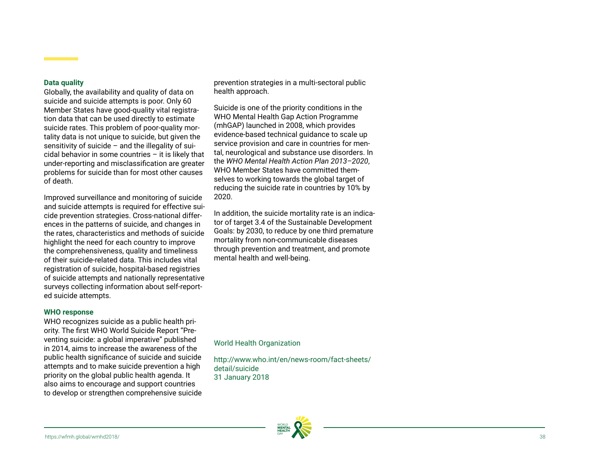#### **Data quality**

Globally, the availability and quality of data on suicide and suicide attempts is poor. Only 60 Member States have good-quality vital registra tion data that can be used directly to estimate suicide rates. This problem of poor-quality mor tality data is not unique to suicide, but given the sensitivity of suicide – and the illegality of sui cidal behavior in some countries – it is likely that under-reporting and misclassification are greater problems for suicide than for most other causes of death.

Improved surveillance and monitoring of suicide and suicide attempts is required for effective sui cide prevention strategies. Cross-national differ ences in the patterns of suicide, and changes in the rates, characteristics and methods of suicide highlight the need for each country to improve the comprehensiveness, quality and timeliness of their suicide-related data. This includes vital registration of suicide, hospital-based registries of suicide attempts and nationally representative surveys collecting information about self-report ed suicide attempts.

#### **WHO response**

WHO recognizes suicide as a public health pri ority. The first WHO World Suicide Report "Pre venting suicide: a global imperative" published in 2014, aims to increase the awareness of the public health significance of suicide and suicide attempts and to make suicide prevention a high priority on the global public health agenda. It also aims to encourage and support countries to develop or strengthen comprehensive suicide prevention strategies in a multi-sectoral public health approach.

Suicide is one of the priority conditions in the WHO Mental Health Gap Action Programme (mhGAP) launched in 2008, which provides evidence-based technical guidance to scale up service provision and care in countries for men tal, neurological and substance use disorders. In the *WHO Mental Health Action Plan 2013–2020*, WHO Member States have committed them selves to working towards the global target of reducing the suicide rate in countries by 10% by 2020.

In addition, the suicide mortality rate is an indica tor of target 3.4 of the Sustainable Development Goals: by 2030, to reduce by one third premature mortality from non-communicable diseases through prevention and treatment, and promote mental health and well-being.

World Health Organization

http://www.who.int/en/news-room/fact-sheets/ detail/suicide 31 January 2018

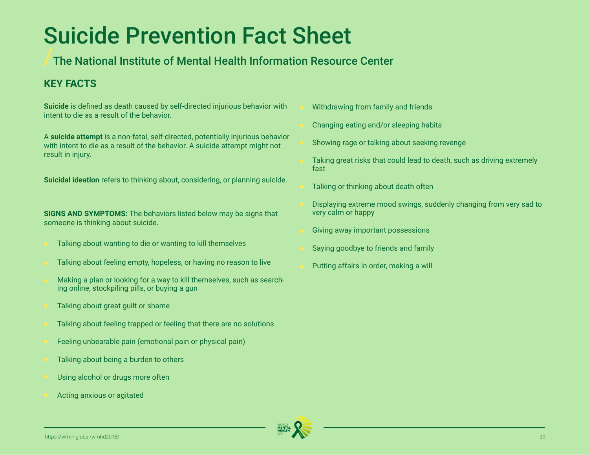# Suicide Prevention Fact Sheet<br>*I* The National Institute of Mental Health Information Resource Center

#### **KEY FACTS**

**Suicide** is defined as death caused by self-directed injurious behavior with intent to die as a result of the behavior.

A **suicide attempt** is a non-fatal, self-directed, potentially injurious behavior with intent to die as a result of the behavior. A suicide attempt might not result in injury.

**Suicidal ideation** refers to thinking about, considering, or planning suicide.

**SIGNS AND SYMPTOMS:** The behaviors listed below may be signs that someone is thinking about suicide.

- Talking about wanting to die or wanting to kill themselves
- Talking about feeling empty, hopeless, or having no reason to live
- Making a plan or looking for a way to kill themselves, such as searching online, stockpiling pills, or buying a gun
- Talking about great guilt or shame
- Talking about feeling trapped or feeling that there are no solutions
- Feeling unbearable pain (emotional pain or physical pain)
- Talking about being a burden to others
- Using alcohol or drugs more often
- Acting anxious or agitated
- Withdrawing from family and friends
- Changing eating and/or sleeping habits
- Showing rage or talking about seeking revenge
- Taking great risks that could lead to death, such as driving extremely fast
- Talking or thinking about death often
- Displaying extreme mood swings, suddenly changing from very sad to very calm or happy
- Giving away important possessions
- Saying goodbye to friends and family
- Putting affairs in order, making a will

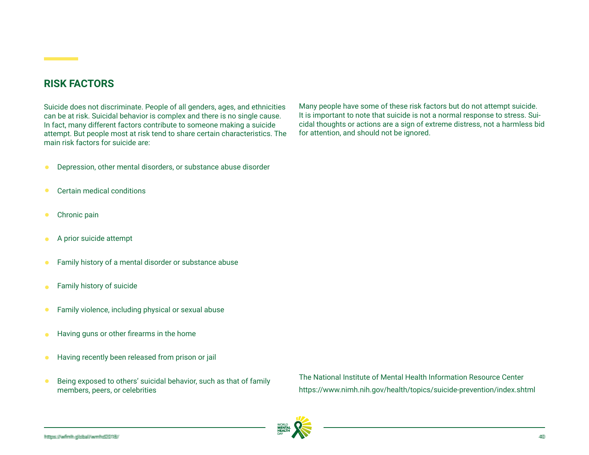#### **RISK FACTORS**

Suicide does not discriminate. People of all genders, ages, and ethnicities can be at risk. Suicidal behavior is complex and there is no single cause. In fact, many different factors contribute to someone making a suicide attempt. But people most at risk tend to share certain characteristics. The main risk factors for suicide are:

- Depression, other mental disorders, or substance abuse disorder  $\bullet$
- Certain medical conditions
- Chronic pain
- A prior suicide attempt  $\bullet$
- Family history of a mental disorder or substance abuse  $\bullet$
- Family history of suicide
- Family violence, including physical or sexual abuse  $\bullet$
- Having guns or other firearms in the home
- Having recently been released from prison or jail  $\bullet$
- Being exposed to others' suicidal behavior, such as that of family members, peers, or celebrities

Many people have some of these risk factors but do not attempt suicide. It is important to note that suicide is not a normal response to stress. Suicidal thoughts or actions are a sign of extreme distress, not a harmless bid for attention, and should not be ignored.

The National Institute of Mental Health Information Resource Center <https://www.nimh.nih.gov/health/topics/suicide-prevention/index.shtml>

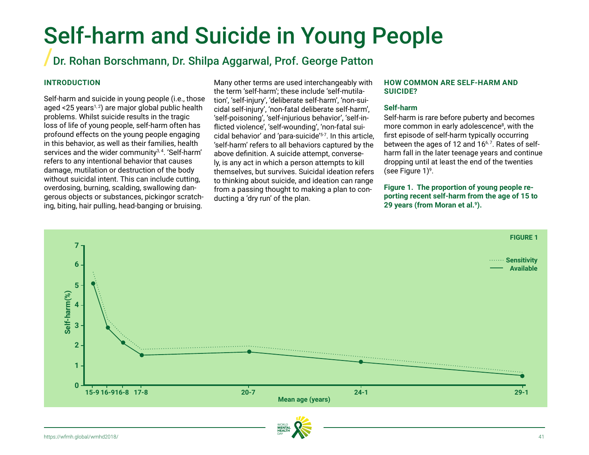# Self-harm and Suicide in Young People<br>In: Rohan Borschmann, Dr. Shilpa Aggarwal, Prof. George Patton

#### **INTRODUCTION**

Self-harm and suicide in young people (i.e., those aged <25 years<sup> $1, 2$ </sup>) are major global public health problems. Whilst suicide results in the tragic loss of life of young people, self-harm often has profound effects on the young people engaging in this behavior, as well as their families, health services and the wider community<sup>3, 4</sup>. 'Self-harm' refers to any intentional behavior that causes damage, mutilation or destruction of the body without suicidal intent. This can include cutting, overdosing, burning, scalding, swallowing dangerous objects or substances, pickingor scratching, biting, hair pulling, head-banging or bruising.

Many other terms are used interchangeably with the term 'self-harm'; these include 'self-mutilation', 'self-injury', 'deliberate self-harm', 'non-suicidal self-injury', 'non-fatal deliberate self-harm', 'self-poisoning', 'self-injurious behavior', 'self-inflicted violence', 'self-wounding', 'non-fatal suicidal behavior' and 'para-suicide'5-7. In this article, 'self-harm' refers to all behaviors captured by the above definition. A suicide attempt, conversely, is any act in which a person attempts to kill themselves, but survives. Suicidal ideation refers to thinking about suicide, and ideation can range from a passing thought to making a plan to conducting a 'dry run' of the plan.

#### **HOW COMMON ARE SELF-HARM AND SUICIDE?**

#### **Self-harm**

Self-harm is rare before puberty and becomes more common in early adolescence<sup>8</sup>, with the first episode of self-harm typically occurring between the ages of 12 and  $16^{6.7}$ . Rates of selfharm fall in the later teenage years and continue dropping until at least the end of the twenties (see Figure 1)9 .

**Figure 1. The proportion of young people reporting recent self-harm from the age of 15 to 29 years (from Moran et al.9).** 

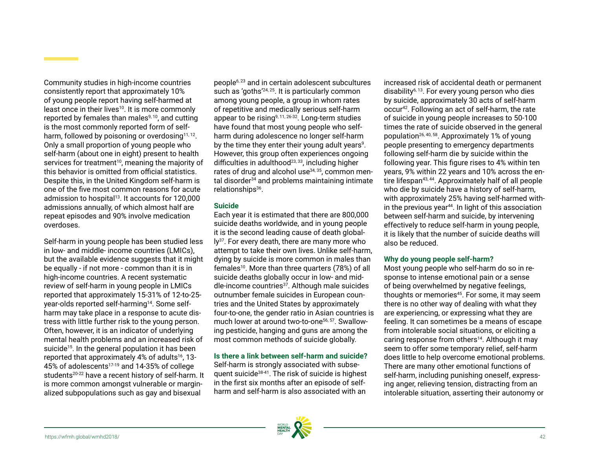Community studies in high-income countries consistently report that approximately 10% of young people report having self-harmed at least once in their lives<sup>10</sup>. It is more commonly reported by females than males $9,10$ , and cutting is the most commonly reported form of selfharm, followed by poisoning or overdosing<sup>11, 12</sup>. Only a small proportion of young people who self-harm (about one in eight) present to health services for treatment<sup>10</sup>, meaning the majority of this behavior is omitted from official statistics. Despite this, in the United Kingdom self-harm is one of the five most common reasons for acute admission to hospital<sup>13</sup>. It accounts for 120,000 admissions annually, of which almost half are repeat episodes and 90% involve medication overdoses.

Self-harm in young people has been studied less in low- and middle- income countries (LMICs), but the available evidence suggests that it might be equally - if not more - common than it is in high-income countries. A recent systematic review of self-harm in young people in LMICs reported that approximately 15-31% of 12-to-25 year-olds reported self-harming14. Some selfharm may take place in a response to acute distress with little further risk to the young person. Often, however, it is an indicator of underlying mental health problems and an increased risk of suicide<sup>15</sup>. In the general population it has been reported that approximately 4% of adults<sup>16</sup>, 13-45% of adolescents17-19 and 14-35% of college students<sup>20-22</sup> have a recent history of self-harm. It is more common amongst vulnerable or marginalized subpopulations such as gay and bisexual

people6, 23 and in certain adolescent subcultures such as 'goths'<sup>24, 25</sup>. It is particularly common among young people, a group in whom rates of repetitive and medically serious self-harm appear to be rising<sup>9, 11, 26-32</sup>. Long-term studies have found that most young people who selfharm during adolescence no longer self-harm by the time they enter their young adult years $9$ . However, this group often experiences ongoing difficulties in adulthood<sup>23, 33</sup>, including higher rates of drug and alcohol use<sup>34, 35</sup>, common mental disorder $34$  and problems maintaining intimate relationships<sup>36</sup>.

#### **Suicide**

Each year it is estimated that there are 800,000 suicide deaths worldwide, and in young people it is the second leading cause of death globally<sup>37</sup>. For every death, there are many more who attempt to take their own lives. Unlike self-harm, dying by suicide is more common in males than females<sup>10</sup>. More than three quarters  $(78%)$  of all suicide deaths globally occur in low- and middle-income countries<sup>37</sup>. Although male suicides outnumber female suicides in European countries and the United States by approximately four-to-one, the gender ratio in Asian countries is much lower at around two-to-one<sup>56, 57</sup>. Swallowing pesticide, hanging and guns are among the most common methods of suicide globally.

#### **Is there a link between self-harm and suicide?**

Self-harm is strongly associated with subsequent suicide38-41. The risk of suicide is highest in the first six months after an episode of selfharm and self-harm is also associated with an

increased risk of accidental death or permanent disability $6, 13$ . For every young person who dies by suicide, approximately 30 acts of self-harm occur42. Following an act of self-harm, the rate of suicide in young people increases to 50-100 times the rate of suicide observed in the general population26, 40, 58. Approximately 1% of young people presenting to emergency departments following self-harm die by suicide within the following year. This figure rises to 4% within ten years, 9% within 22 years and 10% across the entire lifespan43, 44. Approximately half of all people who die by suicide have a history of self-harm, with approximately 25% having self-harmed within the previous year $44$ . In light of this association between self-harm and suicide, by intervening effectively to reduce self-harm in young people, it is likely that the number of suicide deaths will also be reduced.

#### **Why do young people self-harm?**

Most young people who self-harm do so in response to intense emotional pain or a sense of being overwhelmed by negative feelings, thoughts or memories<sup>45</sup>. For some, it may seem there is no other way of dealing with what they are experiencing, or expressing what they are feeling. It can sometimes be a means of escape from intolerable social situations, or eliciting a caring response from others<sup>14</sup>. Although it may seem to offer some temporary relief, self-harm does little to help overcome emotional problems. There are many other emotional functions of self-harm, including punishing oneself, expressing anger, relieving tension, distracting from an intolerable situation, asserting their autonomy or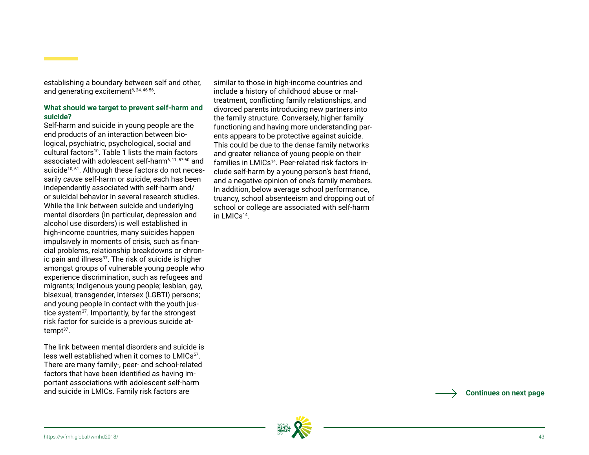establishing a boundary between self and other, and generating excitement<sup>6, 24, 46-56</sup>.

#### **What should we target to prevent self-harm and suicide?**

Self-harm and suicide in young people are the end products of an interaction between biological, psychiatric, psychological, social and cultural factors10. Table 1 lists the main factors associated with adolescent self-harm<sup>6, 11, 57-60</sup> and suicide<sup>10, 61</sup>. Although these factors do not necessarily *cause* self-harm or suicide, each has been independently associated with self-harm and/ or suicidal behavior in several research studies. While the link between suicide and underlying mental disorders (in particular, depression and alcohol use disorders) is well established in high-income countries, many suicides happen impulsively in moments of crisis, such as financial problems, relationship breakdowns or chronic pain and illness<sup>37</sup>. The risk of suicide is higher amongst groups of vulnerable young people who experience discrimination, such as refugees and migrants; Indigenous young people; lesbian, gay, bisexual, transgender, intersex (LGBTI) persons; and young people in contact with the youth justice system37. Importantly, by far the strongest risk factor for suicide is a previous suicide attempt<sup>37</sup>.

The link between mental disorders and suicide is less well established when it comes to LMICs<sup>57</sup>. There are many family-, peer- and school-related factors that have been identified as having important associations with adolescent self-harm and suicide in LMICs. Family risk factors are

similar to those in high-income countries and include a history of childhood abuse or maltreatment, conflicting family relationships, and divorced parents introducing new partners into the family structure. Conversely, higher family functioning and having more understanding parents appears to be protective against suicide. This could be due to the dense family networks and greater reliance of young people on their families in LMICs<sup>14</sup>. Peer-related risk factors include self-harm by a young person's best friend, and a negative opinion of one's family members. In addition, below average school performance, truancy, school absenteeism and dropping out of school or college are associated with self-harm in LMICs<sup>14</sup>.

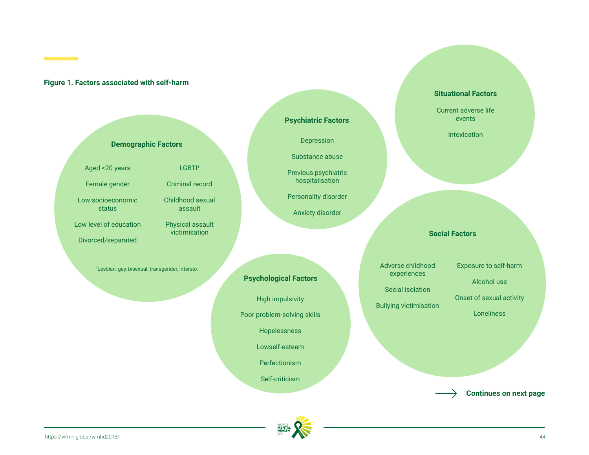#### **Figure 1. Factors associated with self-harm**



#### **Psychiatric Factors**

Depression

Substance abuse

Previous psychiatric hospitalisation

Personality disorder

Anxiety disorder

#### **Psychological Factors**

High impulsivity

Poor problem-solving skills

Hopelessness

Lowself-esteem

Perfectionism

Self-criticism

### **Situational Factors**

Current adverse life events

**Intoxication** 

#### **Social Factors**

Adverse childhood experiences

Exposure to self-harm Alcohol use

Social isolation

Bullying victimisation

Onset of sexual activity

Loneliness

**Continues on next page** 

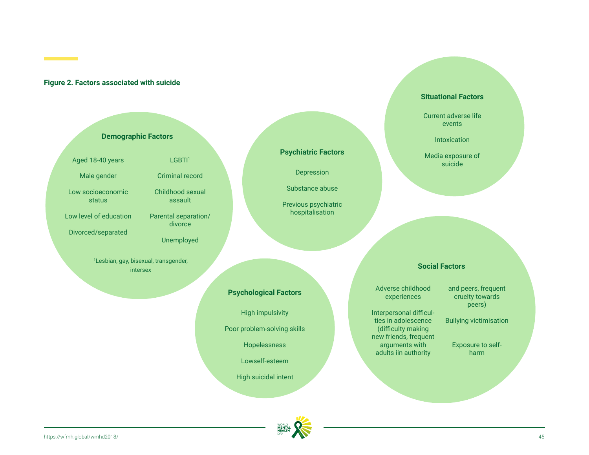#### **Figure 2. Factors associated with suicide**

#### **Demographic Factors**

Male gender

Low socioeconomic status

Low level of education

Divorced/separated

Criminal record

LGBTI<sup>1</sup>

Childhood sexual assault

Parental separation/ divorce

Unemployed

1 Lesbian, gay, bisexual, transgender, intersex

#### **Psychiatric Factors**

Depression

Substance abuse

Previous psychiatric hospitalisation

#### **Psychological Factors**

High impulsivity

Poor problem-solving skills

Hopelessness

Lowself-esteem

High suicidal intent

#### **Situational Factors**

Current adverse life events

Intoxication

Media exposure of suicide Aged 18-40 years

#### **Social Factors**

Adverse childhood experiences

Interpersonal difficulties in adolescence (difficulty making new friends, frequent arguments with adults iin authority

and peers, frequent cruelty towards peers)

Bullying victimisation

Exposure to selfharm

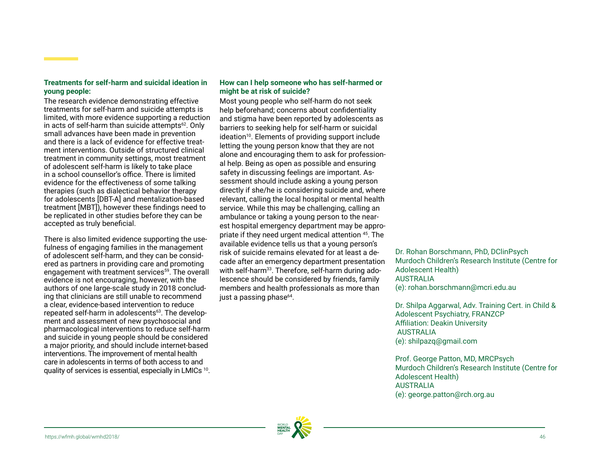#### **Treatments for self-harm and suicidal ideation in young people:**

The research evidence demonstrating effective treatments for self-harm and suicide attempts is limited, with more evidence supporting a reduction in acts of self-harm than suicide attempts<sup>62</sup>. Only small advances have been made in prevention and there is a lack of evidence for effective treatment interventions. Outside of structured clinical treatment in community settings, most treatment of adolescent self-harm is likely to take place in a school counsellor's office. There is limited evidence for the effectiveness of some talking therapies (such as dialectical behavior therapy for adolescents [DBT-A] and mentalization-based treatment [MBT]), however these findings need to be replicated in other studies before they can be accepted as truly beneficial.

There is also limited evidence supporting the usefulness of engaging families in the management of adolescent self-harm, and they can be considered as partners in providing care and promoting engagement with treatment services<sup>59</sup>. The overall evidence is not encouraging, however, with the authors of one large-scale study in 2018 concluding that clinicians are still unable to recommend a clear, evidence-based intervention to reduce repeated self-harm in adolescents<sup>63</sup>. The development and assessment of new psychosocial and pharmacological interventions to reduce self-harm and suicide in young people should be considered a major priority, and should include internet-based interventions. The improvement of mental health care in adolescents in terms of both access to and quality of services is essential, especially in LMICs 10.

#### **How can I help someone who has self-harmed or might be at risk of suicide?**

Most young people who self-harm do not seek help beforehand; concerns about confidentiality and stigma have been reported by adolescents as barriers to seeking help for self-harm or suicidal ideation<sup>10</sup>. Elements of providing support include letting the young person know that they are not alone and encouraging them to ask for professional help. Being as open as possible and ensuring safety in discussing feelings are important. Assessment should include asking a young person directly if she/he is considering suicide and, where relevant, calling the local hospital or mental health service. While this may be challenging, calling an ambulance or taking a young person to the nearest hospital emergency department may be appropriate if they need urgent medical attention 45. The available evidence tells us that a young person's risk of suicide remains elevated for at least a decade after an emergency department presentation with self-harm<sup>33</sup>. Therefore, self-harm during adolescence should be considered by friends, family members and health professionals as more than just a passing phase $64$ .

Dr. Rohan Borschmann, PhD, DClinPsych Murdoch Children's Research Institute (Centre for Adolescent Health) AUSTRALIA (e): [rohan.borschmann@mcri.edu.au](mailto:rohan.borschmann@mcri.edu.au)

Dr. Shilpa Aggarwal, Adv. Training Cert. in Child & Adolescent Psychiatry, FRANZCP Affiliation: Deakin University AUSTRALIA (e): [shilpazq@gmail.com](mailto:shilpazq@gmail.com)

Prof. George Patton, MD, MRCPsych Murdoch Children's Research Institute (Centre for Adolescent Health) AUSTRALIA (e): [george.patton@rch.org.au](mailto:george.patton@rch.org.au)

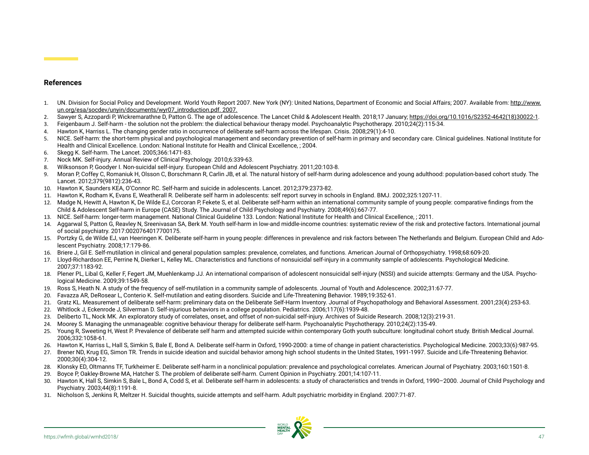#### **References**

- 1. UN. Division for Social Policy and Development. World Youth Report 2007. New York (NY): United Nations, Department of Economic and Social Affairs; 2007. Available from: [http://www.](http://www.un.org/esa/socdev/unyin/documents/wyr07_introduction.pdf. 2007) [un.org/esa/socdev/unyin/documents/wyr07\\_introduction.pdf. 2007](http://www.un.org/esa/socdev/unyin/documents/wyr07_introduction.pdf. 2007).
- 2. Sawyer S, Azzopardi P, Wickremarathne D, Patton G. The age of adolescence. The Lancet Child & Adolescent Health. 2018;17 January; [https://doi.org/10.1016/S2352-4642\(18\)30022-1.](https://doi.org/10.1016/S2352-4642(18)30022-1)
- 3. Feigenbaum J. Self-harm the solution not the problem: the dialectical behaviour therapy model. Psychoanalytic Psychotherapy. 2010;24(2):115-34.
- 4. Hawton K, Harriss L. The changing gender ratio in occurrence of deliberate self-harm across the lifespan. Crisis. 2008;29(1):4-10.
- 5. NICE. Self-harm: the short-term physical and psychological management and secondary prevention of self-harm in primary and secondary care. Clinical guidelines. National Institute for Health and Clinical Excellence. London: National Institute for Health and Clinical Excellence, ; 2004.
- 6. Skegg K. Self-harm. The Lancet. 2005;366:1471-83.
- 7. Nock MK. Self-injury. Annual Review of Clinical Psychology. 2010;6:339-63.
- 8. Wilksonson P, Goodyer I. Non-suicidal self-injury. European Child and Adolescent Psychiatry. 2011;20:103-8.
- 9. Moran P, Coffey C, Romaniuk H, Olsson C, Borschmann R, Carlin JB, et al. The natural history of self-harm during adolescence and young adulthood: population-based cohort study. The Lancet. 2012;379(9812):236-43.
- 10. Hawton K, Saunders KEA, O'Connor RC. Self-harm and suicide in adolescents. Lancet. 2012;379:2373-82.
- 11. Hawton K, Rodham K, Evans E, Weatherall R. Deliberate self harm in adolescents: self report survey in schools in England. BMJ. 2002;325:1207-11.
- 12. Madge N, Hewitt A, Hawton K, De Wilde EJ, Corcoran P, Fekete S, et al. Deliberate self-harm within an international community sample of young people: comparative findings from the Child & Adolescent Self-harm in Europe (CASE) Study. The Journal of Child Psychology and Psychiatry. 2008;49(6):667-77.
- 13. NICE. Self-harm: longer-term management. National Clinical Guideline 133. London: National Institute for Health and Clinical Excellence, ; 2011.
- 14. Aggarwal S, Patton G, Reavley N, Sreenivasan SA, Berk M. Youth self-harm in low-and middle-income countries: systematic review of the risk and protective factors. International journal of social psychiatry. 2017:0020764017700175.
- 15. Portzky G, de Wilde EJ, van Heeringen K. Deliberate self-harm in young people: differences in prevalence and risk factors between The Netherlands and Belgium. European Child and Adolescent Psychiatry. 2008;17:179-86.
- 16. Briere J, Gil E. Self-mutilation in clinical and general population samples: prevalence, correlates, and functions. American Journal of Orthopsychiatry. 1998;68:609-20.
- 17. Lloyd-Richardson EE, Perrine N, Dierker L, Kelley ML. Characteristics and functions of nonsuicidal self-injury in a community sample of adolescents. Psychological Medicine. 2007;37:1183-92.
- 18. Plener PL, Libal G, Keller F, Fegert JM, Muehlenkamp JJ. An international comparison of adolescent nonsuicidal self-injury (NSSI) and suicide attempts: Germany and the USA. Psychological Medicine. 2009;39:1549-58.
- 19. Ross S, Heath N. A study of the frequency of self-mutilation in a community sample of adolescents. Journal of Youth and Adolescence. 2002;31:67-77.
- 20. Favazza AR, DeRosear L, Conterio K. Self-mutilation and eating disorders. Suicide and Life-Threatening Behavior. 1989;19:352-61.
- 21. Gratz KL. Measurement of deliberate self-harm: preliminary data on the Deliberate Self-Harm Inventory. Journal of Psychopathology and Behavioral Assessment. 2001;23(4):253-63.
- 22. Whitlock J, Eckenrode J, Silverman D. Self-injurious behaviors in a college population. Pediatrics. 2006;117(6):1939-48.
- 23. Deliberto TL, Nock MK. An exploratory study of correlates, onset, and offset of non-suicidal self-injury. Archives of Suicide Research. 2008;12(3):219-31.
- 24. Moorey S. Managing the unmanageable: cognitive behaviour therapy for deliberate self-harm. Psychoanalytic Psychotherapy. 2010;24(2):135-49.
- 25. Young R, Sweeting H, West P. Prevalence of deliberate self harm and attempted suicide within contemporary Goth youth subculture: longitudinal cohort study. British Medical Journal. 2006;332:1058-61.
- 26. Hawton K, Harriss L, Hall S, Simkin S, Bale E, Bond A. Deliberate self-harm in Oxford, 1990-2000: a time of change in patient characteristics. Psychological Medicine. 2003;33(6):987-95.
- 27. Brener ND, Krug EG, Simon TR. Trends in suicide ideation and suicidal behavior among high school students in the United States, 1991-1997. Suicide and Life-Threatening Behavior. 2000;30(4):304-12.
- 28. Klonsky ED, Oltmanns TF, Turkheimer E. Deliberate self-harm in a nonclinical population: prevalence and psychological correlates. American Journal of Psychiatry. 2003;160:1501-8.
- 29. Boyce P, Oakley-Browne MA, Hatcher S. The problem of deliberate self-harm. Current Opinion in Psychiatry. 2001;14:107-11.
- 30. Hawton K, Hall S, Simkin S, Bale L, Bond A, Codd S, et al. Deliberate self-harm in adolescents: a study of characteristics and trends in Oxford, 1990-2000. Journal of Child Psychology and Psychiatry. 2003;44(8):1191-8.
- 31. Nicholson S, Jenkins R, Meltzer H. Suicidal thoughts, suicide attempts and self-harm. Adult psychiatric morbidity in England. 2007:71-87.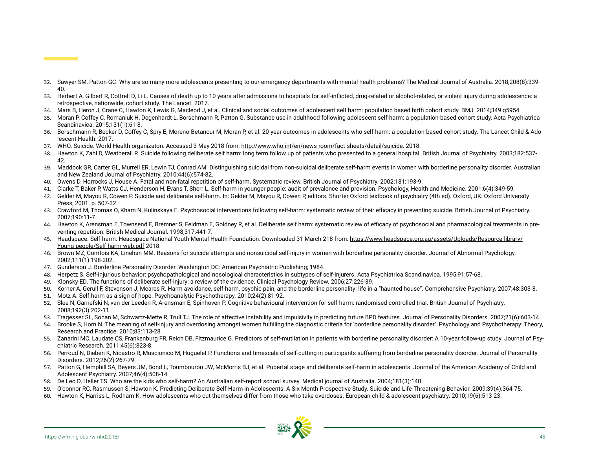- 32. Sawyer SM, Patton GC. Why are so many more adolescents presenting to our emergency departments with mental health problems? The Medical Journal of Australia. 2018;208(8):339- 40.
- 33. Herbert A, Gilbert R, Cottrell D, Li L. Causes of death up to 10 years after admissions to hospitals for self-inflicted, drug-related or alcohol-related, or violent injury during adolescence: a retrospective, nationwide, cohort study. The Lancet. 2017.
- 34. Mars B, Heron J, Crane C, Hawton K, Lewis G, Macleod J, et al. Clinical and social outcomes of adolescent self harm: population based birth cohort study. BMJ. 2014;349:g5954.
- 35. Moran P, Coffey C, Romaniuk H, Degenhardt L, Borschmann R, Patton G. Substance use in adulthood following adolescent self-harm: a population-based cohort study. Acta Psychiatrica Scandinavica. 2015;131(1):61-8.
- 36. Borschmann R, Becker D, Coffey C, Spry E, Moreno-Betancur M, Moran P, et al. 20-year outcomes in adolescents who self-harm: a population-based cohort study. The Lancet Child & Adolescent Health. 2017.
- 37. WHO. Suicide. World Health organizaton. Accessed 3 May 2018 from: [http://www.who.int/en/news-room/fact-sheets/detail/suicide.](http://www.who.int/en/news-room/fact-sheets/detail/suicide) 2018.
- 38. Hawton K, Zahl D, Weatherall R. Suicide following deliberate self harm: long term follow up of patients who presented to a general hospital. British Journal of Psychiatry. 2003;182:537- 42.
- 39. Maddock GR, Carter GL, Murrell ER, Lewin TJ, Conrad AM. Distinguishing suicidal from non-suicidal deliberate self-harm events in women with borderline personality disorder. Australian and New Zealand Journal of Psychiatry. 2010;44(6):574-82.
- 40. Owens D, Horrocks J, House A. Fatal and non-fatal repetition of self-harm. Systematic review. British Journal of Psychiatry. 2002;181:193-9.
- 41. Clarke T, Baker P, Watts CJ, Henderson H, Evans T, Sherr L. Self-harm in younger people: audit of prevalence and provision. Psychology, Health and Medicine. 2001;6(4):349-59.
- 42. Gelder M, Mayou R, Cowen P. Suicide and deliberate self-harm. In: Gelder M, Mayou R, Cowen P, editors. Shorter Oxford textbook of psychiatry (4th ed). Oxford, UK: Oxford University Press; 2001. p. 507-32.
- 43. Crawford M, Thomas O, Kham N, Kulinskaya E. Psychosocial interventions following self-harm: systematic review of their efficacy in preventing suicide. British Journal of Psychiatry. 2007;190:11-7.
- 44. Hawton K, Arensman E, Townsend E, Bremner S, Feldman E, Goldney R, et al. Deliberate self harm: systematic review of efficacy of psychosocial and pharmacological treatments in preventing repetition. British Medical Journal. 1998;317:441-7.
- 45. Headspace. Self-harm. Headspace National Youth Mental Health Foundation. Downloaded 31 March 218 from: [https://www.headspace.org.au/assets/Uploads/Resource-library/](https://www.headspace.org.au/assets/Uploads/Resource-library/Young-people/Self-harm-web.pdf) [Young-people/Self-harm-web.pdf](https://www.headspace.org.au/assets/Uploads/Resource-library/Young-people/Self-harm-web.pdf) 2018.
- 46. Brown MZ, Comtois KA, Linehan MM. Reasons for suicide attempts and nonsuicidal self-injury in women with borderline personality disorder. Journal of Abnormal Psychology. 2002;111(1):198-202.
- 47. Gunderson J. Borderline Personality Disorder. Washington DC: American Psychiatric Publishing; 1984.
- 48. Herpetz S. Self-injurious behavior: psychopathological and nosological characteristics in subtypes of self-injurers. Acta Psychiatrica Scandinavica. 1995;91:57-68.
- 49. Klonsky ED. The functions of deliberate self-injury: a review of the evidence. Clinical Psychology Review. 2006;27:226-39.
- 50. Korner A, Gerull F, Stevenson J, Meares R. Harm avoidance, self-harm, psychic pain, and the borderline personality: life in a "haunted house". Comprehensive Psychiatry. 2007;48:303-8.
- 51. Motz A. Self-harm as a sign of hope. Psychoanalytic Psychotherapy. 2010;24(2):81-92.
- 52. Slee N, Garnefski N, van der Leeden R, Arensman E, Spinhoven P. Cognitive behavioural intervention for self-harm: randomised controlled trial. British Journal of Psychiatry. 2008;192(3):202-11.
- 53. Tragesser SL, Sohan M, Schwartz-Mette R, Trull TJ. The role of affective instability and impulsivity in predicting future BPD features. Journal of Personality Disorders. 2007;21(6):603-14.
- 54. Brooke S, Horn N, The meaning of self-injury and overdosing amongst women fulfilling the diagnostic criteria for 'borderline personality disorder'. Psychology and Psychotherapy: Theory, Research and Practice. 2010;83:113-28.
- 55. Zanarini MC, Laudate CS, Frankenburg FR, Reich DB, Fitzmaurice G. Predictors of self-mutilation in patients with borderline personality disorder: A 10-year follow-up study. Journal of Psychiatric Research. 2011;45(6):823-8.
- 56. Perroud N, Dieben K, Nicastro R, Muscionico M, Huguelet P. Functions and timescale of self-cutting in participants suffering from borderline personality disorder. Journal of Personality Disorders. 2012;26(2):267-79.
- 57. Patton G, Hemphill SA, Beyers JM, Bond L, Toumbourou JW, McMorris BJ, et al. Pubertal stage and deliberate self-harm in adolescents. Journal of the American Academy of Child and Adolescent Psychiatry. 2007;46(4):508-14.
- 58. De Leo D, Heller TS. Who are the kids who self-harm? An Australian self-report school survey. Medical journal of Australia. 2004;181(3):140.
- 59. O'connor RC, Rasmussen S, Hawton K. Predicting Deliberate Self‐Harm in Adolescents: A Six Month Prospective Study. Suicide and Life-Threatening Behavior. 2009;39(4):364-75.
- 60. Hawton K, Harriss L, Rodham K. How adolescents who cut themselves differ from those who take overdoses. European child & adolescent psychiatry. 2010;19(6):513-23.

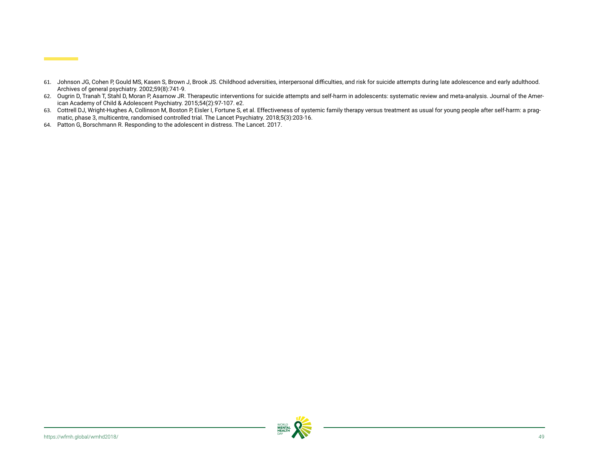- 61. Johnson JG, Cohen P, Gould MS, Kasen S, Brown J, Brook JS. Childhood adversities, interpersonal difficulties, and risk for suicide attempts during late adolescence and early adulthood. Archives of general psychiatry. 2002;59(8):741-9.
- 62. Ougrin D, Tranah T, Stahl D, Moran P, Asarnow JR. Therapeutic interventions for suicide attempts and self-harm in adolescents: systematic review and meta-analysis. Journal of the American Academy of Child & Adolescent Psychiatry. 2015;54(2):97-107. e2.
- 63. Cottrell DJ, Wright-Hughes A, Collinson M, Boston P, Eisler I, Fortune S, et al. Effectiveness of systemic family therapy versus treatment as usual for young people after self-harm: a pragmatic, phase 3, multicentre, randomised controlled trial. The Lancet Psychiatry. 2018;5(3):203-16.
- 64. Patton G, Borschmann R. Responding to the adolescent in distress. The Lancet. 2017.

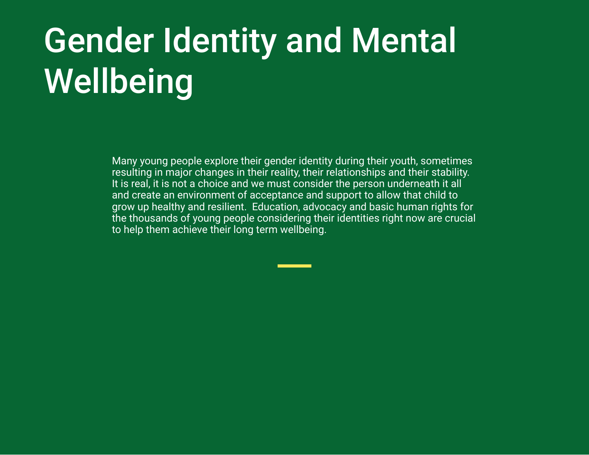# Gender Identity and Mental Wellbeing

Many young people explore their gender identity during their youth, sometimes resulting in major changes in their reality, their relationships and their stability. It is real, it is not a choice and we must consider the person underneath it all and create an environment of acceptance and support to allow that child to grow up healthy and resilient. Education, advocacy and basic human rights for the thousands of young people considering their identities right now are crucial to help them achieve their long term wellbeing.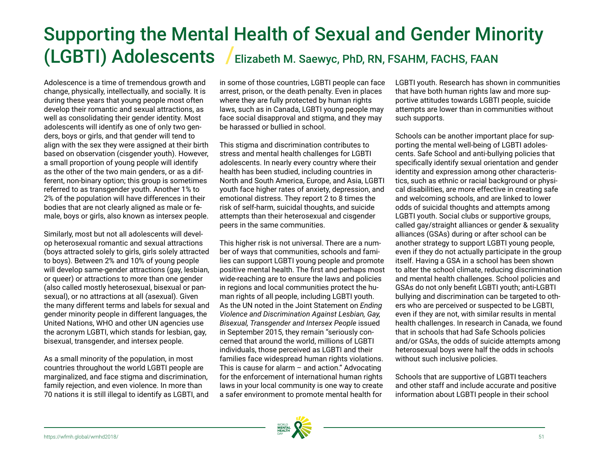### Supporting the Mental Health of Sexual and Gender Minority (LGBTI) Adolescents /Elizabeth M. Saewyc, PhD, RN, FSAHM, FACHS, FAAN

Adolescence is a time of tremendous growth and change, physically, intellectually, and socially. It is during these years that young people most often develop their romantic and sexual attractions, as well as consolidating their gender identity. Most adolescents will identify as one of only two genders, boys or girls, and that gender will tend to align with the sex they were assigned at their birth based on observation (cisgender youth). However, a small proportion of young people will identify as the other of the two main genders, or as a different, non-binary option; this group is sometimes referred to as transgender youth. Another 1% to 2% of the population will have differences in their bodies that are not clearly aligned as male or female, boys or girls, also known as intersex people.

Similarly, most but not all adolescents will develop heterosexual romantic and sexual attractions (boys attracted solely to girls, girls solely attracted to boys). Between 2% and 10% of young people will develop same-gender attractions (gay, lesbian, or queer) or attractions to more than one gender (also called mostly heterosexual, bisexual or pansexual), or no attractions at all (asexual). Given the many different terms and labels for sexual and gender minority people in different languages, the United Nations, WHO and other UN agencies use the acronym LGBTI, which stands for lesbian, gay, bisexual, transgender, and intersex people.

As a small minority of the population, in most countries throughout the world LGBTI people are marginalized, and face stigma and discrimination, family rejection, and even violence. In more than 70 nations it is still illegal to identify as LGBTI, and

in some of those countries, LGBTI people can face arrest, prison, or the death penalty. Even in places where they are fully protected by human rights laws, such as in Canada, LGBTI young people may face social disapproval and stigma, and they may be harassed or bullied in school.

This stigma and discrimination contributes to stress and mental health challenges for LGBTI adolescents. In nearly every country where their health has been studied, including countries in North and South America, Europe, and Asia, LGBTI youth face higher rates of anxiety, depression, and emotional distress. They report 2 to 8 times the risk of self-harm, suicidal thoughts, and suicide attempts than their heterosexual and cisgender peers in the same communities.

This higher risk is not universal. There are a number of ways that communities, schools and families can support LGBTI young people and promote positive mental health. The first and perhaps most wide-reaching are to ensure the laws and policies in regions and local communities protect the human rights of all people, including LGBTI youth. As the UN noted in the Joint Statement on *Ending Violence and Discrimination Against Lesbian, Gay, Bisexual, Transgender and Intersex People* issued in September 2015, they remain "seriously concerned that around the world, millions of LGBTI individuals, those perceived as LGBTI and their families face widespread human rights violations. This is cause for alarm – and action." Advocating for the enforcement of international human rights laws in your local community is one way to create a safer environment to promote mental health for

LGBTI youth. Research has shown in communities that have both human rights law and more supportive attitudes towards LGBTI people, suicide attempts are lower than in communities without such supports.

Schools can be another important place for supporting the mental well-being of LGBTI adolescents. Safe School and anti-bullying policies that specifically identify sexual orientation and gender identity and expression among other characteristics, such as ethnic or racial background or physical disabilities, are more effective in creating safe and welcoming schools, and are linked to lower odds of suicidal thoughts and attempts among LGBTI youth. Social clubs or supportive groups, called gay/straight alliances or gender & sexuality alliances (GSAs) during or after school can be another strategy to support LGBTI young people, even if they do not actually participate in the group itself. Having a GSA in a school has been shown to alter the school climate, reducing discrimination and mental health challenges. School policies and GSAs do not only benefit LGBTI youth; anti-LGBTI bullying and discrimination can be targeted to others who are perceived or suspected to be LGBTI, even if they are not, with similar results in mental health challenges. In research in Canada, we found that in schools that had Safe Schools policies and/or GSAs, the odds of suicide attempts among heterosexual boys were half the odds in schools without such inclusive policies.

Schools that are supportive of LGBTI teachers and other staff and include accurate and positive information about LGBTI people in their school

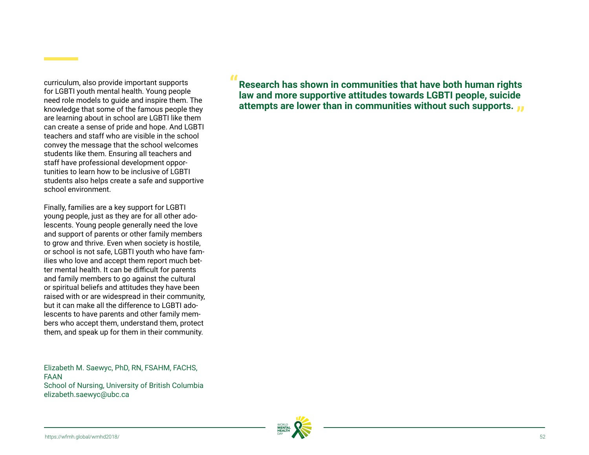curriculum, also provide important supports for LGBTI youth mental health. Young people need role models to guide and inspire them. The knowledge that some of the famous people they are learning about in school are LGBTI like them can create a sense of pride and hope. And LGBTI teachers and staff who are visible in the school convey the message that the school welcomes students like them. Ensuring all teachers and staff have professional development opportunities to learn how to be inclusive of LGBTI students also helps create a safe and supportive school environment.

"

Finally, families are a key support for LGBTI young people, just as they are for all other adolescents. Young people generally need the love and support of parents or other family members to grow and thrive. Even when society is hostile, or school is not safe, LGBTI youth who have families who love and accept them report much better mental health. It can be difficult for parents and family members to go against the cultural or spiritual beliefs and attitudes they have been raised with or are widespread in their community, but it can make all the difference to LGBTI adolescents to have parents and other family members who accept them, understand them, protect them, and speak up for them in their community.

Elizabeth M. Saewyc, PhD, RN, FSAHM, FACHS, FAAN School of Nursing, University of British Columbia elizabeth.saewyc@ubc.ca

**Research has shown in communities that have both human rights law and more supportive attitudes towards LGBTI people, suicide**  attempts are lower than in communities without such supports. <sub>"</sub>

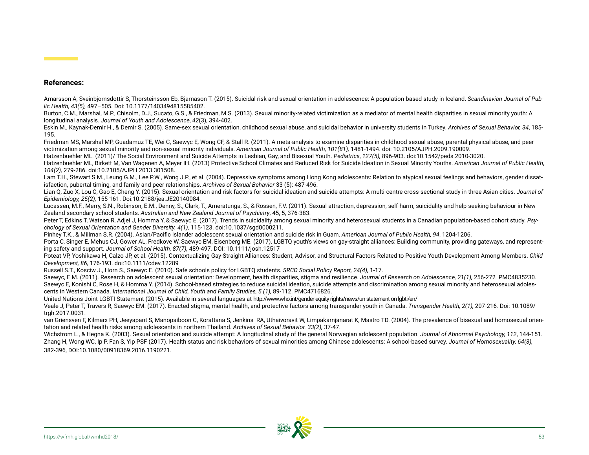#### **References:**

Arnarsson A, Sveinbjornsdottir S, Thorsteinsson Eb, Bjarnason T. (2015). Suicidal risk and sexual orientation in adolescence: A population-based study in Iceland. *Scandinavian Journal of Public Health, 43(5),* 497–505*.* Doi: 10.1177/1403494815585402.

Burton, C.M., Marshal, M.P., Chisolm, D.J., Sucato, G.S., & Friedman, M.S. (2013). Sexual minority-related victimization as a mediator of mental health disparities in sexual minority youth: A longitudinal analysis. *Journal of Youth and Adolescence*, *42*(3), 394-402.

Eskin M., Kaynak-Demir H., & Demir S. (2005). Same-sex sexual orientation, childhood sexual abuse, and suicidal behavior in university students in Turkey. *Archives of Sexual Behavior, 34*, 185- 195.

Friedman MS, Marshal MP, Guadamuz TE, Wei C, Saewyc E, Wong CF, & Stall R. (2011). A meta-analysis to examine disparities in childhood sexual abuse, parental physical abuse, and peer victimization among sexual minority and non-sexual minority individuals. *American Journal of Public Health, 101(81),* 1481-1494. doi: 10.2105/AJPH.2009.190009.

Hatzenbuehler ML. (2011)/ The Social Environment and Suicide Attempts in Lesbian, Gay, and Bisexual Youth. *Pediatrics*, *127(5),* 896-903. doi:10.1542/peds.2010-3020.

Hatzenbuehler ML, Birkett M, Van Wagenen A, Meyer IH. (2013) Protective School Climates and Reduced Risk for Suicide Ideation in Sexual Minority Youths. *American Journal of Public Health*, *104(2),* 279-286. doi:10.2105/AJPH.2013.301508.

Lam T.H., Stewart S.M., Leung G.M., Lee P.W., Wong J.P., et al. (2004). Depressive symptoms among Hong Kong adolescents: Relation to atypical sexual feelings and behaviors, gender dissatisfaction, pubertal timing, and family and peer relationships. *Archives of Sexual Behavior* 33 (5): 487-496.

Lian Q, Zuo X, Lou C, Gao E, Cheng Y. (2015). Sexual orientation and risk factors for suicidal ideation and suicide attempts: A multi-centre cross-sectional study in three Asian cities. *Journal of Epidemiology, 25(2),* 155-161. Doi:10.2188/jea.JE20140084.

Lucassen, M.F., Merry, S.N., Robinson, E.M., Denny, S., Clark, T., Ameratunga, S., & Rossen, F.V. (2011). Sexual attraction, depression, self-harm, suicidality and help-seeking behaviour in New Zealand secondary school students. *Australian and New Zealand Journal of Psychiatry*, 45, 5, 376-383.

Peter T, Edkins T, Watson R, Adjei J, Homma Y, & Saewyc E. (2017). Trends in suicidality among sexual minority and heterosexual students in a Canadian population-based cohort study. *Psychology of Sexual Orientation and Gender Diversity. 4(1),* 115-123. doi:10.1037/sgd0000211*.*

Pinhey T.K., & Millman S.R. (2004). Asian/Pacific islander adolescent sexual orientation and suicide risk in Guam. *American Journal of Public Health, 94*, 1204-1206.

Porta C, Singer E, Mehus CJ, Gower AL, Fredkove W, Saewyc EM, Eisenberg ME. (2017). LGBTQ youth's views on gay-straight alliances: Building community, providing gateways, and representing safety and support. *Journal of School Health, 87(7),* 489-497*.* DOI: 10.1111/josh.12517

Poteat VP, Yoshikawa H, Calzo JP, et al. (2015). Contextualizing Gay-Straight Alliances: Student, Advisor, and Structural Factors Related to Positive Youth Development Among Members. *Child Development, 86,* 176-193. doi:10.1111/cdev.12289

Russell S.T., Kosciw J., Horn S., Saewyc E. (2010). Safe schools policy for LGBTQ students. *SRCD Social Policy Report, 24(4),* 1-17.

Saewyc, E.M. (2011). Research on adolescent sexual orientation: Development, health disparities, stigma and resilience. *Journal of Research on Adolescence, 21(1),* 256-272*.* PMC4835230. Saewyc E, Konishi C, Rose H, & Homma Y. (2014). School-based strategies to reduce suicidal ideation, suicide attempts and discrimination among sexual minority and heterosexual adolescents in Western Canada. *International Journal of Child, Youth and Family Studies, 5 (1),* 89-112. PMC4716826.

United Nations Joint LGBTI Statement (2015). Available in several languages at <http://www.who.int/gender-equity-rights/news/un-statement-on-lgbti/en/>

Veale J, Peter T, Travers R, Saewyc EM. (2017). Enacted stigma, mental health, and protective factors among transgender youth in Canada. *Transgender Health, 2(1),* 207-216*.* Doi: 10.1089/ trgh.2017.0031.

van Griensven F, Kilmarx PH, Jeeyapant S, Manopaiboon C, Korattana S, Jenkins RA, Uthaivoravit W, Limpakarnjanarat K, Mastro TD. (2004). The prevalence of bisexual and homosexual orientation and related health risks among adolescents in northern Thailand. *Archives of Sexual Behavior. 33(2),* 37-47.

Wichstrom L., & Hegna K. (2003). Sexual orientation and suicide attempt: A longitudinal study of the general Norwegian adolescent population. *Journal of Abnormal Psychology, 112*, 144-151. Zhang H, Wong WC, Ip P, Fan S, Yip PSF (2017). Health status and risk behaviors of sexual minorities among Chinese adolescents: A school-based survey. *Journal of Homosexuality, 64(3),* 382-396, DOI:10.1080/00918369.2016.1190221.

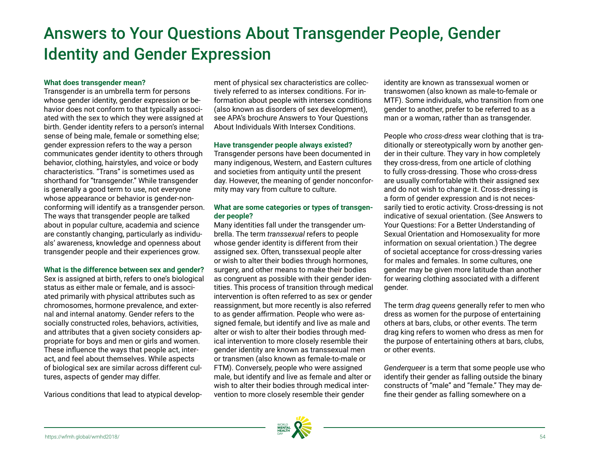### Answers to Your Questions About Transgender People, Gender Identity and Gender Expression

#### **What does transgender mean?**

[Transgender](http://www.apa.org/pi/lgbt/programs/transgender/index.aspx) is an umbrella term for persons whose gender identity, gender expression or behavior does not conform to that typically associated with the sex to which they were assigned at birth. [Gender identity](http://www.apa.org/pubs/info/reports/gender-identity.aspx) refers to a person's internal sense of being male, female or something else; gender expression refers to the way a person communicates gender identity to others through behavior, clothing, hairstyles, and voice or body characteristics. "Trans" is sometimes used as shorthand for "transgender." While transgender is generally a good term to use, not everyone whose appearance or behavior is gender-nonconforming will identify as a transgender person. The ways that transgender people are talked about in popular culture, academia and science are constantly changing, particularly as individuals' awareness, knowledge and openness about transgender people and their experiences grow.

#### **What is the difference between sex and gender?**

Sex is assigned at birth, refers to one's biological status as either male or female, and is associated primarily with physical attributes such as chromosomes, hormone prevalence, and external and internal anatomy. Gender refers to the socially constructed roles, behaviors, activities, and attributes that a given society considers appropriate for boys and men or girls and women. These influence the ways that people act, interact, and feel about themselves. While aspects of biological sex are similar across different cultures, aspects of gender may differ.

Various conditions that lead to atypical develop-

ment of physical sex characteristics are collectively referred to as intersex conditions. For information about people with intersex conditions (also known as disorders of sex development), see APA's brochure [Answers to Your Questions](http://www.apa.org/topics/lgbt/intersex.aspx)  [About Individuals With Intersex Conditions](http://www.apa.org/topics/lgbt/intersex.aspx).

#### **Have transgender people always existed?**

Transgender persons have been documented in many indigenous, Western, and Eastern cultures and societies from antiquity until the present day. However, the meaning of gender nonconformity may vary from culture to culture.

#### **What are some categories or types of transgender people?**

Many identities fall under the transgender umbrella. The term *transsexual* refers to people whose gender identity is different from their assigned sex. Often, transsexual people alter or wish to alter their bodies through hormones, surgery, and other means to make their bodies as congruent as possible with their gender identities. This process of transition through medical intervention is often referred to as sex or gender reassignment, but more recently is also referred to as gender affirmation. People who were assigned female, but identify and live as male and alter or wish to alter their bodies through medical intervention to more closely resemble their gender identity are known as transsexual men or transmen (also known as female-to-male or FTM). Conversely, people who were assigned male, but identify and live as female and alter or wish to alter their bodies through medical intervention to more closely resemble their gender

identity are known as transsexual women or transwomen (also known as male-to-female or MTF). Some individuals, who transition from one gender to another, prefer to be referred to as a man or a woman, rather than as transgender.

People who *cross-dress* wear clothing that is traditionally or stereotypically worn by another gender in their culture. They vary in how completely they cross-dress, from one article of clothing to fully cross-dressing. Those who cross-dress are usually comfortable with their assigned sex and do not wish to change it. Cross-dressing is a form of gender expression and is not necessarily tied to erotic activity. Cross-dressing is not indicative of sexual orientation. (See [Answers to](http://www.apa.org/topics/lgbt/orientation.aspx)  [Your Questions: For a Better Understanding of](http://www.apa.org/topics/lgbt/orientation.aspx)  [Sexual Orientation and Homosexuality](http://www.apa.org/topics/lgbt/orientation.aspx) for more information on sexual orientation.) The degree of societal acceptance for cross-dressing varies for males and females. In some cultures, one gender may be given more latitude than another for wearing clothing associated with a different gender.

The term *drag queens* generally refer to men who dress as women for the purpose of entertaining others at bars, clubs, or other events. The term drag king refers to women who dress as men for the purpose of entertaining others at bars, clubs, or other events.

*Genderqueer* is a term that some people use who identify their gender as falling outside the binary constructs of "male" and "female." They may define their gender as falling somewhere on a

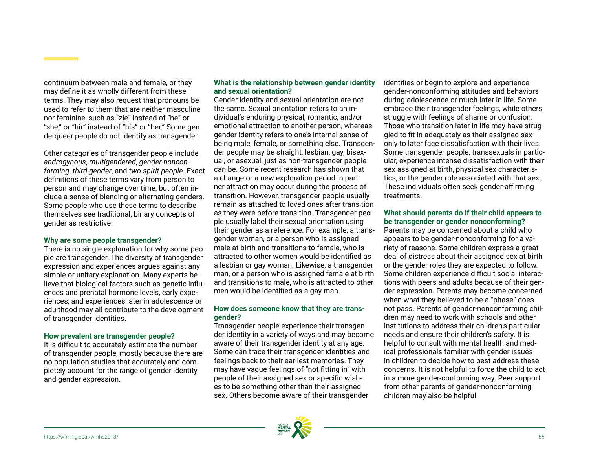continuum between male and female, or they may define it as wholly different from these terms. They may also request that pronouns be used to refer to them that are neither masculine nor feminine, such as "zie" instead of "he" or "she," or "hir" instead of "his" or "her." Some genderqueer people do not identify as transgender.

Other categories of transgender people include *androgynous*, *multigendered*, *gender nonconforming*, *third gender*, and *two-spirit people*. Exact definitions of these terms vary from person to person and may change over time, but often include a sense of blending or alternating genders. Some people who use these terms to describe themselves see traditional, binary concepts of gender as restrictive.

#### **Why are some people transgender?**

There is no single explanation for why some people are transgender. The diversity of transgender expression and experiences argues against any simple or unitary explanation. Many experts believe that biological factors such as genetic influences and prenatal hormone levels, early experiences, and experiences later in adolescence or adulthood may all contribute to the development of transgender identities.

#### **How prevalent are transgender people?**

It is difficult to accurately estimate the number of transgender people, mostly because there are no population studies that accurately and completely account for the range of gender identity and gender expression.

#### **What is the relationship between gender identity and sexual orientation?**

[Gender identity](http://www.apa.org/pubs/info/reports/gender-identity.aspx) and [sexual orientation](http://www.apa.org/topics/lgbt/orientation.aspx) are not the same. Sexual orientation refers to an individual's enduring physical, romantic, and/or emotional attraction to another person, whereas gender identity refers to one's internal sense of being male, female, or something else. Transgender people may be straight, lesbian, gay, bisexual, or asexual, just as non-transgender people can be. Some recent research has shown that a change or a new exploration period in partner attraction may occur during the process of transition. However, transgender people usually remain as attached to loved ones after transition as they were before transition. Transgender people usually label their sexual orientation using their gender as a reference. For example, a transgender woman, or a person who is assigned male at birth and transitions to female, who is attracted to other women would be identified as a lesbian or gay woman. Likewise, a transgender man, or a person who is assigned female at birth and transitions to male, who is attracted to other men would be identified as a gay man.

#### **How does someone know that they are transgender?**

Transgender people experience their transgender identity in a variety of ways and may become aware of their transgender identity at any age. Some can trace their transgender identities and feelings back to their earliest memories. They may have vague feelings of "not fitting in" with people of their assigned sex or specific wishes to be something other than their assigned sex. Others become aware of their transgender

identities or begin to explore and experience gender-nonconforming attitudes and behaviors during adolescence or much later in life. Some embrace their transgender feelings, while others struggle with feelings of shame or confusion. Those who transition later in life may have struggled to fit in adequately as their assigned sex only to later face dissatisfaction with their lives. Some transgender people, transsexuals in particular, experience intense dissatisfaction with their sex assigned at birth, physical sex characteristics, or the gender role associated with that sex. These individuals often seek gender-affirming treatments.

#### **What should parents do if their child appears to be transgender or gender nonconforming?**

Parents may be concerned about a child who appears to be gender-nonconforming for a variety of reasons. Some children express a great deal of distress about their assigned sex at birth or the gender roles they are expected to follow. Some children experience difficult social interactions with peers and adults because of their gender expression. Parents may become concerned when what they believed to be a "phase" does not pass. Parents of gender-nonconforming children may need to work with schools and other institutions to address their children's particular needs and ensure their children's safety. It is helpful to consult with mental health and medical professionals familiar with gender issues in children to decide how to best address these concerns. It is not helpful to force the child to act in a more gender-conforming way. Peer support from other parents of gender-nonconforming children may also be helpful.

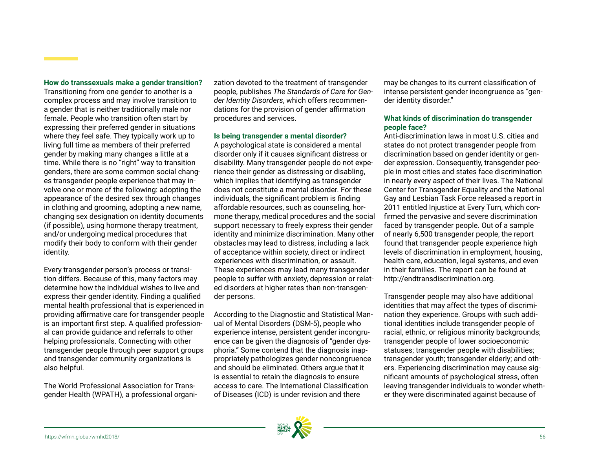#### **How do transsexuals make a gender transition?**

Transitioning from one gender to another is a complex process and may involve transition to a gender that is neither traditionally male nor female. People who transition often start by expressing their preferred gender in situations where they feel safe. They typically work up to living full time as members of their preferred gender by making many changes a little at a time. While there is no "right" way to transition genders, there are some common social changes transgender people experience that may involve one or more of the following: adopting the appearance of the desired sex through changes in clothing and grooming, adopting a new name, changing sex designation on identity documents (if possible), using hormone therapy treatment, and/or undergoing medical procedures that modify their body to conform with their gender identity.

Every transgender person's process or transition differs. Because of this, many factors may determine how the individual wishes to live and express their gender identity. Finding a qualified mental health professional that is experienced in providing affirmative care for transgender people is an important first step. A qualified professional can provide guidance and referrals to other helping professionals. Connecting with other transgender people through peer support groups and transgender community organizations is also helpful.

The World Professional Association for Transgender Health (WPATH), a professional organi-

zation devoted to the treatment of transgender people, publishes *[The Standards of Care for Gen](http://www.wpath.org/site_page.cfm?pk_association_webpage_menu=1351&pk_association_webpage=4655)[der Identity Disorders](http://www.wpath.org/site_page.cfm?pk_association_webpage_menu=1351&pk_association_webpage=4655)*, which offers recommendations for the provision of gender affirmation procedures and services.

#### **Is being transgender a mental disorder?**

A psychological state is considered a mental disorder only if it causes significant distress or disability. Many transgender people do not experience their gender as distressing or disabling, which implies that identifying as transgender does not constitute a mental disorder. For these individuals, the significant problem is finding affordable resources, such as counseling, hormone therapy, medical procedures and the social support necessary to freely express their gender identity and minimize discrimination. Many other obstacles may lead to distress, including a lack of acceptance within society, direct or indirect experiences with discrimination, or assault. These experiences may lead many transgender people to suffer with [anxiety](http://www.apa.org/topics/anxiety/index.aspx), [depression](http://www.apa.org/topics/depression/index.aspx) or related disorders at higher rates than non-transgender persons.

According to the [Diagnostic and Statistical Man](http://www.dsm5.org/Pages/Default.aspx)[ual of Mental Disorders](http://www.dsm5.org/Pages/Default.aspx) (DSM-5), people who experience intense, persistent gender incongruence can be given the diagnosis of "gender dysphoria." Some contend that the diagnosis inappropriately pathologizes gender noncongruence and should be eliminated. Others argue that it is essential to retain the diagnosis to ensure access to care. The [International Classification](http://www.apapracticecentral.org/reimbursement/icd-10-cm/index.aspx)  [of Diseases](http://www.apapracticecentral.org/reimbursement/icd-10-cm/index.aspx) (ICD) is under revision and there

may be changes to its current classification of intense persistent gender incongruence as "gender identity disorder."

#### **What kinds of discrimination do transgender people face?**

Anti-discrimination laws in most U.S. cities and states do not protect transgender people from discrimination based on gender identity or gender expression. Consequently, transgender people in most cities and states face discrimination in nearly every aspect of their lives. The National Center for Transgender Equality and the National Gay and Lesbian Task Force released a report in 2011 entitled [Injustice at Every Turn](http://endtransdiscrimination.org/), which confirmed the pervasive and severe discrimination faced by transgender people. Out of a sample of nearly 6,500 transgender people, the report found that transgender people experience high levels of discrimination in employment, housing, health care, education, legal systems, and even in their families. The report can be found at http://endtransdiscrimination.org.

Transgender people may also have additional identities that may affect the types of discrimination they experience. Groups with such additional identities include transgender people of racial, ethnic, or religious minority backgrounds; transgender people of lower [socioeconomic](http://www.apa.org/topics/socioeconomic-status/index.aspx)  [statuses;](http://www.apa.org/topics/socioeconomic-status/index.aspx) transgender people with [disabilities](http://www.apa.org/topics/disability/index.aspx); transgender youth; transgender elderly; and others. Experiencing discrimination may cause significant amounts of psychological stress, often leaving transgender individuals to wonder whether they were discriminated against because of

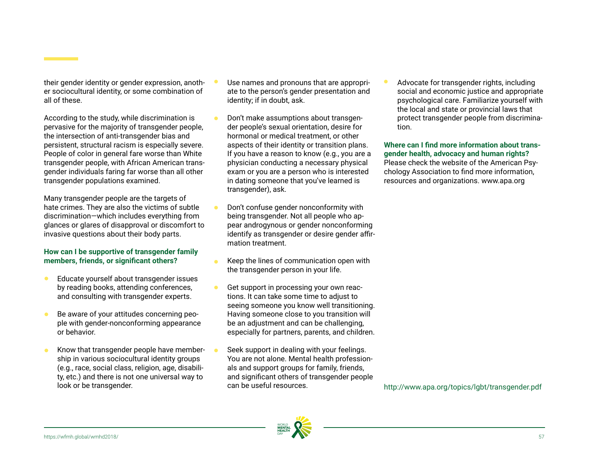their gender identity or gender expression, another sociocultural identity, or some combination of all of these.

According to the study, while discrimination is pervasive for the majority of transgender people, the intersection of anti-transgender bias and persistent, structural racism is especially severe. People of color in general fare worse than White transgender people, with African American transgender individuals faring far worse than all other transgender populations examined.

Many transgender people are the targets of [hate crimes](http://www.apa.org/topics/hate-crimes/index.aspx). They are also the victims of subtle discrimination—which includes everything from glances or glares of disapproval or discomfort to invasive questions about their body parts.

#### **How can I be supportive of transgender family members, friends, or significant others?**

- Educate yourself about transgender issues by reading books, attending conferences, and consulting with transgender experts.
- Be aware of your attitudes concerning people with gender-nonconforming appearance or behavior.
- Know that transgender people have membership in various sociocultural identity groups (e.g., race, social class, religion, age, disability, etc.) and there is not one universal way to look or be transgender.
- Use names and pronouns that are appropriate to the person's gender presentation and identity; if in doubt, ask.
- Don't make assumptions about transgender people's sexual orientation, desire for hormonal or medical treatment, or other aspects of their identity or transition plans. If you have a reason to know (e.g., you are a physician conducting a necessary physical exam or you are a person who is interested in dating someone that you've learned is transgender), ask.
- Don't confuse gender nonconformity with being transgender. Not all people who appear androgynous or gender nonconforming identify as transgender or desire gender affirmation treatment.
- Keep the lines of communication open with the transgender person in your life.
- Get support in processing your own reactions. It can take some time to adjust to seeing someone you know well transitioning. Having someone close to you transition will be an adjustment and can be challenging, especially for partners, parents, and children.
- Seek support in dealing with your feelings. You are not alone. Mental health professionals and support groups for family, friends, and significant others of transgender people can be useful resources.

Advocate for transgender rights, including social and economic justice and appropriate psychological care. Familiarize yourself with the local and state or provincial laws that protect transgender people from discrimination.

**Where can I find more information about transgender health, advocacy and human rights?** Please check the website of the American Psy-

chology Association to find more information, resources and organizations. [www.apa.org](http://www.apa.org)

[http://www.apa.org/topics/lgbt/transgender.pdf](http://www.apa.org/topics/lgbt/transgender.pdf )

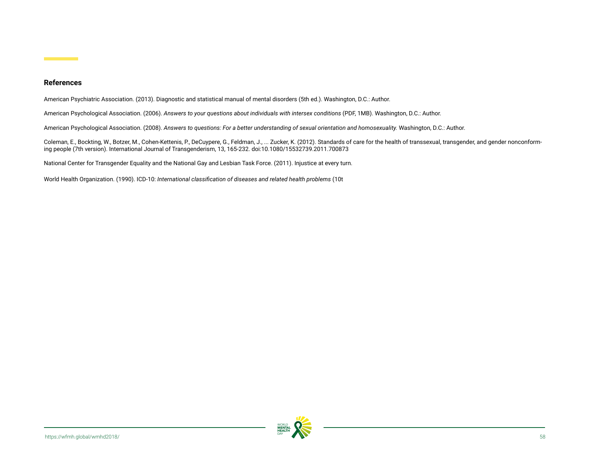#### **References**

American Psychiatric Association. (2013). Diagnostic and statistical manual of mental disorders (5th ed.). Washington, D.C.: Author.

American Psychological Association. (2006). *[Answers to your questions about individuals with intersex conditions](http://www.apa.org/topics/lgbt/intersex.pdf)* (PDF, 1MB). Washington, D.C.: Author.

American Psychological Association. (2008). *[Answers to questions: For a better understanding of sexual orientation and homosexuality](http://www.apa.org/topics/lgbt/orientation.aspx).* Washington, D.C.: Author.

Coleman, E., Bockting, W., Botzer, M., Cohen-Kettenis, P., DeCuypere, G., Feldman, J., ... Zucker, K. (2012). Standards of care for the health of transsexual, transgender, and gender nonconforming people (7th version). International Journal of Transgenderism, 13, 165-232. doi:10.1080/15532739.2011.700873

National Center for Transgender Equality and the National Gay and Lesbian Task Force. (2011). [Injustice at every turn.](http://endtransdiscrimination.org/)

World Health Organization. (1990). ICD-10: *[International classification of diseases and related health problems](http://apps.who.int/classifications/icd10/browse/2010/en)* (10t

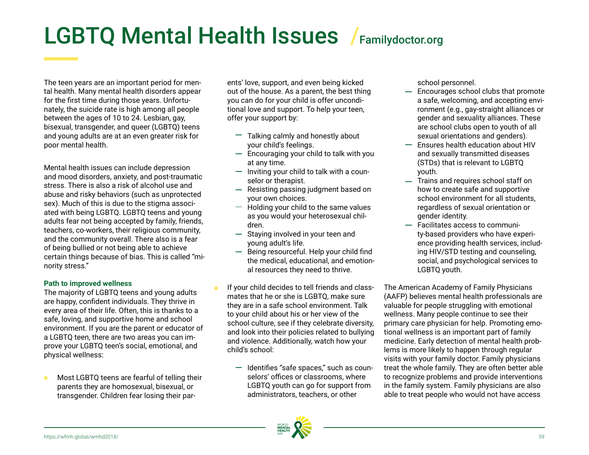## LGBTQ Mental Health Issues / Familydoctor.org

The teen years are an important period for mental health. Many mental health disorders appear for the first time during those years. Unfortunately, the suicide rate is high among all people between the ages of 10 to 24. Lesbian, gay, bisexual, transgender, and queer (LGBTQ) teens and young adults are at an even greater risk for poor mental health.

Mental health issues can include depression and mood disorders, anxiety, and post-traumatic stress. There is also a risk of alcohol use and abuse and risky behaviors (such as unprotected sex). Much of this is due to the stigma associated with being LGBTQ. LGBTQ teens and young adults fear not being accepted by family, friends, teachers, co-workers, their religious community, and the community overall. There also is a fear of being bullied or not being able to achieve certain things because of bias. This is called "minority stress."

#### **Path to improved wellness**

The majority of LGBTQ teens and young adults are happy, confident individuals. They thrive in every area of their life. Often, this is thanks to a safe, loving, and supportive home and school environment. If you are the parent or educator of a LGBTQ teen, there are two areas you can improve your LGBTQ teen's social, emotional, and physical wellness:

 $\bullet$ Most LGBTQ teens are fearful of telling their parents they are homosexual, bisexual, or transgender. Children fear losing their par-

ents' love, support, and even being kicked out of the house. As a parent, the best thing you can do for your child is offer unconditional love and support. To help your teen, offer your support by:

- $-$  Talking calmly and honestly about your child's feelings.
- $-$  Encouraging your child to talk with you at any time.
- $-$  Inviting your child to talk with a counselor or therapist.
- Resisting passing judgment based on your own choices.
- $-$  Holding your child to the same values as you would your heterosexual children.
- $-$  Staying involved in your teen and young adult's life.
- $-$  Being resourceful. Help your child find the medical, educational, and emotional resources they need to thrive.
- If your child decides to tell friends and classmates that he or she is LGBTQ, make sure they are in a safe school environment. Talk to your child about his or her view of the school culture, see if they celebrate diversity, and look into their policies related to bullying and violence. Additionally, watch how your child's school:
	- $-$  Identifies "safe spaces," such as counselors' offices or classrooms, where LGBTQ youth can go for support from administrators, teachers, or other

school personnel.

- Encourages school clubs that promote a safe, welcoming, and accepting environment (e.g., gay-straight alliances or gender and sexuality alliances. These are school clubs open to youth of all sexual orientations and genders).
- Ensures health education about HIV and sexually transmitted diseases (STDs) that is relevant to LGBTQ youth.
- Trains and requires school staff on how to create safe and supportive school environment for all students, regardless of sexual orientation or gender identity.
- Facilitates access to community-based providers who have experience providing health services, including HIV/STD testing and counseling, social, and psychological services to LGBTQ youth.

The American Academy of Family Physicians (AAFP) believes mental health professionals are valuable for people struggling with emotional wellness. Many people continue to see their primary care physician for help. Promoting emotional wellness is an important part of family medicine. Early detection of mental health problems is more likely to happen through regular visits with your family doctor. Family physicians treat the whole family. They are often better able to recognize problems and provide interventions in the family system. Family physicians are also able to treat people who would not have access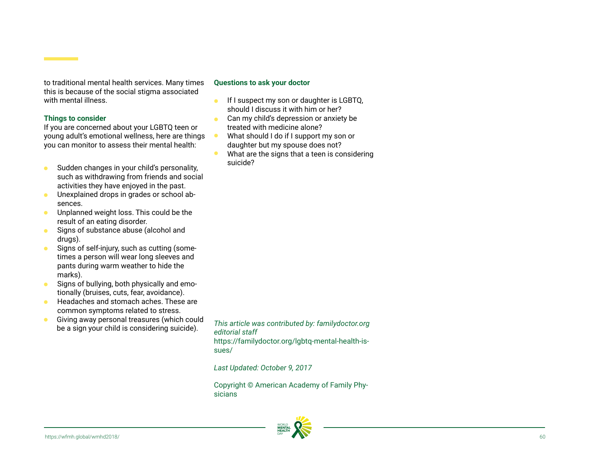to traditional mental health services. Many times this is because of the social stigma associated with mental illness.

#### **Things to consider**

If you are concerned about your LGBTQ teen or young adult's emotional wellness, here are things you can monitor to assess their mental health:

- Sudden changes in your child's personality,  $\bullet$ such as withdrawing from friends and social activities they have enjoyed in the past.
- $\bullet$ Unexplained drops in grades or school ab sences.
- Unplanned weight loss. This could be the  $\bullet$ result of an eating disorder.
- Signs of substance abuse (alcohol and  $\bullet$ drugs).
- $\bullet$ Signs of self-injury, such as cutting (some times a person will wear long sleeves and pants during warm weather to hide the marks).
- $\bullet$ Signs of bullying, both physically and emo tionally (bruises, cuts, fear, avoidance).
- Headaches and stomach aches. These are  $\bullet$ common symptoms related to stress.
- **Giving away personal treasures (which could Giving away personal treasures (which could** be a sign your child is considering suicide).

**Questions to ask your doctor**

- $\bullet$ If I suspect my son or daughter is LGBTQ, should I discuss it with him or her?
- Can my child's depression or anxiety be  $\bullet$ treated with medicine alone?
- What should I do if I support my son or daughter but my spouse does not?
- What are the signs that a teen is considering suicide?

*This article was contributed by: familydoctor.org editorial staff*  https://familydoctor.org/lgbtq-mental-health-is sues/

*Last Updated: October 9, 2017*

Copyright © American Academy of Family Phy sicians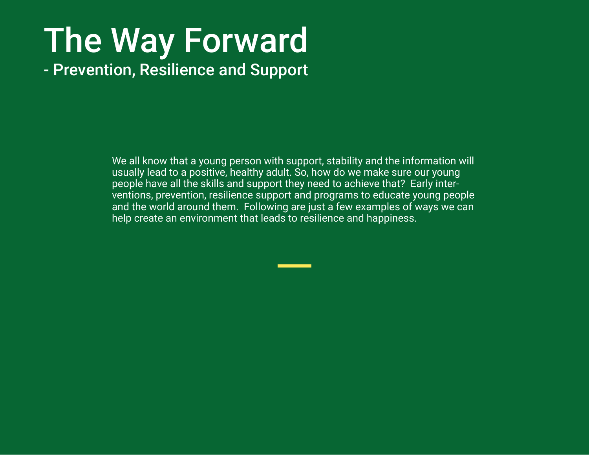## The Way Forward

- Prevention, Resilience and Support

We all know that a young person with support, stability and the information will usually lead to a positive, healthy adult. So, how do we make sure our young people have all the skills and support they need to achieve that? Early interventions, prevention, resilience support and programs to educate young people and the world around them. Following are just a few examples of ways we can help create an environment that leads to resilience and happiness.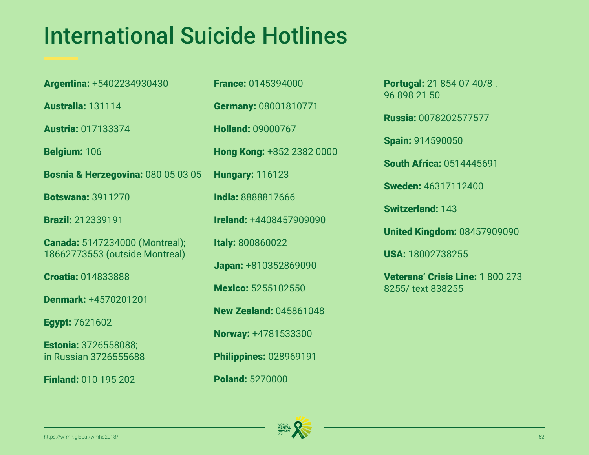## International Suicide Hotlines

Argentina: +5402234930430

Australia: 131114

Austria: 017133374

Belgium: 106

Bosnia & Herzegovina: 080 05 03 05

Botswana: 3911270

Brazil: 212339191

Canada: 5147234000 (Montreal); 18662773553 (outside Montreal)

Croatia: 014833888

Denmark: +4570201201

Egypt: 7621602

Estonia: 3726558088; in Russian 3726555688

Finland: 010 195 202

France: 0145394000

Germany: 08001810771

Holland: 09000767

Hong Kong: +852 2382 0000

**Hungary: 116123** 

India: 8888817666

Ireland: +4408457909090

Italy: 800860022

Japan: +810352869090

Mexico: 5255102550

New Zealand: 045861048

Norway: +4781533300

Philippines: 028969191

Poland: 5270000

Portugal: 21 854 07 40/8 . 96 898 21 50

Russia: 0078202577577

Spain: 914590050

South Africa: 0514445691

Sweden: 46317112400

Switzerland: 143

United Kingdom: 08457909090

USA: 18002738255

Veterans' Crisis Line: 1 800 273 8255/ text 838255

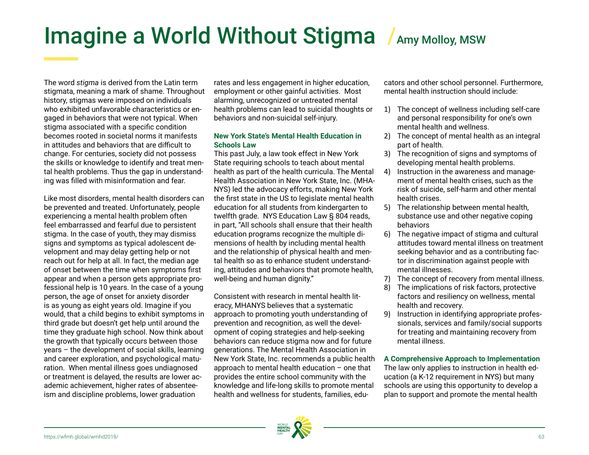### The word *stigma* is derived from the Latin term

stigmata, meaning a mark of shame. Throughout history, stigmas were imposed on individuals who exhibited unfavorable characteristics or engaged in behaviors that were not typical. When stigma associated with a specific condition becomes rooted in societal norms it manifests in attitudes and behaviors that are difficult to change. For centuries, society did not possess the skills or knowledge to identify and treat mental health problems. Thus the gap in understanding was filled with misinformation and fear.

Like most disorders, mental health disorders can be prevented and treated. Unfortunately, people experiencing a mental health problem often feel embarrassed and fearful due to persistent stigma. In the case of youth, they may dismiss signs and symptoms as typical adolescent development and may delay getting help or not reach out for help at all. In fact, the median age of onset between the time when symptoms first appear and when a person gets appropriate professional help is 10 years. In the case of a young person, the age of onset for anxiety disorder is as young as eight years old. Imagine if you would, that a child begins to exhibit symptoms in third grade but doesn't get help until around the time they graduate high school. Now think about the growth that typically occurs between those years – the development of social skills, learning and career exploration, and psychological maturation. When mental illness goes undiagnosed or treatment is delayed, the results are lower academic achievement, higher rates of absenteeism and discipline problems, lower graduation

rates and less engagement in higher education, employment or other gainful activities. Most alarming, unrecognized or untreated mental health problems can lead to suicidal thoughts or behaviors and non-suicidal self-injury.

Imagine a World Without Stigma / Amy Molloy, MSW

#### **New York State's Mental Health Education in Schools Law**

This past July, a law took effect in New York State requiring schools to teach about mental health as part of the health curricula. The Mental Health Association in New York State, Inc. (MHA-NYS) led the advocacy efforts, making New York the first state in the US to legislate mental health education for all students from kindergarten to twelfth grade. NYS Education Law § 804 reads, in part, "All schools shall ensure that their health education programs recognize the multiple dimensions of health by including mental health and the relationship of physical health and mental health so as to enhance student understanding, attitudes and behaviors that promote health, well-being and human dignity."

Consistent with research in mental health literacy, MHANYS believes that a systematic approach to promoting youth understanding of prevention and recognition, as well the development of coping strategies and help-seeking behaviors can reduce stigma now and for future generations. The Mental Health Association in New York State, Inc. recommends a public health approach to mental health education – one that provides the entire school community with the knowledge and life-long skills to promote mental health and wellness for students, families, educators and other school personnel. Furthermore, mental health instruction should include:

- 1) The concept of wellness including self-care and personal responsibility for one's own mental health and wellness.
- 2) The concept of mental health as an integral part of health.
- 3) The recognition of signs and symptoms of developing mental health problems.
- 4) Instruction in the awareness and management of mental health crises, such as the risk of suicide, self-harm and other mental health crises.
- 5) The relationship between mental health, substance use and other negative coping behaviors
- 6) The negative impact of stigma and cultural attitudes toward mental illness on treatment seeking behavior and as a contributing factor in discrimination against people with mental illnesses.
- 7) The concept of recovery from mental illness.
- 8) The implications of risk factors, protective factors and resiliency on wellness, mental health and recovery.
- 9) Instruction in identifying appropriate professionals, services and family/social supports for treating and maintaining recovery from mental illness.

#### **A Comprehensive Approach to Implementation** The law only applies to instruction in health ed-

ucation (a K-12 requirement in NYS) but many schools are using this opportunity to develop a plan to support and promote the mental health

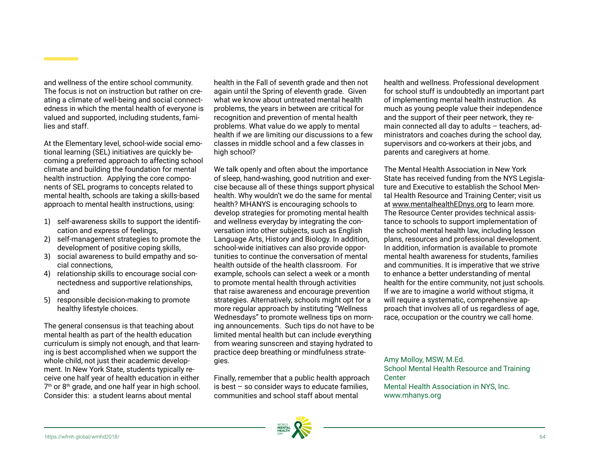<https://wfmh.global/wmhd2018/> 64

and wellness of the entire school community. The focus is not on instruction but rather on creating a climate of well-being and social connectedness in which the mental health of everyone is valued and supported, including students, families and staff.

At the Elementary level, school-wide social emotional learning (SEL) initiatives are quickly becoming a preferred approach to affecting school climate and building the foundation for mental health instruction. Applying the core components of SEL programs to concepts related to mental health, schools are taking a skills-based approach to mental health instructions, using:

- 1) self-awareness skills to support the identification and express of feelings,
- 2) self-management strategies to promote the development of positive coping skills,
- 3) social awareness to build empathy and social connections,
- 4) relationship skills to encourage social connectedness and supportive relationships, and
- 5) responsible decision-making to promote healthy lifestyle choices.

The general consensus is that teaching about mental health as part of the health education curriculum is simply not enough, and that learning is best accomplished when we support the whole child, not just their academic development. In New York State, students typically receive one half year of health education in either  $7<sup>th</sup>$  or  $8<sup>th</sup>$  grade, and one half year in high school. Consider this: a student learns about mental

health in the Fall of seventh grade and then not again until the Spring of eleventh grade. Given what we know about untreated mental health problems, the years in between are critical for recognition and prevention of mental health problems. What value do we apply to mental health if we are limiting our discussions to a few classes in middle school and a few classes in high school?

We talk openly and often about the importance of sleep, hand-washing, good nutrition and exercise because all of these things support physical health. Why wouldn't we do the same for mental health? MHANYS is encouraging schools to develop strategies for promoting mental health and wellness everyday by integrating the conversation into other subjects, such as English Language Arts, History and Biology. In addition, school-wide initiatives can also provide opportunities to continue the conversation of mental health outside of the health classroom. For example, schools can select a week or a month to promote mental health through activities that raise awareness and encourage prevention strategies. Alternatively, schools might opt for a more regular approach by instituting "Wellness Wednesdays" to promote wellness tips on morning announcements. Such tips do not have to be limited mental health but can include everything from wearing sunscreen and staying hydrated to practice deep breathing or mindfulness strategies.

Finally, remember that a public health approach is best – so consider ways to educate families, communities and school staff about mental

health and wellness. Professional development for school stuff is undoubtedly an important part of implementing mental health instruction. As much as young people value their independence and the support of their peer network, they remain connected all day to adults – teachers, administrators and coaches during the school day, supervisors and co-workers at their jobs, and parents and caregivers at home.

The Mental Health Association in New York State has received funding from the NYS Legislature and Executive to establish the School Mental Health Resource and Training Center; visit us at [www.mentalhealthEDnys.org](http://www.mentalhealthEDnys.org) to learn more. The Resource Center provides technical assistance to schools to support implementation of the school mental health law, including lesson plans, resources and professional development. In addition, information is available to promote mental health awareness for students, families and communities. It is imperative that we strive to enhance a better understanding of mental health for the entire community, not just schools. If we are to imagine a world without stigma, it will require a systematic, comprehensive approach that involves all of us regardless of age, race, occupation or the country we call home.

Amy Molloy, MSW, M.Ed. School Mental Health Resource and Training **Center** Mental Health Association in NYS, Inc. [www.mhanys.org](http://www.mhanys.org/)

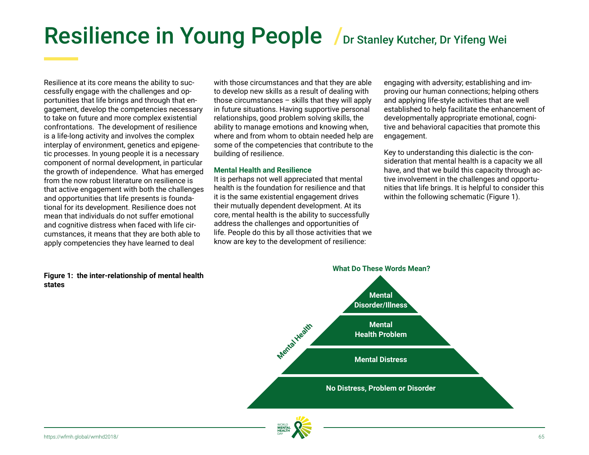### Resilience in Young People / Dr Stanley Kutcher, Dr Yifeng Wei

Resilience at its core means the ability to successfully engage with the challenges and opportunities that life brings and through that engagement, develop the competencies necessary to take on future and more complex existential confrontations. The development of resilience is a life-long activity and involves the complex interplay of environment, genetics and epigenetic processes. In young people it is a necessary component of normal development, in particular the growth of independence. What has emerged from the now robust literature on resilience is that active engagement with both the challenges and opportunities that life presents is foundational for its development. Resilience does not mean that individuals do not suffer emotional and cognitive distress when faced with life circumstances, it means that they are both able to apply competencies they have learned to deal

with those circumstances and that they are able to develop new skills as a result of dealing with those circumstances – skills that they will apply in future situations. Having supportive personal relationships, good problem solving skills, the ability to manage emotions and knowing when, where and from whom to obtain needed help are some of the competencies that contribute to the building of resilience.

#### **Mental Health and Resilience**

It is perhaps not well appreciated that mental health is the foundation for resilience and that it is the same existential engagement drives their mutually dependent development. At its core, mental health is the ability to successfully address the challenges and opportunities of life. People do this by all those activities that we know are key to the development of resilience:

engaging with adversity; establishing and improving our human connections; helping others and applying life-style activities that are well established to help facilitate the enhancement of developmentally appropriate emotional, cognitive and behavioral capacities that promote this engagement.

Key to understanding this dialectic is the consideration that mental health is a capacity we all have, and that we build this capacity through active involvement in the challenges and opportunities that life brings. It is helpful to consider this within the following schematic (Figure 1).

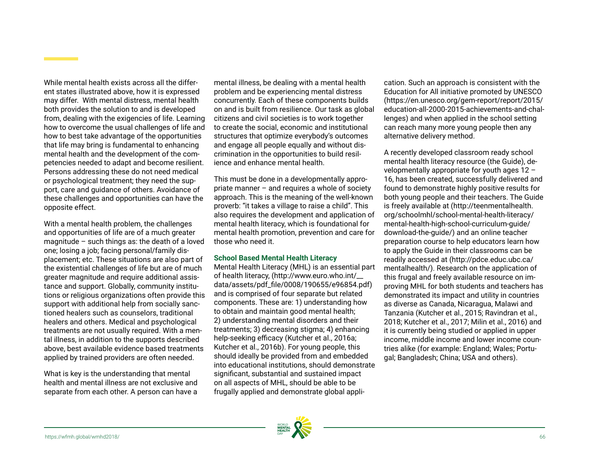While mental health exists across all the different states illustrated above, how it is expressed may differ. With mental distress, mental health both provides the solution to and is developed from, dealing with the exigencies of life. Learning how to overcome the usual challenges of life and how to best take advantage of the opportunities that life may bring is fundamental to enhancing mental health and the development of the competencies needed to adapt and become resilient. Persons addressing these do not need medical or psychological treatment; they need the support, care and guidance of others. Avoidance of these challenges and opportunities can have the opposite effect.

With a mental health problem, the challenges and opportunities of life are of a much greater magnitude – such things as: the death of a loved one; losing a job; facing personal/family displacement; etc. These situations are also part of the existential challenges of life but are of much greater magnitude and require additional assistance and support. Globally, community institutions or religious organizations often provide this support with additional help from socially sanctioned healers such as counselors, traditional healers and others. Medical and psychological treatments are not usually required. With a mental illness, in addition to the supports described above, best available evidence based treatments applied by trained providers are often needed.

What is key is the understanding that mental health and mental illness are not exclusive and separate from each other. A person can have a

mental illness, be dealing with a mental health problem and be experiencing mental distress concurrently. Each of these components builds on and is built from resilience. Our task as global citizens and civil societies is to work together to create the social, economic and institutional structures that optimize everybody's outcomes and engage all people equally and without discrimination in the opportunities to build resilience and enhance mental health.

This must be done in a developmentally appropriate manner – and requires a whole of society approach. This is the meaning of the well-known proverb: "it takes a village to raise a child". This also requires the development and application of mental health literacy, which is foundational for mental health promotion, prevention and care for those who need it.

#### **School Based Mental Health Literacy**

Mental Health Literacy (MHL) is an essential part of health literacy, ([http://www.euro.who.int/\\_\\_](http://www.euro.who.int/__data/assets/pdf_file/0008/190655/e96854.pdf) [data/assets/pdf\\_file/0008/190655/e96854.pdf](http://www.euro.who.int/__data/assets/pdf_file/0008/190655/e96854.pdf)) and is comprised of four separate but related components. These are: 1) understanding how to obtain and maintain good mental health; 2) understanding mental disorders and their treatments; 3) decreasing stigma; 4) enhancing help-seeking efficacy (Kutcher et al., 2016a; Kutcher et al., 2016b). For young people, this should ideally be provided from and embedded into educational institutions, should demonstrate significant, substantial and sustained impact on all aspects of MHL, should be able to be frugally applied and demonstrate global appli-

cation. Such an approach is consistent with the Education for All initiative promoted by UNESCO ([https://en.unesco.org/gem-report/report/2015/](https://en.unesco.org/gem-report/report/2015/education-all-2000-2015-achievements-and-challenges) [education-all-2000-2015-achievements-and-chal](https://en.unesco.org/gem-report/report/2015/education-all-2000-2015-achievements-and-challenges)[lenges\)](https://en.unesco.org/gem-report/report/2015/education-all-2000-2015-achievements-and-challenges) and when applied in the school setting can reach many more young people then any alternative delivery method.

A recently developed classroom ready school mental health literacy resource (the Guide), developmentally appropriate for youth ages 12 – 16, has been created, successfully delivered and found to demonstrate highly positive results for both young people and their teachers. The Guide is freely available at ([http://teenmentalhealth.](http://teenmentalhealth.org/schoolmhl/school-mental-health-literacy/mental-health-high-school-curriculum-guide/download-the-guide/) [org/schoolmhl/school-mental-health-literacy/](http://teenmentalhealth.org/schoolmhl/school-mental-health-literacy/mental-health-high-school-curriculum-guide/download-the-guide/) [mental-health-high-school-curriculum-guide/](http://teenmentalhealth.org/schoolmhl/school-mental-health-literacy/mental-health-high-school-curriculum-guide/download-the-guide/) [download-the-guide/](http://teenmentalhealth.org/schoolmhl/school-mental-health-literacy/mental-health-high-school-curriculum-guide/download-the-guide/)) and an online teacher preparation course to help educators learn how to apply the Guide in their classrooms can be readily accessed at ([http://pdce.educ.ubc.ca/](http://pdce.educ.ubc.ca/mentalhealth/) [mentalhealth/\)](http://pdce.educ.ubc.ca/mentalhealth/). Research on the application of this frugal and freely available resource on improving MHL for both students and teachers has demonstrated its impact and utility in countries as diverse as Canada, Nicaragua, Malawi and Tanzania (Kutcher et al., 2015; Ravindran et al., 2018; Kutcher et al., 2017; Milin et al., 2016) and it is currently being studied or applied in upper income, middle income and lower income countries alike (for example: England; Wales; Portugal; Bangladesh; China; USA and others).

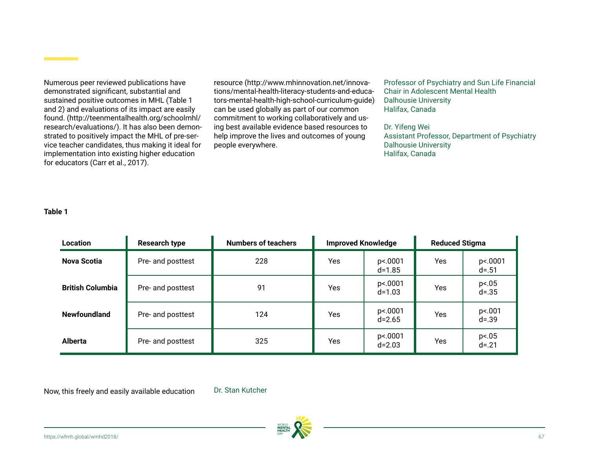Numerous peer reviewed publications have demonstrated significant, substantial and sustained positive outcomes in MHL (Table 1 and 2) and evaluations of its impact are easily found. [\(http://teenmentalhealth.org/schoolmhl/](http://teenmentalhealth.org/schoolmhl/research/evaluations/) [research/evaluations/\)](http://teenmentalhealth.org/schoolmhl/research/evaluations/). It has also been demonstrated to positively impact the MHL of pre-service teacher candidates, thus making it ideal for implementation into existing higher education for educators (Carr et al., 2017).

resource [\(http://www.mhinnovation.net/innova](http://www.mhinnovation.net/innovations/mental-health-literacy-students-and-educators-mental-health-high-school-curriculum-guide)[tions/mental-health-literacy-students-and-educa](http://www.mhinnovation.net/innovations/mental-health-literacy-students-and-educators-mental-health-high-school-curriculum-guide)[tors-mental-health-high-school-curriculum-guide](http://www.mhinnovation.net/innovations/mental-health-literacy-students-and-educators-mental-health-high-school-curriculum-guide)) can be used globally as part of our common commitment to working collaboratively and using best available evidence based resources to help improve the lives and outcomes of young people everywhere.

Professor of Psychiatry and Sun Life Financial Chair in Adolescent Mental Health Dalhousie University Halifax, Canada

Dr. Yifeng Wei Assistant Professor, Department of Psychiatry Dalhousie University Halifax, Canada

#### **Table 1**

| Location                                     | <b>Research type</b> | <b>Numbers of teachers</b> | <b>Improved Knowledge</b> |                         | <b>Reduced Stigma</b> |                         |
|----------------------------------------------|----------------------|----------------------------|---------------------------|-------------------------|-----------------------|-------------------------|
| <b>Nova Scotia</b><br>Pre- and posttest      |                      | 228                        | Yes                       | p <. 0001<br>$d = 1.85$ | Yes                   | p <. 0001<br>$d = 0.51$ |
| <b>British Columbia</b><br>Pre- and posttest |                      | 91                         | Yes                       | p<.0001<br>$d = 1.03$   | Yes                   | p<.05<br>$d = 0.35$     |
| <b>Newfoundland</b>                          | Pre- and posttest    | 124                        | Yes                       | p <. 0001<br>$d = 2.65$ | Yes                   | p <. 001<br>$d = 0.39$  |
| <b>Alberta</b>                               | Pre- and posttest    | 325                        | Yes                       | p <. 0001<br>$d = 2.03$ | Yes                   | p<0.05<br>$d = 21$      |

Now, this freely and easily available education

Dr. Stan Kutcher

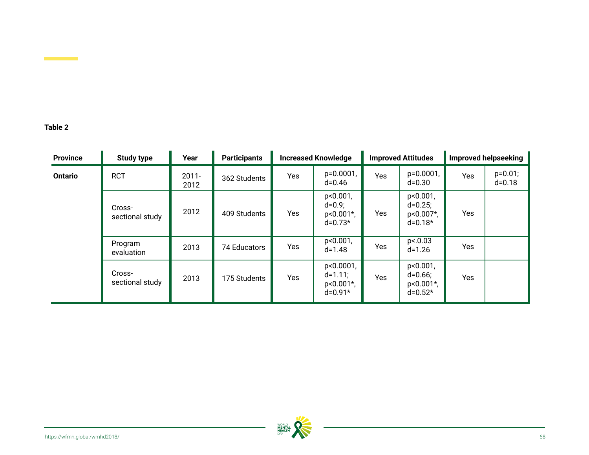#### **Table 2**

 $\mathcal{L}^{\text{max}}_{\text{max}}$  and  $\mathcal{L}^{\text{max}}_{\text{max}}$ 

| <b>Province</b> | <b>Study type</b>         | Year             | <b>Participants</b> | <b>Increased Knowledge</b> |                                                    | <b>Improved Attitudes</b> |                                                    | <b>Improved helpseeking</b> |                         |
|-----------------|---------------------------|------------------|---------------------|----------------------------|----------------------------------------------------|---------------------------|----------------------------------------------------|-----------------------------|-------------------------|
| <b>Ontario</b>  | <b>RCT</b>                | $2011 -$<br>2012 | 362 Students        | Yes                        | p=0.0001,<br>$d = 0.46$                            | Yes                       | $p=0.0001$ ,<br>$d = 0.30$                         | Yes                         | $p=0.01;$<br>$d = 0.18$ |
|                 | Cross-<br>sectional study | 2012             | 409 Students        | Yes                        | p<0.001,<br>$d=0.9$ ;<br>p<0.001*,<br>$d = 0.73*$  | Yes                       | p<0.001,<br>$d=0.25$ ;<br>p<0.007*,<br>$d = 0.18*$ | <b>Yes</b>                  |                         |
|                 | Program<br>evaluation     | 2013             | 74 Educators        | Yes                        | p<0.001,<br>$d = 1.48$                             | Yes                       | p<0.03<br>$d = 1.26$                               | Yes                         |                         |
|                 | Cross-<br>sectional study | 2013             | 175 Students        | Yes                        | p<0.0001,<br>$d=1.11;$<br>p<0.001*,<br>$d = 0.91*$ | Yes                       | p<0.001,<br>$d=0.66;$<br>p<0.001*,<br>$d = 0.52*$  | Yes                         |                         |

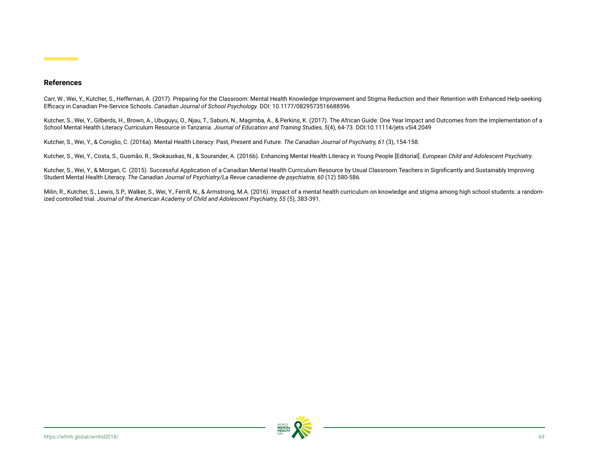#### **References**

Carr, W., Wei, Y., Kutcher, S., Heffernan, A. (2017). Preparing for the Classroom: Mental Health Knowledge Improvement and Stigma Reduction and their Retention with Enhanced Help-seeking Efficacy in Canadian Pre-Service Schools. *Canadian Journal of School Psychology.* DOI: 10.1177/0829573516688596

Kutcher, S., Wei, Y., Gilberds, H., Brown, A., Ubuguyu, O., Njau, T., Sabuni, N., Magimba, A., & Perkins, K. (2017). The African Guide: One Year Impact and Outcomes from the Implementation of a School Mental Health Literacy Curriculum Resource in Tanzania. *Journal of Education and Training Studies*, *5*(4), 64-73. DOI:10.11114/jets.v5i4.2049

Kutcher, S., Wei, Y., & Coniglio, C. (2016a). Mental Health Literacy: Past, Present and Future. *The Canadian Journal of Psychiatry, 61* (3), 154-158*.*

Kutcher, S., Wei, Y., Costa, S., Gusmão, R., Skokauskas, N., & Sourander, A. (2016b). Enhancing Mental Health Literacy in Young People [Editorial]. *European Child and Adolescent Psychiatry*.

Kutcher, S., Wei, Y., & Morgan, C. (2015). Successful Application of a Canadian Mental Health Curriculum Resource by Usual Classroom Teachers in Significantly and Sustainably Improving Student Mental Health Literacy. *The Canadian Journal of Psychiatry/La Revue canadienne de psychiatrie, 60* (12) 580-586*.*

Milin, R., Kutcher, S., Lewis, S.P., Walker, S., Wei, Y., Ferrill, N., & Armstrong, M.A. (2016). Impact of a mental health curriculum on knowledge and stigma among high school students: a randomized controlled trial. *Journal of the American Academy of Child and Adolescent Psychiatry, 55* (5), 383-391.

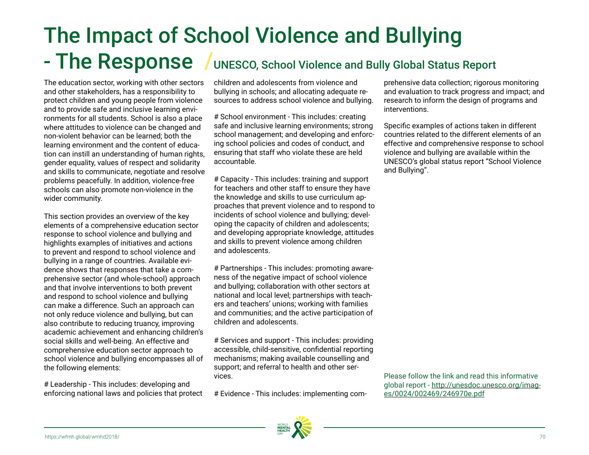### The Impact of School Violence and Bullying - The Response / UNESCO, School Violence and Bully Global Status Report

The education sector, working with other sectors and other stakeholders, has a responsibility to protect children and young people from violence and to provide safe and inclusive learning environments for all students. School is also a place where attitudes to violence can be changed and non-violent behavior can be learned; both the learning environment and the content of education can instill an understanding of human rights, gender equality, values of respect and solidarity and skills to communicate, negotiate and resolve problems peacefully. In addition, violence-free schools can also promote non-violence in the wider community.

This section provides an overview of the key elements of a comprehensive education sector response to school violence and bullying and highlights examples of initiatives and actions to prevent and respond to school violence and bullying in a range of countries. Available evidence shows that responses that take a comprehensive sector (and whole-school) approach and that involve interventions to both prevent and respond to school violence and bullying can make a difference. Such an approach can not only reduce violence and bullying, but can also contribute to reducing truancy, improving academic achievement and enhancing children's social skills and well-being. An effective and comprehensive education sector approach to school violence and bullying encompasses all of the following elements:

# Leadership - This includes: developing and enforcing national laws and policies that protect children and adolescents from violence and bullying in schools; and allocating adequate resources to address school violence and bullying.

# School environment - This includes: creating safe and inclusive learning environments; strong school management; and developing and enforcing school policies and codes of conduct, and ensuring that staff who violate these are held accountable.

# Capacity - This includes: training and support for teachers and other staff to ensure they have the knowledge and skills to use curriculum approaches that prevent violence and to respond to incidents of school violence and bullying; developing the capacity of children and adolescents; and developing appropriate knowledge, attitudes and skills to prevent violence among children and adolescents.

# Partnerships - This includes: promoting awareness of the negative impact of school violence and bullying; collaboration with other sectors at national and local level; partnerships with teachers and teachers' unions; working with families and communities; and the active participation of children and adolescents.

# Services and support - This includes: providing accessible, child-sensitive, confidential reporting mechanisms; making available counselling and support; and referral to health and other services.

# Evidence - This includes: implementing com-



Specific examples of actions taken in different countries related to the different elements of an effective and comprehensive response to school violence and bullying are available within the UNESCO's global status report "School Violence and Bullying".

Please follow the link and read this informative global report - [http://unesdoc.unesco.org/imag](http://unesdoc.unesco.org/images/0024/002469/246970e.pdf)[es/0024/002469/246970e.pdf](http://unesdoc.unesco.org/images/0024/002469/246970e.pdf)